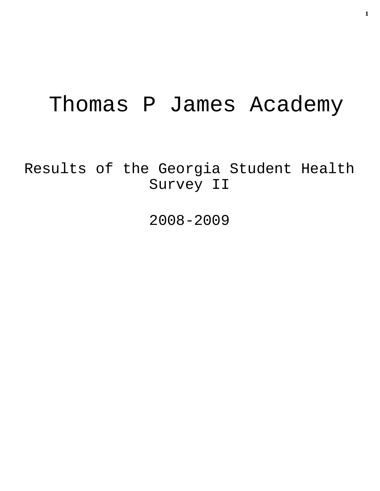# Thomas P James Academy

Results of the Georgia Student Health Survey II

2008-2009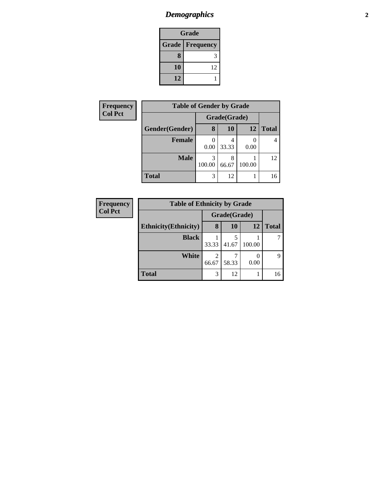# *Demographics* **2**

| Grade                     |    |  |  |  |
|---------------------------|----|--|--|--|
| Grade<br><b>Frequency</b> |    |  |  |  |
| 8                         |    |  |  |  |
| 10                        | 12 |  |  |  |
| 12                        |    |  |  |  |

| Frequency      | <b>Table of Gender by Grade</b> |             |              |        |              |  |  |
|----------------|---------------------------------|-------------|--------------|--------|--------------|--|--|
| <b>Col Pct</b> |                                 |             | Grade(Grade) |        |              |  |  |
|                | Gender(Gender)                  | 8           | 10           | 12     | <b>Total</b> |  |  |
|                | <b>Female</b>                   | 0.00        | 33.33        | 0.00   |              |  |  |
|                | <b>Male</b>                     | 3<br>100.00 | 8<br>66.67   | 100.00 | 12           |  |  |
|                | <b>Total</b>                    | 3           | 12           |        | 16           |  |  |

| <b>Frequency</b> | <b>Table of Ethnicity by Grade</b> |              |           |        |              |  |
|------------------|------------------------------------|--------------|-----------|--------|--------------|--|
| <b>Col Pct</b>   |                                    | Grade(Grade) |           |        |              |  |
|                  | <b>Ethnicity</b> (Ethnicity)       | 8            | <b>10</b> | 12     | <b>Total</b> |  |
|                  | <b>Black</b>                       | 33.33        | 41.67     | 100.00 |              |  |
|                  | White                              | 2<br>66.67   | 58.33     | 0.00   | 9            |  |
|                  | <b>Total</b>                       | 3            | 12        |        | 16           |  |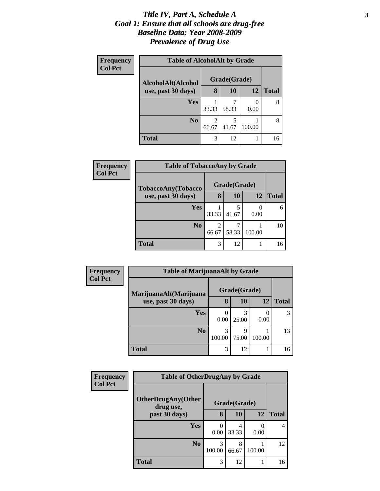#### *Title IV, Part A, Schedule A* **3** *Goal 1: Ensure that all schools are drug-free Baseline Data: Year 2008-2009 Prevalence of Drug Use*

| Frequency<br><b>Col Pct</b> | <b>Table of AlcoholAlt by Grade</b> |              |       |           |              |  |  |
|-----------------------------|-------------------------------------|--------------|-------|-----------|--------------|--|--|
|                             | AlcoholAlt(Alcohol                  | Grade(Grade) |       |           |              |  |  |
|                             | use, past 30 days)                  | 8            | 10    | <b>12</b> | <b>Total</b> |  |  |
|                             | <b>Yes</b>                          | 33.33        | 58.33 | 0.00      | 8            |  |  |
|                             | N <sub>0</sub>                      | 2<br>66.67   | 41.67 | 100.00    | 8            |  |  |
|                             | Total                               | 3            | 12    |           | 16           |  |  |

| <b>Frequency</b> | <b>Table of TobaccoAny by Grade</b> |            |              |        |              |
|------------------|-------------------------------------|------------|--------------|--------|--------------|
| <b>Col Pct</b>   | TobaccoAny(Tobacco                  |            | Grade(Grade) |        |              |
|                  | use, past 30 days)                  | 8          | 10           | 12     | <b>Total</b> |
|                  | Yes                                 | 33.33      | 5<br>41.67   | 0.00   | 6            |
|                  | N <sub>0</sub>                      | 2<br>66.67 | 58.33        | 100.00 | 10           |
|                  | <b>Total</b>                        | 3          | 12           |        | 16           |

| Frequency<br><b>Col Pct</b> | <b>Table of MarijuanaAlt by Grade</b> |              |           |        |              |
|-----------------------------|---------------------------------------|--------------|-----------|--------|--------------|
|                             | MarijuanaAlt(Marijuana                | Grade(Grade) |           |        |              |
|                             | use, past 30 days)                    | 8            | <b>10</b> | 12     | <b>Total</b> |
|                             | Yes                                   | 0.00         | 25.00     | 0.00   |              |
|                             | N <sub>0</sub>                        | 3<br>100.00  | 75.00     | 100.00 | 13           |
|                             | <b>Total</b>                          | 3            | 12        |        | 16           |

| <b>Frequency</b> | <b>Table of OtherDrugAny by Grade</b>  |             |              |           |              |
|------------------|----------------------------------------|-------------|--------------|-----------|--------------|
| <b>Col Pct</b>   | <b>OtherDrugAny(Other</b><br>drug use, |             | Grade(Grade) |           |              |
|                  | past 30 days)                          | 8           | 10           | 12        | <b>Total</b> |
|                  | Yes                                    | C<br>0.00   | 4<br>33.33   | 0<br>0.00 | 4            |
|                  | N <sub>0</sub>                         | 3<br>100.00 | 8<br>66.67   | 100.00    | 12           |
|                  | <b>Total</b>                           | 3           | 12           |           | 16           |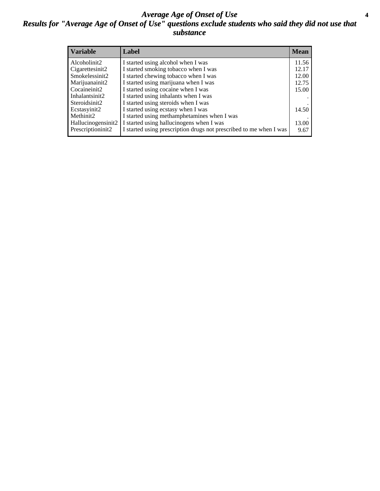#### *Average Age of Onset of Use* **4** *Results for "Average Age of Onset of Use" questions exclude students who said they did not use that substance*

| <b>Variable</b>    | Label                                                              | <b>Mean</b> |
|--------------------|--------------------------------------------------------------------|-------------|
| Alcoholinit2       | I started using alcohol when I was                                 | 11.56       |
| Cigarettesinit2    | I started smoking tobacco when I was                               | 12.17       |
| Smokelessinit2     | I started chewing tobacco when I was                               | 12.00       |
| Marijuanainit2     | I started using marijuana when I was                               | 12.75       |
| Cocaineinit2       | I started using cocaine when I was                                 | 15.00       |
| Inhalantsinit2     | I started using inhalants when I was                               |             |
| Steroidsinit2      | I started using steroids when I was                                |             |
| Ecstasyinit2       | I started using ecstasy when I was                                 | 14.50       |
| Methinit2          | I started using methamphetamines when I was                        |             |
| Hallucinogensinit2 | I started using hallucinogens when I was                           | 13.00       |
| Prescriptioninit2  | I started using prescription drugs not prescribed to me when I was | 9.67        |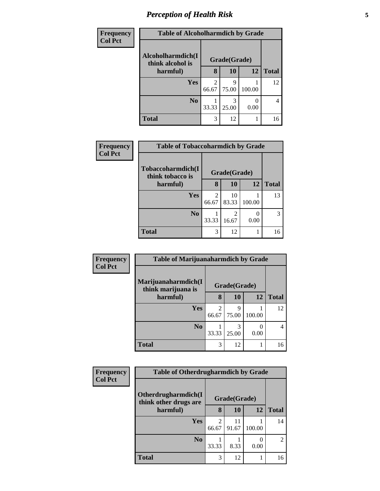# *Perception of Health Risk* **5**

| Frequency      | <b>Table of Alcoholharmdich by Grade</b> |                         |            |        |              |
|----------------|------------------------------------------|-------------------------|------------|--------|--------------|
| <b>Col Pct</b> | Alcoholharmdich(I<br>think alcohol is    | Grade(Grade)            |            |        |              |
|                | harmful)                                 | 8                       | 10         | 12     | <b>Total</b> |
|                | Yes                                      | $\mathfrak{D}$<br>66.67 | Q<br>75.00 | 100.00 | 12           |
|                | N <sub>0</sub>                           | 33.33                   | 3<br>25.00 | 0.00   | 4            |
|                | <b>Total</b>                             | 3                       | 12         |        | 16           |

| <b>Frequency</b> | <b>Table of Tobaccoharmdich by Grade</b> |              |             |        |              |
|------------------|------------------------------------------|--------------|-------------|--------|--------------|
| <b>Col Pct</b>   | Tobaccoharmdich(I<br>think tobacco is    | Grade(Grade) |             |        |              |
|                  | harmful)                                 | 8            | <b>10</b>   | 12     | <b>Total</b> |
|                  | Yes                                      | 2<br>66.67   | 10<br>83.33 | 100.00 | 13           |
|                  | N <sub>0</sub>                           | 33.33        | 16.67       | 0.00   |              |
|                  | <b>Total</b>                             | 3            | 12          |        | 16           |

| Frequency      | <b>Table of Marijuanaharmdich by Grade</b> |                         |            |        |              |
|----------------|--------------------------------------------|-------------------------|------------|--------|--------------|
| <b>Col Pct</b> | Marijuanaharmdich(I<br>think marijuana is  | Grade(Grade)            |            |        |              |
|                | harmful)                                   | 8                       | 10         | 12     | <b>Total</b> |
|                | Yes                                        | $\overline{2}$<br>66.67 | 9<br>75.00 | 100.00 | 12           |
|                | N <sub>0</sub>                             | 33.33                   | 25.00      | 0.00   |              |
|                | <b>Total</b>                               | 3                       | 12         |        | 16           |

| Frequency      |                                              | <b>Table of Otherdrugharmdich by Grade</b> |              |        |              |
|----------------|----------------------------------------------|--------------------------------------------|--------------|--------|--------------|
| <b>Col Pct</b> | Otherdrugharmdich(I<br>think other drugs are |                                            | Grade(Grade) |        |              |
|                | harmful)                                     | 8                                          | 10           | 12     | <b>Total</b> |
|                | Yes                                          | $\overline{2}$<br>66.67                    | 11<br>91.67  | 100.00 | 14           |
|                | N <sub>0</sub>                               | 33.33                                      | 8.33         | 0.00   | 2            |
|                | <b>Total</b>                                 | 3                                          | 12           |        | 16           |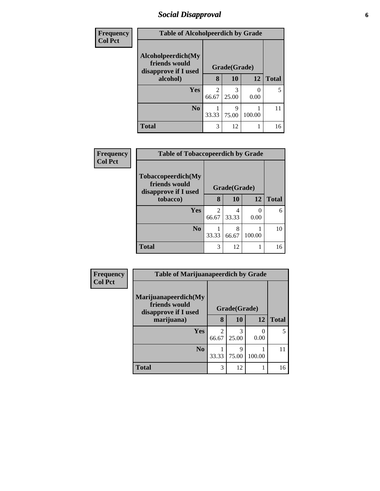# *Social Disapproval* **6**

| Frequency      | <b>Table of Alcoholpeerdich by Grade</b>                    |                         |            |           |              |  |
|----------------|-------------------------------------------------------------|-------------------------|------------|-----------|--------------|--|
| <b>Col Pct</b> | Alcoholpeerdich(My<br>friends would<br>disapprove if I used | Grade(Grade)            |            |           |              |  |
|                | alcohol)                                                    | 8                       | 10         | 12        | <b>Total</b> |  |
|                | Yes                                                         | $\mathfrak{D}$<br>66.67 | 3<br>25.00 | 0<br>0.00 |              |  |
|                | N <sub>0</sub>                                              | 33.33                   | 9<br>75.00 | 100.00    |              |  |
|                | <b>Total</b>                                                | 3                       | 12         |           | 16           |  |

| Frequency<br>Col Pct | <b>Table of Tobaccopeerdich by Grade</b>                    |                                   |            |           |              |  |
|----------------------|-------------------------------------------------------------|-----------------------------------|------------|-----------|--------------|--|
|                      | Tobaccopeerdich(My<br>friends would<br>disapprove if I used | Grade(Grade)                      |            |           |              |  |
|                      | tobacco)                                                    | 8                                 | 10         | 12        | <b>Total</b> |  |
|                      | Yes                                                         | $\overline{\mathcal{L}}$<br>66.67 | 4<br>33.33 | 0<br>0.00 | 6            |  |
|                      | N <sub>0</sub>                                              | 33.33                             | 8<br>66.67 | 100.00    | 10           |  |
|                      | <b>Total</b>                                                | 3                                 | 12         |           | 16           |  |

| Frequency      | <b>Table of Marijuanapeerdich by Grade</b>                    |                         |            |        |              |
|----------------|---------------------------------------------------------------|-------------------------|------------|--------|--------------|
| <b>Col Pct</b> | Marijuanapeerdich(My<br>friends would<br>disapprove if I used | Grade(Grade)            |            |        |              |
|                | marijuana)                                                    | 8                       | 10         | 12     | <b>Total</b> |
|                | <b>Yes</b>                                                    | $\mathfrak{D}$<br>66.67 | 3<br>25.00 | 0.00   | 5            |
|                | N <sub>0</sub>                                                | 33.33                   | 9<br>75.00 | 100.00 | 11           |
|                | <b>Total</b>                                                  | 3                       | 12         |        | 16           |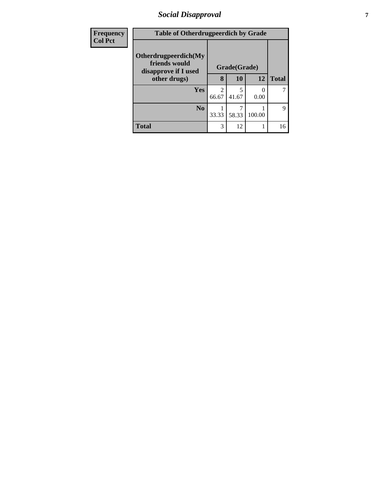# *Social Disapproval* **7**

| <b>Frequency</b> | <b>Table of Otherdrugpeerdich by Grade</b>                    |              |            |        |              |
|------------------|---------------------------------------------------------------|--------------|------------|--------|--------------|
| <b>Col Pct</b>   | Otherdrugpeerdich(My<br>friends would<br>disapprove if I used | Grade(Grade) |            |        |              |
|                  | other drugs)                                                  | 8            | 10         | 12     | <b>Total</b> |
|                  | <b>Yes</b>                                                    | っ<br>66.67   | 5<br>41.67 | 0.00   |              |
|                  | $\bf N_0$                                                     | 33.33        | 58.33      | 100.00 | $\mathbf Q$  |
|                  | <b>Total</b>                                                  | 3            | 12         |        | 16           |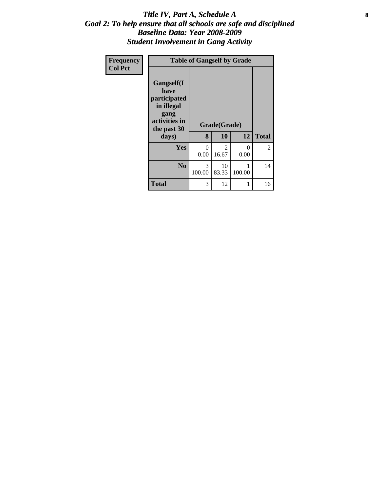#### Title IV, Part A, Schedule A **8** *Goal 2: To help ensure that all schools are safe and disciplined Baseline Data: Year 2008-2009 Student Involvement in Gang Activity*

| Frequency<br><b>Col Pct</b> | <b>Table of Gangself by Grade</b>                                                                 |                  |                    |           |              |  |
|-----------------------------|---------------------------------------------------------------------------------------------------|------------------|--------------------|-----------|--------------|--|
|                             | Gangself(I<br>have<br>participated<br>in illegal<br>gang<br>activities in<br>the past 30<br>days) | 8                | Grade(Grade)<br>10 | 12        | <b>Total</b> |  |
|                             | Yes                                                                                               | $\theta$<br>0.00 | 2<br>16.67         | 0<br>0.00 | 2            |  |
|                             | N <sub>0</sub>                                                                                    | 3<br>100.00      | 10<br>83.33        | 100.00    | 14           |  |
|                             | <b>Total</b>                                                                                      | 3                | 12                 |           | 16           |  |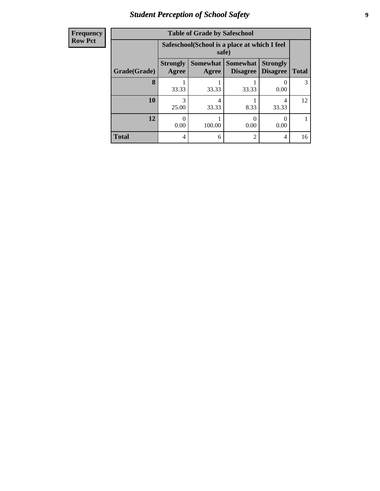# *Student Perception of School Safety* **9**

| Frequency      |
|----------------|
|                |
| <b>Row Pct</b> |
|                |

| <b>Table of Grade by Safeschool</b> |                          |                                                        |                             |                                    |              |  |  |  |  |
|-------------------------------------|--------------------------|--------------------------------------------------------|-----------------------------|------------------------------------|--------------|--|--|--|--|
|                                     |                          | Safeschool (School is a place at which I feel<br>safe) |                             |                                    |              |  |  |  |  |
| Grade(Grade)                        | <b>Strongly</b><br>Agree | Somewhat  <br>Agree                                    | Somewhat<br><b>Disagree</b> | <b>Strongly</b><br><b>Disagree</b> | <b>Total</b> |  |  |  |  |
| 8                                   | 33.33                    | 33.33                                                  | 33.33                       | 0.00                               | 3            |  |  |  |  |
| 10                                  | 3<br>25.00               | 4<br>33.33                                             | 8.33                        | 4<br>33.33                         | 12           |  |  |  |  |
| 12                                  | 0.00                     | 100.00                                                 | 0.00                        | 0.00                               |              |  |  |  |  |
| <b>Total</b>                        | 4                        | 6                                                      | $\overline{2}$              | 4                                  | 16           |  |  |  |  |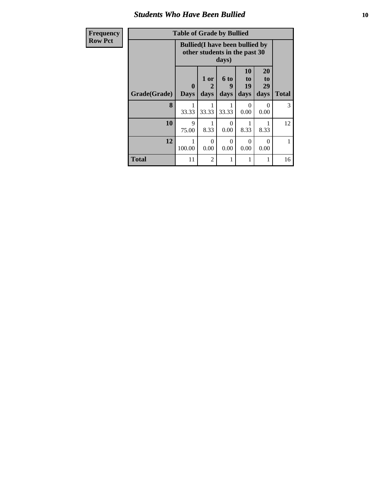#### *Students Who Have Been Bullied* **10**

| Frequency      | <b>Table of Grade by Bullied</b> |                             |                                                                                  |                          |                        |                               |              |  |  |
|----------------|----------------------------------|-----------------------------|----------------------------------------------------------------------------------|--------------------------|------------------------|-------------------------------|--------------|--|--|
| <b>Row Pct</b> |                                  |                             | <b>Bullied</b> (I have been bullied by<br>other students in the past 30<br>days) |                          |                        |                               |              |  |  |
|                | Grade(Grade)                     | $\mathbf{0}$<br><b>Days</b> | 1 or<br>2<br>days                                                                | <b>6 to</b><br>9<br>days | 10<br>to<br>19<br>days | <b>20</b><br>to<br>29<br>days | <b>Total</b> |  |  |
|                | 8                                | 33.33                       | 33.33                                                                            | 33.33                    | $\Omega$<br>0.00       | $\Omega$<br>0.00              | 3            |  |  |
|                | 10                               | 9<br>75.00                  | 8.33                                                                             | 0<br>0.00                | 1<br>8.33              | 8.33                          | 12           |  |  |
|                | 12                               | 100.00                      | $\Omega$<br>0.00                                                                 | $\Omega$<br>0.00         | $\Omega$<br>0.00       | $\Omega$<br>0.00              | 1            |  |  |
|                | <b>Total</b>                     | 11                          | $\overline{2}$                                                                   |                          | 1                      |                               | 16           |  |  |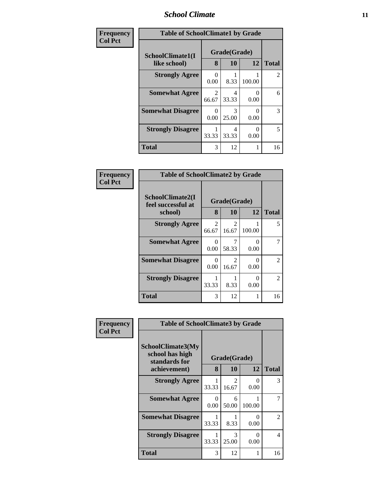#### *School Climate* **11**

| Frequency      | <b>Table of SchoolClimate1 by Grade</b> |                   |              |                  |                |  |
|----------------|-----------------------------------------|-------------------|--------------|------------------|----------------|--|
| <b>Col Pct</b> | SchoolClimate1(I<br>like school)        | Grade(Grade)<br>8 | <b>Total</b> |                  |                |  |
|                | <b>Strongly Agree</b>                   | 0.00              | 10<br>8.33   | 12<br>100.00     | $\overline{c}$ |  |
|                | <b>Somewhat Agree</b>                   | 2<br>66.67        | 4<br>33.33   | $\Omega$<br>0.00 | 6              |  |
|                | <b>Somewhat Disagree</b>                | ∩<br>0.00         | 3<br>25.00   | 0<br>0.00        | 3              |  |
|                | <b>Strongly Disagree</b>                | 33.33             | 4<br>33.33   | 0<br>0.00        | 5              |  |
|                | <b>Total</b>                            | 3                 | 12           | 1                | 16             |  |

| Frequency      | <b>Table of SchoolClimate2 by Grade</b>           |            |                                      |           |                |  |
|----------------|---------------------------------------------------|------------|--------------------------------------|-----------|----------------|--|
| <b>Col Pct</b> | SchoolClimate2(I<br>feel successful at<br>school) | 8          | Grade(Grade)<br><b>10</b>            | 12        | <b>Total</b>   |  |
|                | <b>Strongly Agree</b>                             | 2<br>66.67 | $\mathcal{D}_{\mathcal{L}}$<br>16.67 | 100.00    | 5              |  |
|                | <b>Somewhat Agree</b>                             | 0<br>0.00  | 58.33                                | 0<br>0.00 |                |  |
|                | <b>Somewhat Disagree</b>                          | 0<br>0.00  | 2<br>16.67                           | 0<br>0.00 | $\mathfrak{D}$ |  |
|                | <b>Strongly Disagree</b>                          | 33.33      | 8.33                                 | ∩<br>0.00 | $\mathfrak{D}$ |  |
|                | <b>Total</b>                                      | 3          | 12                                   |           | 16             |  |

| Frequency      | <b>Table of SchoolClimate3 by Grade</b>                               |                  |                        |           |              |  |
|----------------|-----------------------------------------------------------------------|------------------|------------------------|-----------|--------------|--|
| <b>Col Pct</b> | SchoolClimate3(My<br>school has high<br>standards for<br>achievement) | 8                | Grade(Grade)<br>10     | 12        | <b>Total</b> |  |
|                | <b>Strongly Agree</b>                                                 | 33.33            | $\mathcal{D}$<br>16.67 | 0<br>0.00 | 3            |  |
|                | <b>Somewhat Agree</b>                                                 | $\Omega$<br>0.00 | 6<br>50.00             | 100.00    | 7            |  |
|                | <b>Somewhat Disagree</b>                                              | 33.33            | 8.33                   | 0<br>0.00 | 2            |  |
|                | <b>Strongly Disagree</b>                                              | 33.33            | $\mathcal{R}$<br>25.00 | 0<br>0.00 | 4            |  |
|                | <b>Total</b>                                                          | 3                | 12                     | 1         | 16           |  |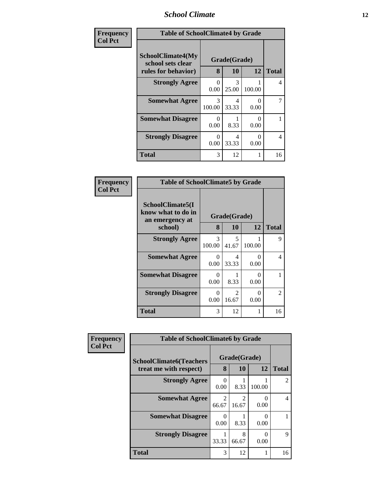### *School Climate* **12**

| Frequency      | <b>Table of SchoolClimate4 by Grade</b>                              |                           |                           |                           |              |  |
|----------------|----------------------------------------------------------------------|---------------------------|---------------------------|---------------------------|--------------|--|
| <b>Col Pct</b> | <b>SchoolClimate4(My</b><br>school sets clear<br>rules for behavior) | 8                         | Grade(Grade)<br><b>10</b> | 12                        | <b>Total</b> |  |
|                | <b>Strongly Agree</b>                                                | 0<br>0.00                 | 3<br>25.00                | 100.00                    | 4            |  |
|                | <b>Somewhat Agree</b>                                                | 3<br>100.00               | 4<br>33.33                | 0<br>0.00                 | 7            |  |
|                | <b>Somewhat Disagree</b>                                             | $\Omega$<br>0.00          | 8.33                      | $\mathbf{\Omega}$<br>0.00 |              |  |
|                | <b>Strongly Disagree</b>                                             | $\mathbf{\Omega}$<br>0.00 | 4<br>33.33                | 0<br>0.00                 | 4            |  |
|                | <b>Total</b>                                                         | 3                         | 12                        |                           | 16           |  |

| <b>Frequency</b><br>Col Pct |
|-----------------------------|
|                             |

| <b>Table of SchoolClimate5 by Grade</b>                   |                      |                        |             |               |  |  |  |
|-----------------------------------------------------------|----------------------|------------------------|-------------|---------------|--|--|--|
| SchoolClimate5(I<br>know what to do in<br>an emergency at | Grade(Grade)         |                        |             |               |  |  |  |
| school)                                                   | 8                    | 10                     | 12          | <b>Total</b>  |  |  |  |
| <b>Strongly Agree</b>                                     | 3<br>100.00          | 5<br>41.67             | 1<br>100.00 | 9             |  |  |  |
| <b>Somewhat Agree</b>                                     | 0<br>0.00            | 4<br>33.33             | 0<br>0.00   | 4             |  |  |  |
| <b>Somewhat Disagree</b>                                  | 0<br>0.00            | 8.33                   | 0<br>0.00   | 1             |  |  |  |
| <b>Strongly Disagree</b>                                  | $\mathbf{0}$<br>0.00 | $\mathcal{L}$<br>16.67 | 0<br>0.00   | $\mathcal{L}$ |  |  |  |
| Total                                                     | 3                    | 12                     | 1           | 16            |  |  |  |

| Frequency      | <b>Table of SchoolClimate6 by Grade</b>                  |                                |                         |        |                |
|----------------|----------------------------------------------------------|--------------------------------|-------------------------|--------|----------------|
| <b>Col Pct</b> | <b>SchoolClimate6(Teachers</b><br>treat me with respect) | Grade(Grade)<br>8<br><b>10</b> |                         | 12     | <b>Total</b>   |
|                | <b>Strongly Agree</b>                                    | 0<br>0.00                      | 8.33                    | 100.00 | $\mathfrak{D}$ |
|                | <b>Somewhat Agree</b>                                    | 2<br>66.67                     | $\overline{c}$<br>16.67 | 0.00   | 4              |
|                | <b>Somewhat Disagree</b>                                 | 0<br>0.00                      | 8.33                    | 0.00   |                |
|                | <b>Strongly Disagree</b>                                 | 33.33                          | 8<br>66.67              | 0.00   | 9              |
|                | <b>Total</b>                                             | 3                              | 12                      |        | 16             |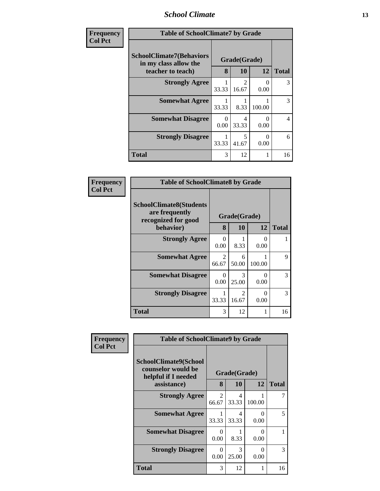#### *School Climate* **13**

| <b>Frequency</b> | <b>Table of SchoolClimate7 by Grade</b>                                       |                  |                                      |                      |              |
|------------------|-------------------------------------------------------------------------------|------------------|--------------------------------------|----------------------|--------------|
| <b>Col Pct</b>   | <b>SchoolClimate7(Behaviors</b><br>in my class allow the<br>teacher to teach) | 8                | Grade(Grade)<br>10                   | 12                   | <b>Total</b> |
|                  | <b>Strongly Agree</b>                                                         | 33.33            | $\mathcal{D}_{\mathcal{L}}$<br>16.67 | $\mathbf{0}$<br>0.00 | 3            |
|                  | <b>Somewhat Agree</b>                                                         | 33.33            | 8.33                                 | 100.00               | 3            |
|                  | <b>Somewhat Disagree</b>                                                      | $\Omega$<br>0.00 | 4<br>33.33                           | 0.00                 | 4            |
|                  | <b>Strongly Disagree</b>                                                      | 33.33            | 5<br>41.67                           | 0.00                 | 6            |
|                  | <b>Total</b>                                                                  | 3                | 12                                   |                      | 16           |

| Frequency      | <b>Table of SchoolClimate8 by Grade</b>                                 |                         |                                      |                       |               |
|----------------|-------------------------------------------------------------------------|-------------------------|--------------------------------------|-----------------------|---------------|
| <b>Col Pct</b> | <b>SchoolClimate8(Students</b><br>are frequently<br>recognized for good |                         | Grade(Grade)                         |                       |               |
|                | behavior)                                                               | 8                       | 10                                   | 12                    | <b>Total</b>  |
|                | <b>Strongly Agree</b>                                                   | $\Omega$<br>0.00        | 8.33                                 | O<br>0.00             |               |
|                | <b>Somewhat Agree</b>                                                   | $\mathfrak{D}$<br>66.67 | 6<br>50.00                           | 100.00                | 9             |
|                | <b>Somewhat Disagree</b>                                                | 0<br>0.00               | $\mathcal{R}$<br>25.00               | $\mathcal{O}$<br>0.00 | $\mathcal{F}$ |
|                | <b>Strongly Disagree</b>                                                | 33.33                   | $\mathcal{D}_{\mathcal{L}}$<br>16.67 | 0<br>0.00             | $\mathcal{R}$ |
|                | Total                                                                   | 3                       | 12                                   |                       | 16            |

| Frequency      | <b>Table of SchoolClimate9 by Grade</b>                                           |                         |                         |                  |              |
|----------------|-----------------------------------------------------------------------------------|-------------------------|-------------------------|------------------|--------------|
| <b>Col Pct</b> | SchoolClimate9(School<br>counselor would be<br>helpful if I needed<br>assistance) | 8                       | Grade(Grade)<br>10      | 12               | <b>Total</b> |
|                | <b>Strongly Agree</b>                                                             | $\mathfrak{D}$<br>66.67 | 4<br>33.33              | 100.00           | 7            |
|                | <b>Somewhat Agree</b>                                                             | 33.33                   | $\overline{4}$<br>33.33 | $\Omega$<br>0.00 | 5            |
|                | <b>Somewhat Disagree</b>                                                          | 0<br>0.00               | 8.33                    | 0<br>0.00        | 1            |
|                | <b>Strongly Disagree</b>                                                          | 0<br>0.00               | 3<br>25.00              | $\Omega$<br>0.00 | 3            |
|                | Total                                                                             | 3                       | 12                      |                  | 16           |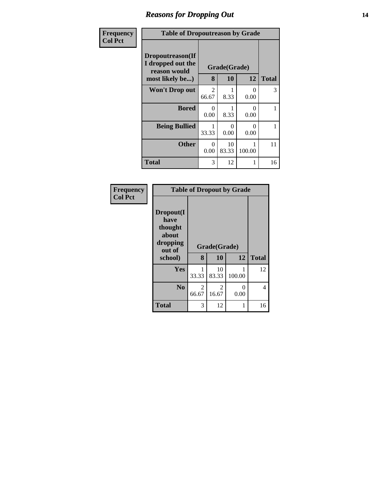# *Reasons for Dropping Out* **14**

| Frequency      | <b>Table of Dropoutreason by Grade</b>                                   |                         |                    |                  |              |
|----------------|--------------------------------------------------------------------------|-------------------------|--------------------|------------------|--------------|
| <b>Col Pct</b> | Dropoutreason(If<br>I dropped out the<br>reason would<br>most likely be) | 8                       | Grade(Grade)<br>10 | 12               | <b>Total</b> |
|                | <b>Won't Drop out</b>                                                    | $\overline{2}$<br>66.67 | 8.33               | 0<br>0.00        | 3            |
|                | <b>Bored</b>                                                             | 0<br>0.00               | 8.33               | $\Omega$<br>0.00 | 1            |
|                | <b>Being Bullied</b>                                                     | 1<br>33.33              | 0<br>0.00          | 0<br>0.00        | 1            |
|                | <b>Other</b>                                                             | 0<br>0.00               | 10<br>83.33        | 100.00           | 11           |
|                | Total                                                                    | 3                       | 12                 | 1                | 16           |

| Frequency<br><b>Col Pct</b> | <b>Table of Dropout by Grade</b>                                       |            |                    |           |              |  |  |
|-----------------------------|------------------------------------------------------------------------|------------|--------------------|-----------|--------------|--|--|
|                             | Dropout(I<br>have<br>thought<br>about<br>dropping<br>out of<br>school) | 8          | Grade(Grade)<br>10 | 12        | <b>Total</b> |  |  |
|                             | <b>Yes</b>                                                             | 1<br>33.33 | 10<br>83.33        | 100.00    | 12           |  |  |
|                             | N <sub>0</sub>                                                         | 2<br>66.67 | 2<br>16.67         | 0<br>0.00 | 4            |  |  |
|                             | <b>Total</b>                                                           | 3          | 12                 | 1         | 16           |  |  |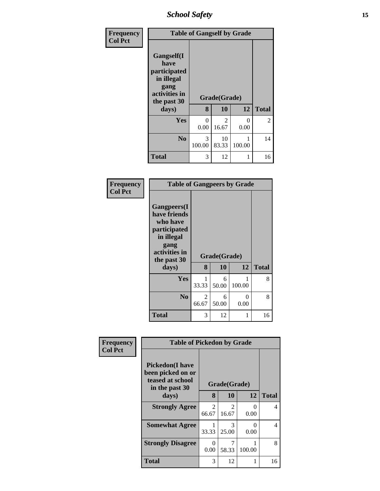*School Safety* **15**

| Frequency<br><b>Col Pct</b> | <b>Table of Gangself by Grade</b>                                                                 |                  |                        |                  |                |  |
|-----------------------------|---------------------------------------------------------------------------------------------------|------------------|------------------------|------------------|----------------|--|
|                             | Gangself(I<br>have<br>participated<br>in illegal<br>gang<br>activities in<br>the past 30<br>days) | 8                | Grade(Grade)<br>10     | 12               | <b>Total</b>   |  |
|                             | Yes                                                                                               | $\theta$<br>0.00 | $\mathcal{L}$<br>16.67 | $\Omega$<br>0.00 | $\overline{2}$ |  |
|                             | N <sub>0</sub>                                                                                    | 3<br>100.00      | 10<br>83.33            | 100.00           | 14             |  |
|                             | <b>Total</b>                                                                                      | 3                | 12                     |                  | 16             |  |

#### **Frequency Col Pct**

| <b>Table of Gangpeers by Grade</b>                                                    |              |            |             |              |  |  |  |
|---------------------------------------------------------------------------------------|--------------|------------|-------------|--------------|--|--|--|
| <b>Gangpeers</b> (I<br>have friends<br>who have<br>participated<br>in illegal<br>gang | Grade(Grade) |            |             |              |  |  |  |
| activities in<br>the past 30                                                          |              |            |             |              |  |  |  |
| days)                                                                                 | 8            | 10         | 12          | <b>Total</b> |  |  |  |
| Yes                                                                                   | 1<br>33.33   | 6<br>50.00 | 1<br>100.00 | 8            |  |  |  |
| N <sub>0</sub>                                                                        | 2<br>66.67   | 6<br>50.00 | 0<br>0.00   | 8            |  |  |  |

| Frequency      | <b>Table of Pickedon by Grade</b>                                                  |                         |                         |           |                |
|----------------|------------------------------------------------------------------------------------|-------------------------|-------------------------|-----------|----------------|
| <b>Col Pct</b> | <b>Pickedon</b> (I have<br>been picked on or<br>teased at school<br>in the past 30 |                         | Grade(Grade)            |           |                |
|                | days)                                                                              | 8                       | 10                      | 12        | <b>Total</b>   |
|                | <b>Strongly Agree</b>                                                              | $\overline{2}$<br>66.67 | $\overline{2}$<br>16.67 | 0<br>0.00 | 4              |
|                | <b>Somewhat Agree</b>                                                              | 1<br>33.33              | $\mathcal{R}$<br>25.00  | 0<br>0.00 | $\overline{4}$ |
|                | <b>Strongly Disagree</b>                                                           | 0<br>0.00               | 7<br>58.33              | 100.00    | 8              |
|                | <b>Total</b>                                                                       | 3                       | 12                      | 1         | 16             |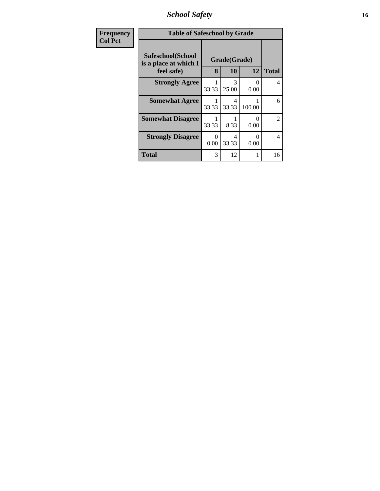*School Safety* **16**

| <b>Frequency</b> | <b>Table of Safeschool by Grade</b>                      |           |                    |                  |                |
|------------------|----------------------------------------------------------|-----------|--------------------|------------------|----------------|
| <b>Col Pct</b>   | Safeschool(School<br>is a place at which I<br>feel safe) | 8         | Grade(Grade)<br>10 | 12               | <b>Total</b>   |
|                  | <b>Strongly Agree</b>                                    | 33.33     | 3<br>25.00         | $\Omega$<br>0.00 | 4              |
|                  | <b>Somewhat Agree</b>                                    | 33.33     | 4<br>33.33         | 100.00           | 6              |
|                  | <b>Somewhat Disagree</b>                                 | 33.33     | 8.33               | 0<br>0.00        | $\overline{2}$ |
|                  | <b>Strongly Disagree</b>                                 | 0<br>0.00 | 4<br>33.33         | 0<br>0.00        | 4              |
|                  | <b>Total</b>                                             | 3         | 12                 | 1                | 16             |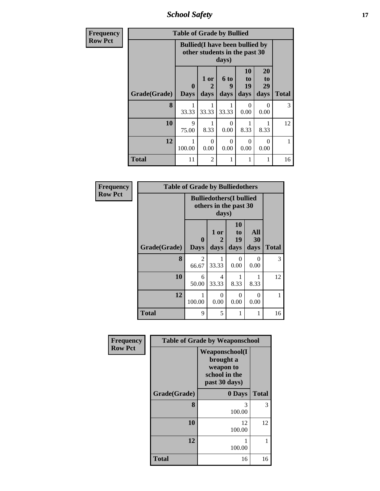*School Safety* **17**

| Frequency      | <b>Table of Grade by Bullied</b> |                             |                                                                                  |                   |                        |                        |              |
|----------------|----------------------------------|-----------------------------|----------------------------------------------------------------------------------|-------------------|------------------------|------------------------|--------------|
| <b>Row Pct</b> |                                  |                             | <b>Bullied</b> (I have been bullied by<br>other students in the past 30<br>days) |                   |                        |                        |              |
|                | Grade(Grade)                     | $\mathbf{0}$<br><b>Days</b> | 1 or<br>$\mathbf{2}$<br>days                                                     | 6 to<br>9<br>days | 10<br>to<br>19<br>days | 20<br>to<br>29<br>days | <b>Total</b> |
|                | 8                                | 33.33                       | 33.33                                                                            | 33.33             | $\Omega$<br>0.00       | 0<br>0.00              | 3            |
|                | 10                               | 9<br>75.00                  | 8.33                                                                             | 0<br>0.00         | 8.33                   | 8.33                   | 12           |
|                | 12                               | 100.00                      | $\Omega$<br>0.00                                                                 | 0<br>0.00         | $\Omega$<br>0.00       | $\Omega$<br>0.00       |              |
|                | <b>Total</b>                     | 11                          | $\overline{2}$                                                                   |                   |                        |                        | 16           |

| Frequency      | <b>Table of Grade by Bulliedothers</b> |                  |                                                                   |                        |                   |              |
|----------------|----------------------------------------|------------------|-------------------------------------------------------------------|------------------------|-------------------|--------------|
| <b>Row Pct</b> |                                        |                  | <b>Bulliedothers</b> (I bullied<br>others in the past 30<br>days) |                        |                   |              |
|                | Grade(Grade)                           | 0<br><b>Days</b> | 1 or<br>2<br>days                                                 | 10<br>to<br>19<br>days | All<br>30<br>days | <b>Total</b> |
|                | 8                                      | 2<br>66.67       | 33.33                                                             | 0<br>0.00              | $\Omega$<br>0.00  | 3            |
|                | 10                                     | 6<br>50.00       | 4<br>33.33                                                        | 8.33                   | 1<br>8.33         | 12           |
|                | 12                                     | 100.00           | $\Omega$<br>0.00                                                  | 0<br>0.00              | $\Omega$<br>0.00  |              |
|                | <b>Total</b>                           | 9                | 5                                                                 |                        | 1                 | 16           |

| Frequency      | <b>Table of Grade by Weaponschool</b> |                                                                                    |              |  |  |
|----------------|---------------------------------------|------------------------------------------------------------------------------------|--------------|--|--|
| <b>Row Pct</b> |                                       | <b>Weaponschool</b> (I<br>brought a<br>weapon to<br>school in the<br>past 30 days) |              |  |  |
|                | Grade(Grade)                          | 0 Days                                                                             | <b>Total</b> |  |  |
|                | 8                                     | 3<br>100.00                                                                        | 3            |  |  |
|                | 10                                    | 12<br>100.00                                                                       | 12           |  |  |
|                | 12                                    | 100.00                                                                             |              |  |  |
|                | <b>Total</b>                          | 16                                                                                 | 16           |  |  |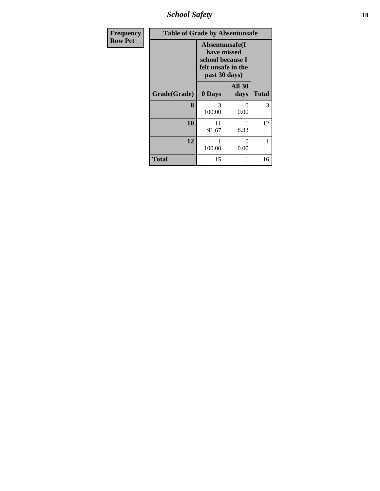*School Safety* **18**

| <b>Frequency</b> | <b>Table of Grade by Absentunsafe</b> |                                                                                          |                       |              |  |
|------------------|---------------------------------------|------------------------------------------------------------------------------------------|-----------------------|--------------|--|
| <b>Row Pct</b>   |                                       | Absentunsafe(I<br>have missed<br>school because I<br>felt unsafe in the<br>past 30 days) |                       |              |  |
|                  | Grade(Grade)                          | 0 Days                                                                                   | <b>All 30</b><br>days | <b>Total</b> |  |
|                  | 8                                     | 3<br>100.00                                                                              | 0<br>0.00             | 3            |  |
|                  | 10                                    | 11<br>91.67                                                                              | 1<br>8.33             | 12           |  |
|                  | 12                                    | 100.00                                                                                   | $\theta$<br>0.00      | 1            |  |
|                  | <b>Total</b>                          | 15                                                                                       | 1                     | 16           |  |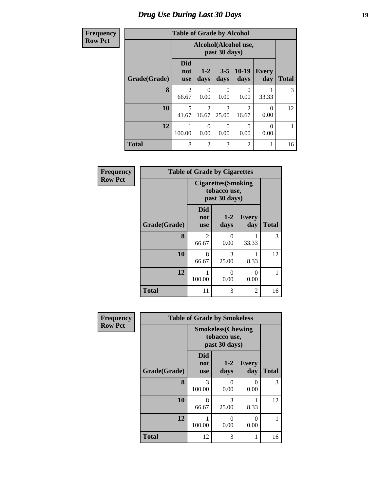# *Drug Use During Last 30 Days* **19**

#### **Frequency Row Pct**

| <b>Table of Grade by Alcohol</b> |  |  |
|----------------------------------|--|--|
|                                  |  |  |

| ency |              | <b>Table of Grade by Alcohol</b> |                                       |                  |                 |                     |              |
|------|--------------|----------------------------------|---------------------------------------|------------------|-----------------|---------------------|--------------|
| ct   |              |                                  | Alcohol(Alcohol use,<br>past 30 days) |                  |                 |                     |              |
|      | Grade(Grade) | <b>Did</b><br>not<br><b>use</b>  | $1-2$<br>days                         | $3 - 5$<br>days  | $10-19$<br>days | <b>Every</b><br>day | <b>Total</b> |
|      | 8            | 2<br>66.67                       | $\theta$<br>0.00                      | $\theta$<br>0.00 | 0<br>0.00       | 33.33               | 3            |
|      | 10           | 5<br>41.67                       | $\overline{2}$<br>16.67               | 3<br>25.00       | 2<br>16.67      | $\theta$<br>0.00    | 12           |
|      | 12           | 100.00                           | $\theta$<br>0.00                      | 0<br>0.00        | 0<br>0.00       | 0.00                |              |
|      | <b>Total</b> | 8                                | $\overline{2}$                        | 3                | $\overline{2}$  |                     | 16           |

| Frequency      | <b>Table of Grade by Cigarettes</b> |                                                             |                  |                     |              |  |  |
|----------------|-------------------------------------|-------------------------------------------------------------|------------------|---------------------|--------------|--|--|
| <b>Row Pct</b> |                                     | <b>Cigarettes</b> (Smoking<br>tobacco use,<br>past 30 days) |                  |                     |              |  |  |
|                | Grade(Grade)                        | <b>Did</b><br>not<br><b>use</b>                             | $1-2$<br>days    | <b>Every</b><br>day | <b>Total</b> |  |  |
|                | 8                                   | $\mathfrak{D}$<br>66.67                                     | 0<br>0.00        | 33.33               | 3            |  |  |
|                | 10                                  | 8<br>66.67                                                  | 3<br>25.00       | 8.33                | 12           |  |  |
|                | 12                                  | 1<br>100.00                                                 | $\Omega$<br>0.00 | $\Omega$<br>0.00    | 1            |  |  |
|                | <b>Total</b>                        | 11                                                          | 3                | 2                   | 16           |  |  |

| Frequency      | <b>Table of Grade by Smokeless</b> |                                                            |                  |                     |              |  |  |
|----------------|------------------------------------|------------------------------------------------------------|------------------|---------------------|--------------|--|--|
| <b>Row Pct</b> |                                    | <b>Smokeless</b> (Chewing<br>tobacco use,<br>past 30 days) |                  |                     |              |  |  |
|                | Grade(Grade)                       | <b>Did</b><br>not<br><b>use</b>                            | $1 - 2$<br>days  | <b>Every</b><br>day | <b>Total</b> |  |  |
|                | 8                                  | 3<br>100.00                                                | 0<br>0.00        | $\Omega$<br>0.00    | 3            |  |  |
|                | 10                                 | 8<br>66.67                                                 | 3<br>25.00       | 8.33                | 12           |  |  |
|                | 12                                 | 100.00                                                     | $\theta$<br>0.00 | $\Omega$<br>0.00    |              |  |  |
|                | <b>Total</b>                       | 12                                                         | 3                | 1                   | 16           |  |  |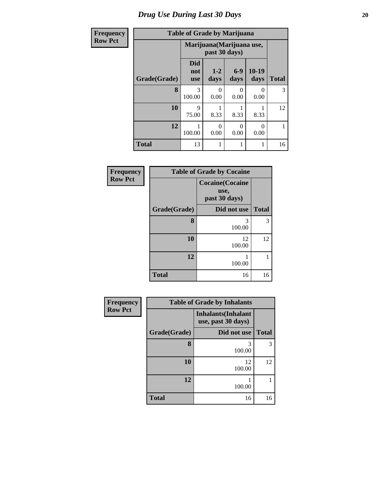### *Drug Use During Last 30 Days* 20

#### **Frequency Row Pct**

Г Ъ

# **Table of Grade by Marijuana**

| CV | Table of Grade by Marijuana |                                 |                                            |                 |                 |              |  |
|----|-----------------------------|---------------------------------|--------------------------------------------|-----------------|-----------------|--------------|--|
|    |                             |                                 | Marijuana (Marijuana use,<br>past 30 days) |                 |                 |              |  |
|    | Grade(Grade)                | <b>Did</b><br>not<br><b>use</b> | $1-2$<br>days                              | $6 - 9$<br>days | $10-19$<br>days | <b>Total</b> |  |
|    | 8                           | 3<br>100.00                     | $\theta$<br>0.00                           | 0<br>0.00       | 0<br>0.00       | 3            |  |
|    | 10                          | 9<br>75.00                      | 8.33                                       | 8.33            | 8.33            | 12           |  |
|    | 12                          | 100.00                          | 0<br>0.00                                  | 0<br>0.00       | ∩<br>0.00       | 1            |  |
|    | <b>Total</b>                | 13                              | 1                                          |                 |                 | 16           |  |

| Frequency      | <b>Table of Grade by Cocaine</b> |                                                  |              |  |
|----------------|----------------------------------|--------------------------------------------------|--------------|--|
| <b>Row Pct</b> |                                  | <b>Cocaine</b> (Cocaine<br>use,<br>past 30 days) |              |  |
|                | Grade(Grade)                     | Did not use                                      | <b>Total</b> |  |
|                | 8                                | 3<br>100.00                                      | 3            |  |
|                | 10                               | 12<br>100.00                                     | 12           |  |
|                | 12                               | 100.00                                           | 1            |  |
|                | <b>Total</b>                     | 16                                               | 16           |  |

| Frequency      |              | <b>Table of Grade by Inhalants</b>               |              |
|----------------|--------------|--------------------------------------------------|--------------|
| <b>Row Pct</b> |              | <b>Inhalants</b> (Inhalant<br>use, past 30 days) |              |
|                | Grade(Grade) | Did not use                                      | <b>Total</b> |
|                | 8            | 3<br>100.00                                      | 3            |
|                | 10           | 12<br>100.00                                     | 12           |
|                | 12           | 100.00                                           |              |
|                | <b>Total</b> | 16                                               | 16           |

٦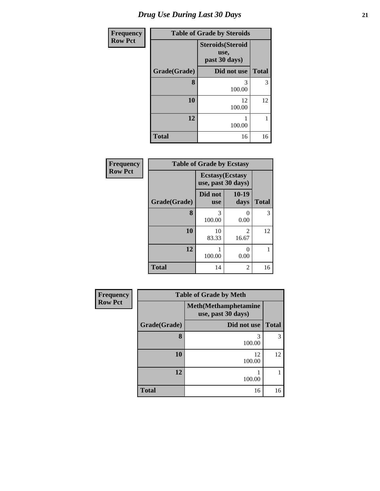| <b>Frequency</b> |              | <b>Table of Grade by Steroids</b>                |              |
|------------------|--------------|--------------------------------------------------|--------------|
| <b>Row Pct</b>   |              | <b>Steroids(Steroid</b><br>use,<br>past 30 days) |              |
|                  | Grade(Grade) | Did not use                                      | <b>Total</b> |
|                  | 8            | 3<br>100.00                                      | 3            |
|                  | 10           | 12<br>100.00                                     | 12           |
|                  | 12           | 100.00                                           |              |
|                  | <b>Total</b> | 16                                               | 16           |

| Frequency      | <b>Table of Grade by Ecstasy</b> |                                               |                         |              |  |  |
|----------------|----------------------------------|-----------------------------------------------|-------------------------|--------------|--|--|
| <b>Row Pct</b> |                                  | <b>Ecstasy</b> (Ecstasy<br>use, past 30 days) |                         |              |  |  |
|                | Grade(Grade)                     | Did not<br><b>use</b>                         | $10-19$<br>days         | <b>Total</b> |  |  |
|                | 8                                | 3<br>100.00                                   | 0<br>0.00               | 3            |  |  |
|                | 10                               | 10<br>83.33                                   | $\mathfrak{D}$<br>16.67 | 12           |  |  |
|                | 12                               | 100.00                                        | 0<br>0.00               |              |  |  |
|                | <b>Total</b>                     | 14                                            | 2                       | 16           |  |  |

| Frequency      | <b>Table of Grade by Meth</b> |                                                    |              |  |  |
|----------------|-------------------------------|----------------------------------------------------|--------------|--|--|
| <b>Row Pct</b> |                               | <b>Meth</b> (Methamphetamine<br>use, past 30 days) |              |  |  |
|                | Grade(Grade)                  | Did not use                                        | <b>Total</b> |  |  |
|                | 8                             | 3<br>100.00                                        | 3            |  |  |
|                | 10                            | 12<br>100.00                                       | 12           |  |  |
|                | 12                            | 100.00                                             |              |  |  |
|                | <b>Total</b>                  | 16                                                 | 16           |  |  |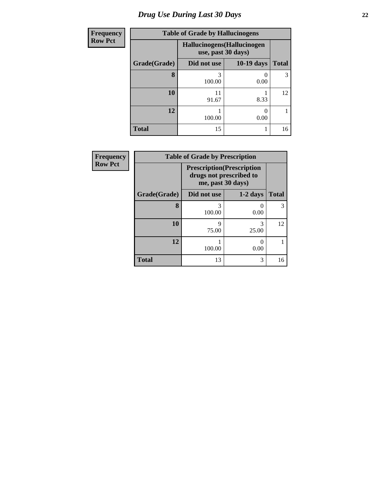# *Drug Use During Last 30 Days* **22**

| <b>Frequency</b> | <b>Table of Grade by Hallucinogens</b> |                                                   |                   |              |  |  |
|------------------|----------------------------------------|---------------------------------------------------|-------------------|--------------|--|--|
| <b>Row Pct</b>   |                                        | Hallucinogens (Hallucinogen<br>use, past 30 days) |                   |              |  |  |
|                  | Grade(Grade)                           | Did not use                                       | <b>10-19 days</b> | <b>Total</b> |  |  |
|                  | 8                                      | 3<br>100.00                                       | 0.00              | 3            |  |  |
|                  | 10                                     | 11<br>91.67                                       | 8.33              | 12           |  |  |
|                  | 12                                     | 100.00                                            | 0.00              |              |  |  |
|                  | <b>Total</b>                           | 15                                                |                   | 16           |  |  |

| <b>Frequency</b> | <b>Table of Grade by Prescription</b> |                                                                                   |            |              |  |  |
|------------------|---------------------------------------|-----------------------------------------------------------------------------------|------------|--------------|--|--|
| <b>Row Pct</b>   |                                       | <b>Prescription</b> (Prescription<br>drugs not prescribed to<br>me, past 30 days) |            |              |  |  |
|                  | Grade(Grade)                          | Did not use                                                                       | $1-2$ days | <b>Total</b> |  |  |
|                  | 8                                     | 3<br>100.00                                                                       | 0.00       | 3            |  |  |
|                  | 10                                    | Q<br>75.00                                                                        | 3<br>25.00 | 12           |  |  |
|                  | 12                                    | 100.00                                                                            | 0.00       |              |  |  |
|                  | <b>Total</b>                          | 13                                                                                | 3          | 16           |  |  |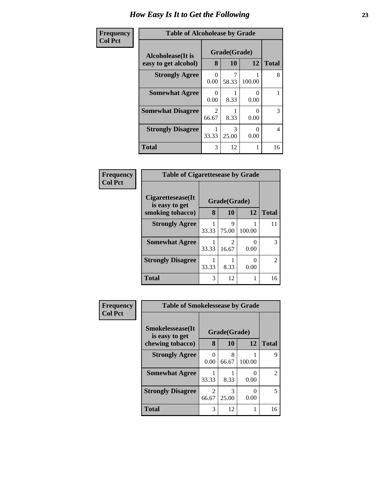| <b>Frequency</b> | <b>Table of Alcoholease by Grade</b> |                         |            |           |              |
|------------------|--------------------------------------|-------------------------|------------|-----------|--------------|
| <b>Col Pct</b>   | Alcoholease(It is                    | Grade(Grade)            |            |           |              |
|                  | easy to get alcohol)                 | 8                       | 10         | 12        | <b>Total</b> |
|                  | <b>Strongly Agree</b>                | 0<br>0.00               | 58.33      | 100.00    | 8            |
|                  | <b>Somewhat Agree</b>                | 0<br>0.00               | 8.33       | 0<br>0.00 |              |
|                  | <b>Somewhat Disagree</b>             | $\mathfrak{D}$<br>66.67 | 8.33       | 0<br>0.00 | 3            |
|                  | <b>Strongly Disagree</b>             | 33.33                   | 3<br>25.00 | 0<br>0.00 | 4            |
|                  | <b>Total</b>                         | 3                       | 12         | 1         | 16           |

| Frequency      | <b>Table of Cigarettesease by Grade</b> |       |              |           |                |  |
|----------------|-----------------------------------------|-------|--------------|-----------|----------------|--|
| <b>Col Pct</b> | Cigarettesease(It)<br>is easy to get    |       | Grade(Grade) |           |                |  |
|                | smoking tobacco)                        | 8     | 10           | <b>12</b> | <b>Total</b>   |  |
|                | <b>Strongly Agree</b>                   | 33.33 | 9<br>75.00   | 100.00    | 11             |  |
|                | <b>Somewhat Agree</b>                   | 33.33 | 2<br>16.67   | 0<br>0.00 | 3              |  |
|                | <b>Strongly Disagree</b>                | 33.33 | 8.33         | 0<br>0.00 | $\overline{c}$ |  |
|                | Total                                   | 3     | 12           | 1         | 16             |  |

| <b>Frequency</b> | <b>Table of Smokelessease by Grade</b>     |                         |            |        |              |
|------------------|--------------------------------------------|-------------------------|------------|--------|--------------|
| <b>Col Pct</b>   | <b>Smokelessease</b> (It<br>is easy to get | Grade(Grade)            |            |        |              |
|                  | chewing tobacco)                           | 8                       | 10         | 12     | <b>Total</b> |
|                  | <b>Strongly Agree</b>                      | $\mathbf{0}$<br>0.00    | 8<br>66.67 | 100.00 | 9            |
|                  | <b>Somewhat Agree</b>                      | 33.33                   | 8.33       | 0.00   | 2            |
|                  | <b>Strongly Disagree</b>                   | $\overline{2}$<br>66.67 | 3<br>25.00 | 0.00   | 5            |
|                  | Total                                      | 3                       | 12         | 1      | 16           |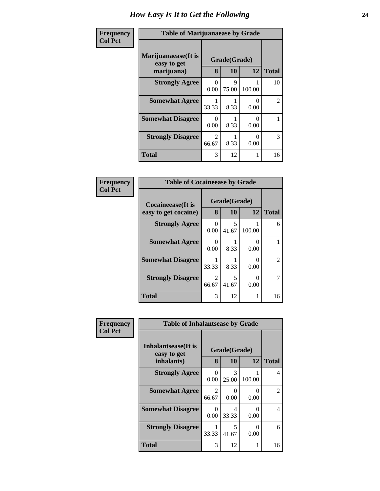| Frequency      | <b>Table of Marijuanaease by Grade</b>           |                         |                           |                  |                |
|----------------|--------------------------------------------------|-------------------------|---------------------------|------------------|----------------|
| <b>Col Pct</b> | Marijuanaease(It is<br>easy to get<br>marijuana) | 8                       | Grade(Grade)<br><b>10</b> | 12               | <b>Total</b>   |
|                | <b>Strongly Agree</b>                            | 0<br>0.00               | 9<br>75.00                | 100.00           | 10             |
|                | <b>Somewhat Agree</b>                            | 33.33                   | 8.33                      | 0<br>0.00        | $\overline{2}$ |
|                | <b>Somewhat Disagree</b>                         | $\mathbf{0}$<br>0.00    | 8.33                      | $\Omega$<br>0.00 |                |
|                | <b>Strongly Disagree</b>                         | $\mathfrak{D}$<br>66.67 | 8.33                      | 0<br>0.00        | 3              |
|                | <b>Total</b>                                     | 3                       | 12                        |                  | 16             |

| Frequency      | <b>Table of Cocaineease by Grade</b>      |                  |                    |                  |               |
|----------------|-------------------------------------------|------------------|--------------------|------------------|---------------|
| <b>Col Pct</b> | Cocaineease(It is<br>easy to get cocaine) | 8                | Grade(Grade)<br>10 | 12               | <b>Total</b>  |
|                | <b>Strongly Agree</b>                     | $\Omega$<br>0.00 | 5<br>41.67         | 100.00           | 6             |
|                | <b>Somewhat Agree</b>                     | 0<br>0.00        | 8.33               | 0<br>0.00        |               |
|                | <b>Somewhat Disagree</b>                  | 33.33            | 8.33               | $\theta$<br>0.00 | $\mathcal{L}$ |
|                | <b>Strongly Disagree</b>                  | 2<br>66.67       | 5<br>41.67         | 0<br>0.00        |               |
|                | <b>Total</b>                              | 3                | 12                 | 1                | 16            |

| <b>Frequency</b> | <b>Table of Inhalantsease by Grade</b> |                         |                      |                  |                |
|------------------|----------------------------------------|-------------------------|----------------------|------------------|----------------|
| <b>Col Pct</b>   | Inhalantsease(It is<br>easy to get     | Grade(Grade)            |                      |                  |                |
|                  | inhalants)                             | 8                       | 10                   | 12               | <b>Total</b>   |
|                  | <b>Strongly Agree</b>                  | 0<br>0.00               | 3<br>25.00           | 100.00           | 4              |
|                  | <b>Somewhat Agree</b>                  | $\mathfrak{D}$<br>66.67 | $\mathbf{0}$<br>0.00 | $\Omega$<br>0.00 | $\mathfrak{D}$ |
|                  | <b>Somewhat Disagree</b>               | $\mathbf{0}$<br>0.00    | 4<br>33.33           | $\Omega$<br>0.00 | 4              |
|                  | <b>Strongly Disagree</b>               | 33.33                   | 5<br>41.67           | $\Omega$<br>0.00 | 6              |
|                  | <b>Total</b>                           | 3                       | 12                   |                  | 16             |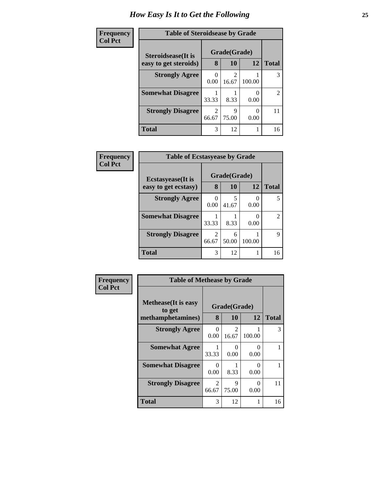| Frequency      | <b>Table of Steroidsease by Grade</b>       |       |                         |           |                |
|----------------|---------------------------------------------|-------|-------------------------|-----------|----------------|
| <b>Col Pct</b> | Steroidsease(It is<br>easy to get steroids) | 8     | Grade(Grade)<br>10      | 12        | <b>Total</b>   |
|                | <b>Strongly Agree</b>                       | 0.00  | $\mathfrak{D}$<br>16.67 | 100.00    | 3              |
|                | <b>Somewhat Disagree</b>                    | 33.33 | 8.33                    | 0.00      | $\overline{2}$ |
|                | <b>Strongly Disagree</b>                    | 66.67 | Q<br>75.00              | 0<br>0.00 | 11             |
|                | <b>Total</b>                                | 3     | 12                      |           | 16             |

| Frequency      | <b>Table of Ecstasyease by Grade</b>              |       |                    |        |              |
|----------------|---------------------------------------------------|-------|--------------------|--------|--------------|
| <b>Col Pct</b> | <b>Ecstasyease</b> (It is<br>easy to get ecstasy) | 8     | Grade(Grade)<br>10 | 12     | <b>Total</b> |
|                | <b>Strongly Agree</b>                             | 0.00  | 41.67              | 0.00   | 5            |
|                | <b>Somewhat Disagree</b>                          | 33.33 | 8.33               | 0.00   | 2            |
|                | <b>Strongly Disagree</b>                          | 66.67 | 6<br>50.00         | 100.00 | 9            |
|                | <b>Total</b>                                      | 3     | 12                 |        | 16           |

| <b>Frequency</b> | <b>Table of Methease by Grade</b>                          |                         |                           |           |              |
|------------------|------------------------------------------------------------|-------------------------|---------------------------|-----------|--------------|
| <b>Col Pct</b>   | <b>Methease</b> (It is easy<br>to get<br>methamphetamines) | 8                       | Grade(Grade)<br>10        | 12        | <b>Total</b> |
|                  | <b>Strongly Agree</b>                                      | $\Omega$<br>0.00        | $\mathcal{D}$<br>16.67    | 100.00    | 3            |
|                  | <b>Somewhat Agree</b>                                      | 33.33                   | $\mathbf{\Omega}$<br>0.00 | 0<br>0.00 |              |
|                  | <b>Somewhat Disagree</b>                                   | $\Omega$<br>0.00        | 8.33                      | ∩<br>0.00 |              |
|                  | <b>Strongly Disagree</b>                                   | $\mathfrak{D}$<br>66.67 | Q<br>75.00                | 0<br>0.00 | 11           |
|                  | Total                                                      | 3                       | 12                        |           | 16           |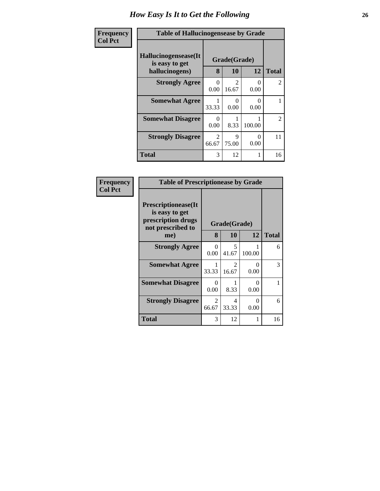| Frequency      | <b>Table of Hallucinogensease by Grade</b>               |                  |                                      |           |                |
|----------------|----------------------------------------------------------|------------------|--------------------------------------|-----------|----------------|
| <b>Col Pct</b> | Hallucinogensease(It<br>is easy to get<br>hallucinogens) | 8                | Grade(Grade)<br>10                   | <b>12</b> | <b>Total</b>   |
|                | <b>Strongly Agree</b>                                    | $\Omega$<br>0.00 | $\mathcal{D}_{\mathcal{A}}$<br>16.67 | 0<br>0.00 | $\overline{c}$ |
|                | <b>Somewhat Agree</b>                                    | 33.33            | 0.00                                 | ∩<br>0.00 |                |
|                | <b>Somewhat Disagree</b>                                 | 0<br>0.00        | 8.33                                 | 100.00    | $\overline{c}$ |
|                | <b>Strongly Disagree</b>                                 | 2<br>66.67       | 9<br>75.00                           | 0<br>0.00 | 11             |
|                | <b>Total</b>                                             | 3                | 12                                   |           | 16             |

| Frequency      | <b>Table of Prescriptionease by Grade</b>                                                |                  |            |           |              |
|----------------|------------------------------------------------------------------------------------------|------------------|------------|-----------|--------------|
| <b>Col Pct</b> | <b>Prescriptionease</b> (It<br>is easy to get<br>prescription drugs<br>not prescribed to | Grade(Grade)     |            |           |              |
|                | me)                                                                                      | 8                | <b>10</b>  | 12        | <b>Total</b> |
|                | <b>Strongly Agree</b>                                                                    | $\Omega$<br>0.00 | 5<br>41.67 | 100.00    | 6            |
|                | <b>Somewhat Agree</b>                                                                    | 33.33            | 2<br>16.67 | 0<br>0.00 | 3            |
|                | <b>Somewhat Disagree</b>                                                                 | 0<br>0.00        | 8.33       | ∩<br>0.00 | 1            |
|                | <b>Strongly Disagree</b>                                                                 | 2<br>66.67       | 4<br>33.33 | 0<br>0.00 | 6            |
|                | <b>Total</b>                                                                             | 3                | 12         |           | 16           |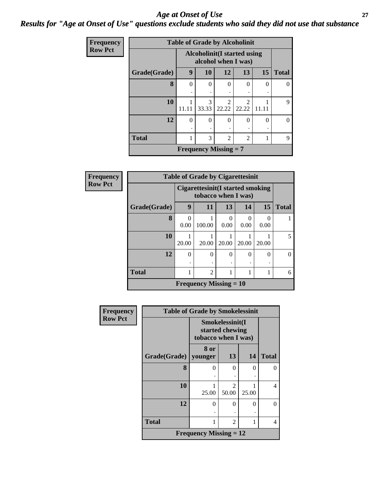#### *Age at Onset of Use* **27** *Results for "Age at Onset of Use" questions exclude students who said they did not use that substance*

| Frequency      |              | <b>Table of Grade by Alcoholinit</b> |                                                     |                |                |           |          |  |  |  |
|----------------|--------------|--------------------------------------|-----------------------------------------------------|----------------|----------------|-----------|----------|--|--|--|
| <b>Row Pct</b> |              |                                      | Alcoholinit (I started using<br>alcohol when I was) |                |                |           |          |  |  |  |
|                | Grade(Grade) | 9                                    | 10                                                  | 12             | 13             | <b>15</b> | Total    |  |  |  |
|                | 8            | $\Omega$                             | $\Omega$                                            | $\Omega$       | $\Omega$       | $\Omega$  | $\Omega$ |  |  |  |
|                |              |                                      |                                                     |                |                |           |          |  |  |  |
|                | 10           |                                      | 3                                                   | $\mathfrak{D}$ | $\overline{2}$ |           | 9        |  |  |  |
|                |              | 11.11                                | 33.33                                               | 22.22          | 22.22          | 11.11     |          |  |  |  |
|                | 12           | $\Omega$                             | $\Omega$                                            | $\Omega$       | $\theta$       | $\Omega$  | 0        |  |  |  |
|                |              |                                      |                                                     |                |                |           |          |  |  |  |
|                | <b>Total</b> |                                      | 3                                                   | $\overline{c}$ | $\overline{c}$ |           | 9        |  |  |  |
|                |              |                                      | <b>Frequency Missing = 7</b>                        |                |                |           |          |  |  |  |

| Frequency      | <b>Table of Grade by Cigarettesinit</b> |                                                          |                               |           |           |                      |              |
|----------------|-----------------------------------------|----------------------------------------------------------|-------------------------------|-----------|-----------|----------------------|--------------|
| <b>Row Pct</b> |                                         | Cigarettesinit (I started smoking<br>tobacco when I was) |                               |           |           |                      |              |
|                | Grade(Grade)                            | 9                                                        | 11                            | 13        | 14        | 15                   | <b>Total</b> |
|                | 8                                       | $\Omega$<br>0.00                                         | 100.00                        | 0<br>0.00 | 0<br>0.00 | $\mathbf{0}$<br>0.00 |              |
|                | 10                                      | 20.00                                                    | 20.00                         | 20.00     | 20.00     | 20.00                |              |
|                | 12                                      | $\Omega$                                                 | $\Omega$                      | $\Omega$  | $\Omega$  | $\Omega$             |              |
|                | <b>Total</b>                            | 1                                                        | $\overline{c}$                |           |           |                      | 6            |
|                |                                         |                                                          | <b>Frequency Missing = 10</b> |           |           |                      |              |

| Frequency      | <b>Table of Grade by Smokelessinit</b> |                               |                                      |          |              |  |  |
|----------------|----------------------------------------|-------------------------------|--------------------------------------|----------|--------------|--|--|
| <b>Row Pct</b> |                                        | tobacco when I was)           | Smokelessinit(I<br>started chewing   |          |              |  |  |
|                | Grade(Grade)                           | 8 or<br>younger               | 13                                   | 14       | <b>Total</b> |  |  |
|                | 8                                      | $\theta$                      | 0                                    | $\Omega$ | 0            |  |  |
|                | 10                                     | 25.00                         | $\mathcal{D}_{\mathcal{L}}$<br>50.00 | 25.00    | 4            |  |  |
|                | 12                                     | $\theta$                      | 0                                    | $\Omega$ | 0            |  |  |
|                | <b>Total</b>                           | 1                             | $\overline{2}$                       | 1        | 4            |  |  |
|                |                                        | <b>Frequency Missing = 12</b> |                                      |          |              |  |  |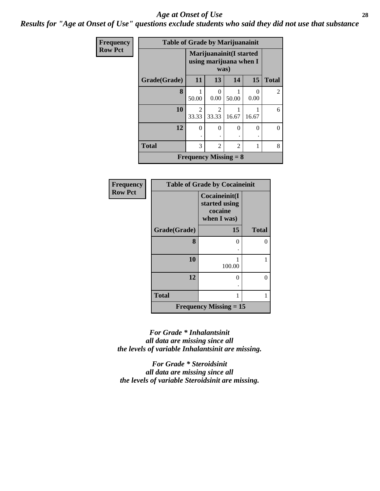#### *Age at Onset of Use* **28**

*Results for "Age at Onset of Use" questions exclude students who said they did not use that substance*

| <b>Frequency</b> | <b>Table of Grade by Marijuanainit</b> |            |                  |                                                    |           |                |  |  |
|------------------|----------------------------------------|------------|------------------|----------------------------------------------------|-----------|----------------|--|--|
| <b>Row Pct</b>   |                                        |            | was)             | Marijuanainit (I started<br>using marijuana when I |           |                |  |  |
|                  | Grade(Grade)                           | 11         | 13               | 14                                                 | 15        | <b>Total</b>   |  |  |
|                  | 8                                      | 50.00      | $\theta$<br>0.00 | 50.00                                              | 0<br>0.00 | $\overline{2}$ |  |  |
|                  | 10                                     | 2<br>33.33 | 2<br>33.33       | 1<br>16.67                                         | 16.67     | 6              |  |  |
|                  | 12                                     | $\theta$   | $\theta$         | $\theta$                                           | $\theta$  | $\theta$       |  |  |
|                  | <b>Total</b>                           | 3          | $\mathfrak{D}$   | $\mathfrak{D}$                                     | 1         | 8              |  |  |
|                  |                                        |            |                  | <b>Frequency Missing = 8</b>                       |           |                |  |  |

| Frequency      | <b>Table of Grade by Cocaineinit</b> |                                                          |              |  |  |
|----------------|--------------------------------------|----------------------------------------------------------|--------------|--|--|
| <b>Row Pct</b> |                                      | Cocaineinit(I<br>started using<br>cocaine<br>when I was) |              |  |  |
|                | Grade(Grade)                         | 15                                                       | <b>Total</b> |  |  |
|                | 8                                    | 0                                                        | 0            |  |  |
|                | 10                                   | 100.00                                                   |              |  |  |
|                | 12                                   | 0                                                        | 0            |  |  |
|                | <b>Total</b>                         | 1                                                        | 1            |  |  |
|                |                                      | <b>Frequency Missing <math>= 15</math></b>               |              |  |  |

*For Grade \* Inhalantsinit all data are missing since all the levels of variable Inhalantsinit are missing.*

*For Grade \* Steroidsinit all data are missing since all the levels of variable Steroidsinit are missing.*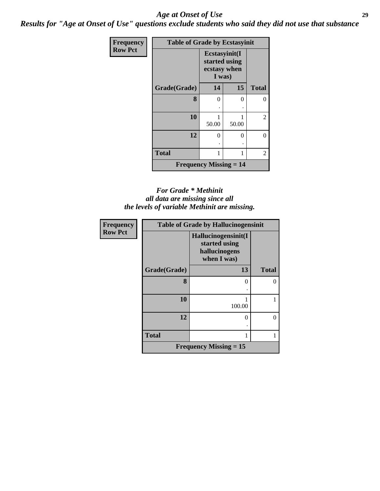#### *Age at Onset of Use* **29**

*Results for "Age at Onset of Use" questions exclude students who said they did not use that substance*

| Frequency      | <b>Table of Grade by Ecstasyinit</b>       |                                                          |          |              |  |  |
|----------------|--------------------------------------------|----------------------------------------------------------|----------|--------------|--|--|
| <b>Row Pct</b> |                                            | Ecstasyinit(I<br>started using<br>ecstasy when<br>I was) |          |              |  |  |
|                | Grade(Grade)                               | 14                                                       | 15       | <b>Total</b> |  |  |
|                | 8                                          | 0                                                        | $\Omega$ | 0            |  |  |
|                | 10                                         | 50.00                                                    | 50.00    | 2            |  |  |
|                | 12                                         | $\theta$                                                 | 0        | 0            |  |  |
|                | <b>Total</b>                               | 1                                                        |          | 2            |  |  |
|                | <b>Frequency Missing <math>= 14</math></b> |                                                          |          |              |  |  |

#### *For Grade \* Methinit all data are missing since all the levels of variable Methinit are missing.*

| Frequency      | <b>Table of Grade by Hallucinogensinit</b> |                                                                      |              |  |  |
|----------------|--------------------------------------------|----------------------------------------------------------------------|--------------|--|--|
| <b>Row Pct</b> |                                            | Hallucinogensinit(I<br>started using<br>hallucinogens<br>when I was) |              |  |  |
|                | Grade(Grade)                               | 13                                                                   | <b>Total</b> |  |  |
|                | 8                                          | ∩                                                                    |              |  |  |
|                | 10                                         | 100.00                                                               |              |  |  |
|                | 12                                         | $\Omega$                                                             | 0            |  |  |
|                | <b>Total</b>                               |                                                                      |              |  |  |
|                |                                            | <b>Frequency Missing <math>= 15</math></b>                           |              |  |  |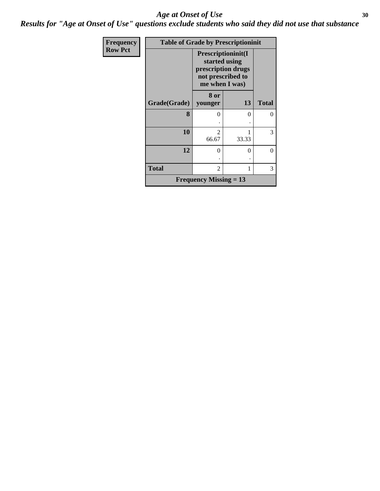#### Age at Onset of Use **30**

*Results for "Age at Onset of Use" questions exclude students who said they did not use that substance*

| Frequency      | <b>Table of Grade by Prescriptioninit</b> |                                                                                                  |       |              |  |  |
|----------------|-------------------------------------------|--------------------------------------------------------------------------------------------------|-------|--------------|--|--|
| <b>Row Pct</b> |                                           | Prescriptioninit(I<br>started using<br>prescription drugs<br>not prescribed to<br>me when I was) |       |              |  |  |
|                | Grade(Grade)                              | 8 or<br>younger                                                                                  | 13    | <b>Total</b> |  |  |
|                | 8                                         | $\mathbf{\Omega}$                                                                                | 0     | $\theta$     |  |  |
|                | 10                                        | $\mathcal{D}$<br>66.67                                                                           | 33.33 | 3            |  |  |
|                | 12                                        | $\Omega$                                                                                         | 0     | $\theta$     |  |  |
|                | <b>Total</b>                              | $\overline{\mathcal{L}}$                                                                         | 1     | 3            |  |  |
|                |                                           | <b>Frequency Missing = 13</b>                                                                    |       |              |  |  |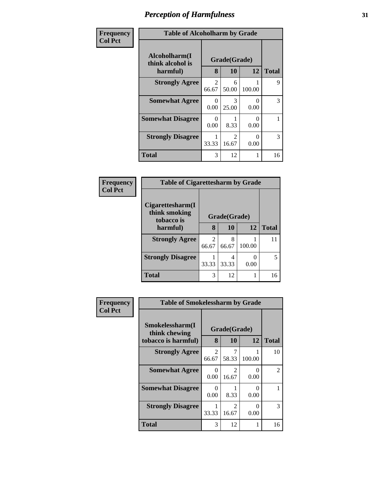| Frequency      | <b>Table of Alcoholharm by Grade</b>          |                  |                                      |           |              |
|----------------|-----------------------------------------------|------------------|--------------------------------------|-----------|--------------|
| <b>Col Pct</b> | Alcoholharm(I<br>think alcohol is<br>harmful) | 8                | Grade(Grade)<br>10                   | 12        | <b>Total</b> |
|                | <b>Strongly Agree</b>                         | 2<br>66.67       | 6<br>50.00                           | 100.00    | 9            |
|                | <b>Somewhat Agree</b>                         | 0<br>0.00        | 3<br>25.00                           | 0<br>0.00 | 3            |
|                | <b>Somewhat Disagree</b>                      | $\Omega$<br>0.00 | 8.33                                 | 0<br>0.00 |              |
|                | <b>Strongly Disagree</b>                      | 33.33            | $\mathcal{D}_{\mathcal{L}}$<br>16.67 | 0<br>0.00 | 3            |
|                | <b>Total</b>                                  | 3                | 12                                   |           | 16           |

#### **Frequency Col Pct**

| <b>Table of Cigarettesharm by Grade</b>                         |                         |            |        |              |  |  |  |
|-----------------------------------------------------------------|-------------------------|------------|--------|--------------|--|--|--|
| Cigarettesharm(I<br>think smoking<br>Grade(Grade)<br>tobacco is |                         |            |        |              |  |  |  |
| harmful)                                                        | 8                       | 10         | 12     | <b>Total</b> |  |  |  |
| <b>Strongly Agree</b>                                           | $\mathfrak{D}$<br>66.67 | 8<br>66.67 | 100.00 | 11           |  |  |  |
| <b>Strongly Disagree</b>                                        | 33.33                   | 33.33      | 0.00   |              |  |  |  |
| <b>Total</b>                                                    |                         | 12         |        |              |  |  |  |

| <b>Frequency</b> | <b>Table of Smokelessharm by Grade</b>                  |                  |                         |           |                |
|------------------|---------------------------------------------------------|------------------|-------------------------|-----------|----------------|
| <b>Col Pct</b>   | Smokelessharm(I<br>think chewing<br>tobacco is harmful) | 8                | Grade(Grade)<br>10      | 12        | <b>Total</b>   |
|                  | <b>Strongly Agree</b>                                   | 2<br>66.67       | 7<br>58.33              | 100.00    | 10             |
|                  | <b>Somewhat Agree</b>                                   | 0<br>0.00        | $\mathfrak{D}$<br>16.67 | 0<br>0.00 | $\overline{2}$ |
|                  | <b>Somewhat Disagree</b>                                | $\Omega$<br>0.00 | 8.33                    | 0<br>0.00 |                |
|                  | <b>Strongly Disagree</b>                                | 33.33            | $\mathfrak{D}$<br>16.67 | 0<br>0.00 | 3              |
|                  | <b>Total</b>                                            | 3                | 12                      |           | 16             |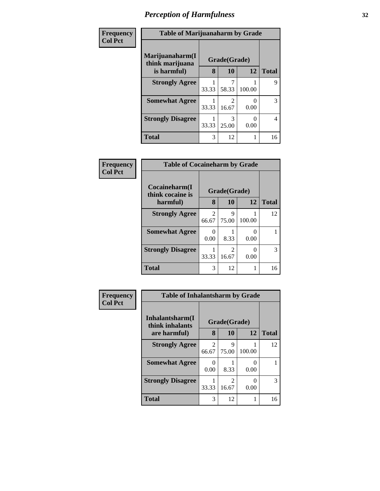| Frequency      | <b>Table of Marijuanaharm by Grade</b> |              |                         |        |                |  |
|----------------|----------------------------------------|--------------|-------------------------|--------|----------------|--|
| <b>Col Pct</b> | Marijuanaharm(I<br>think marijuana     | Grade(Grade) |                         |        |                |  |
|                | is harmful)                            | 8            | 10                      | 12     | <b>Total</b>   |  |
|                | <b>Strongly Agree</b>                  | 33.33        | 7<br>58.33              | 100.00 | 9              |  |
|                | <b>Somewhat Agree</b>                  | 33.33        | $\mathfrak{D}$<br>16.67 | 0.00   | 3              |  |
|                | <b>Strongly Disagree</b>               | 33.33        | 3<br>25.00              | 0.00   | $\overline{4}$ |  |
|                | <b>Total</b>                           | 3            | 12                      |        | 16             |  |

| Frequency      | <b>Table of Cocaineharm by Grade</b> |                         |                         |                      |              |  |  |
|----------------|--------------------------------------|-------------------------|-------------------------|----------------------|--------------|--|--|
| <b>Col Pct</b> | Cocaineharm(I<br>think cocaine is    |                         | Grade(Grade)            |                      |              |  |  |
|                | harmful)                             | 8                       | 10                      | 12 <sup>1</sup>      | <b>Total</b> |  |  |
|                | <b>Strongly Agree</b>                | $\overline{2}$<br>66.67 | 9<br>75.00              | 100.00               | 12           |  |  |
|                | <b>Somewhat Agree</b>                | 0<br>0.00               | 8.33                    | 0<br>0.00            |              |  |  |
|                | <b>Strongly Disagree</b>             | 33.33                   | $\overline{2}$<br>16.67 | $\mathbf{0}$<br>0.00 | 3            |  |  |
|                | <b>Total</b>                         | 3                       | 12                      |                      | 16           |  |  |

| Frequency      | <b>Table of Inhalantsharm by Grade</b>              |                         |                         |           |              |
|----------------|-----------------------------------------------------|-------------------------|-------------------------|-----------|--------------|
| <b>Col Pct</b> | Inhalantsharm(I)<br>Grade(Grade)<br>think inhalants |                         |                         |           |              |
|                | are harmful)                                        | 8                       | 10                      | 12        | <b>Total</b> |
|                | <b>Strongly Agree</b>                               | $\overline{2}$<br>66.67 | 9<br>75.00              | 100.00    | 12           |
|                | <b>Somewhat Agree</b>                               | 0<br>0.00               | 8.33                    | 0<br>0.00 |              |
|                | <b>Strongly Disagree</b>                            | 33.33                   | $\mathfrak{D}$<br>16.67 | 0<br>0.00 | 3            |
|                | <b>Total</b>                                        | 3                       | 12                      | 1         | 16           |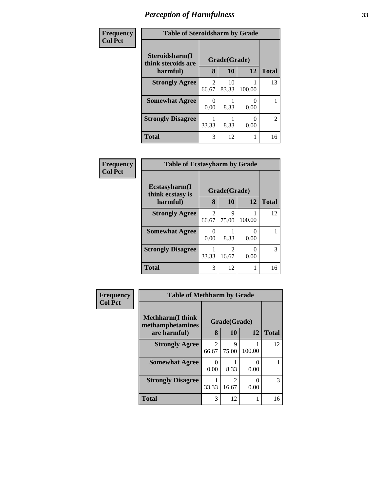| Frequency      | <b>Table of Steroidsharm by Grade</b> |            |              |           |                |  |
|----------------|---------------------------------------|------------|--------------|-----------|----------------|--|
| <b>Col Pct</b> | Steroidsharm(I<br>think steroids are  |            | Grade(Grade) |           |                |  |
|                | harmful)                              | 8          | 10           | 12        | <b>Total</b>   |  |
|                | <b>Strongly Agree</b>                 | 2<br>66.67 | 10<br>83.33  | 100.00    | 13             |  |
|                | <b>Somewhat Agree</b>                 | 0<br>0.00  | 8.33         | 0<br>0.00 |                |  |
|                | <b>Strongly Disagree</b>              | 33.33      | 8.33         | 0<br>0.00 | $\overline{2}$ |  |
|                | <b>Total</b>                          | 3          | 12           |           | 16             |  |

| Frequency<br><b>Col Pct</b> | <b>Table of Ecstasyharm by Grade</b> |                         |                         |           |              |  |
|-----------------------------|--------------------------------------|-------------------------|-------------------------|-----------|--------------|--|
|                             | Ecstasyharm(I<br>think ecstasy is    | Grade(Grade)            |                         |           |              |  |
|                             | harmful)                             | 8                       | 10                      | 12        | <b>Total</b> |  |
|                             | <b>Strongly Agree</b>                | $\overline{2}$<br>66.67 | 9<br>75.00              | 100.00    | 12           |  |
|                             | <b>Somewhat Agree</b>                | 0<br>0.00               | 8.33                    | 0<br>0.00 |              |  |
|                             | <b>Strongly Disagree</b>             | 33.33                   | $\mathfrak{D}$<br>16.67 | 0<br>0.00 | 3            |  |
|                             | <b>Total</b>                         | 3                       | 12                      | 1         | 16           |  |

| Frequency      | <b>Table of Methharm by Grade</b>                           |                         |                           |           |              |
|----------------|-------------------------------------------------------------|-------------------------|---------------------------|-----------|--------------|
| <b>Col Pct</b> | <b>Methharm(I think</b><br>methamphetamines<br>are harmful) | 8                       | Grade(Grade)<br><b>10</b> | 12        | <b>Total</b> |
|                |                                                             |                         |                           |           |              |
|                | <b>Strongly Agree</b>                                       | $\mathfrak{D}$<br>66.67 | 9<br>75.00                | 100.00    | 12           |
|                | <b>Somewhat Agree</b>                                       | 0.00                    | 8.33                      | 0.00      |              |
|                | <b>Strongly Disagree</b>                                    | 33.33                   | $\mathfrak{D}$<br>16.67   | 0<br>0.00 | 3            |
|                | <b>Total</b>                                                | 3                       | 12                        | 1         | 16           |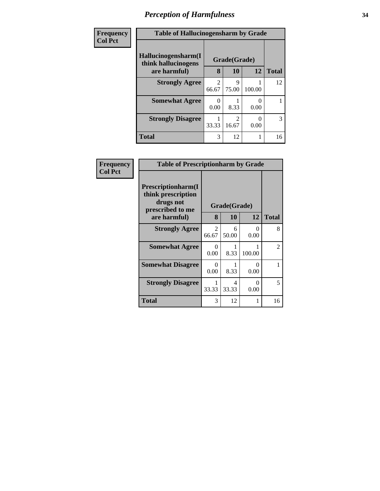| Frequency      | <b>Table of Hallucinogensharm by Grade</b> |                                      |              |        |              |
|----------------|--------------------------------------------|--------------------------------------|--------------|--------|--------------|
| <b>Col Pct</b> | Hallucinogensharm(I<br>think hallucinogens |                                      | Grade(Grade) |        |              |
|                | are harmful)                               | 8                                    | 10           | 12     | <b>Total</b> |
|                | <b>Strongly Agree</b>                      | $\mathcal{D}_{\mathcal{L}}$<br>66.67 | Q<br>75.00   | 100.00 | 12           |
|                | <b>Somewhat Agree</b>                      | 0.00                                 | 8.33         | 0.00   |              |
|                | <b>Strongly Disagree</b>                   | 33.33                                | 2<br>16.67   | 0.00   | 3            |
|                | <b>Total</b>                               | 3                                    | 12           |        | 16           |

| Frequency      | <b>Table of Prescriptionharm by Grade</b>                                 |                  |              |           |              |
|----------------|---------------------------------------------------------------------------|------------------|--------------|-----------|--------------|
| <b>Col Pct</b> | Prescriptionharm(I<br>think prescription<br>drugs not<br>prescribed to me |                  | Grade(Grade) |           |              |
|                | are harmful)                                                              | 8                | 10           | 12        | <b>Total</b> |
|                | <b>Strongly Agree</b>                                                     | 2<br>66.67       | 6<br>50.00   | 0<br>0.00 | 8            |
|                | <b>Somewhat Agree</b>                                                     | $\Omega$<br>0.00 | 8.33         | 100.00    | 2            |
|                | <b>Somewhat Disagree</b>                                                  | 0<br>0.00        | 8.33         | 0<br>0.00 |              |
|                | <b>Strongly Disagree</b>                                                  | 33.33            | 4<br>33.33   | 0<br>0.00 | 5            |
|                | Total                                                                     | 3                | 12           |           | 16           |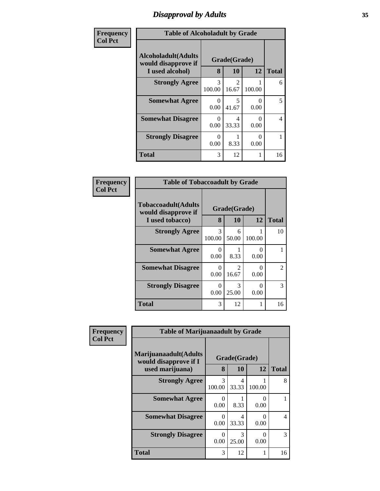# *Disapproval by Adults* **35**

| Frequency      | <b>Table of Alcoholadult by Grade</b>                                 |                         |                                      |                           |              |
|----------------|-----------------------------------------------------------------------|-------------------------|--------------------------------------|---------------------------|--------------|
| <b>Col Pct</b> | <b>Alcoholadult</b> (Adults<br>would disapprove if<br>I used alcohol) | 8                       | Grade(Grade)<br>10                   | 12                        | <b>Total</b> |
|                | <b>Strongly Agree</b>                                                 | $\mathcal{R}$<br>100.00 | $\mathcal{D}_{\mathcal{A}}$<br>16.67 | 100.00                    | 6            |
|                | <b>Somewhat Agree</b>                                                 | 0<br>0.00               | 5<br>41.67                           | $\mathbf{\Omega}$<br>0.00 | 5            |
|                | <b>Somewhat Disagree</b>                                              | 0<br>0.00               | 4<br>33.33                           | 0<br>0.00                 | 4            |
|                | <b>Strongly Disagree</b>                                              | 0<br>0.00               | 8.33                                 | 0<br>0.00                 |              |
|                | <b>Total</b>                                                          | 3                       | 12                                   | 1                         | 16           |

| Frequency      | <b>Table of Tobaccoadult by Grade</b>                                 |                  |                           |                           |                             |
|----------------|-----------------------------------------------------------------------|------------------|---------------------------|---------------------------|-----------------------------|
| <b>Col Pct</b> | <b>Tobaccoadult</b> (Adults<br>would disapprove if<br>I used tobacco) | 8                | Grade(Grade)<br><b>10</b> | 12                        | <b>Total</b>                |
|                | <b>Strongly Agree</b>                                                 | 3<br>100.00      | 6<br>50.00                | 100.00                    | 10                          |
|                | <b>Somewhat Agree</b>                                                 | 0<br>0.00        | 8.33                      | $\mathbf{\Omega}$<br>0.00 |                             |
|                | <b>Somewhat Disagree</b>                                              | $\Omega$<br>0.00 | $\mathfrak{D}$<br>16.67   | 0<br>0.00                 | $\mathcal{D}_{\mathcal{L}}$ |
|                | <b>Strongly Disagree</b>                                              | $\Omega$<br>0.00 | 3<br>25.00                | 0<br>0.00                 | 3                           |
|                | <b>Total</b>                                                          | 3                | 12                        |                           | 16                          |

| Frequency      | <b>Table of Marijuanaadult by Grade</b>        |                           |            |        |               |  |  |  |
|----------------|------------------------------------------------|---------------------------|------------|--------|---------------|--|--|--|
| <b>Col Pct</b> | Marijuanaadult(Adults<br>would disapprove if I | Grade(Grade)              |            |        |               |  |  |  |
|                | used marijuana)                                | 8                         | 10         | 12     | <b>Total</b>  |  |  |  |
|                | <b>Strongly Agree</b>                          | 3<br>100.00               | 4<br>33.33 | 100.00 | 8             |  |  |  |
|                | <b>Somewhat Agree</b>                          | $\mathbf{\Omega}$<br>0.00 | 8.33       | 0.00   |               |  |  |  |
|                | <b>Somewhat Disagree</b>                       | $\mathbf{\Omega}$<br>0.00 | 4<br>33.33 | 0.00   | 4             |  |  |  |
|                | <b>Strongly Disagree</b>                       | $\Omega$<br>0.00          | 3<br>25.00 | 0.00   | $\mathcal{R}$ |  |  |  |
|                | <b>Total</b>                                   | 3                         | 12         |        | 16            |  |  |  |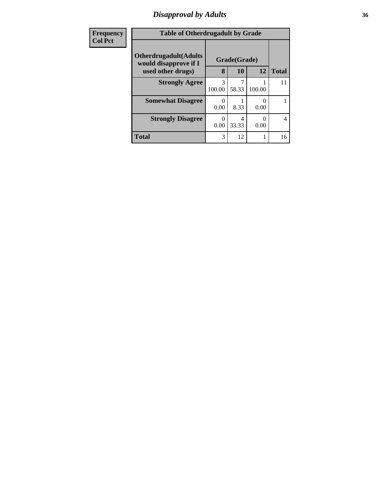# *Disapproval by Adults* **36**

| <b>Frequency</b> | <b>Table of Otherdrugadult by Grade</b>                |              |            |           |                |  |
|------------------|--------------------------------------------------------|--------------|------------|-----------|----------------|--|
| <b>Col Pct</b>   | <b>Otherdrugadult</b> (Adults<br>would disapprove if I | Grade(Grade) |            |           |                |  |
|                  | used other drugs)                                      | 8            | 10         | 12        | <b>Total</b>   |  |
|                  | <b>Strongly Agree</b>                                  | 3<br>100.00  | 7<br>58.33 | 100.00    | 11             |  |
|                  | <b>Somewhat Disagree</b>                               | 0.00         | 8.33       | 0<br>0.00 |                |  |
|                  | <b>Strongly Disagree</b>                               | ∩<br>0.00    | 4<br>33.33 | 0<br>0.00 | $\overline{4}$ |  |
|                  | <b>Total</b>                                           | 3            | 12         |           | 16             |  |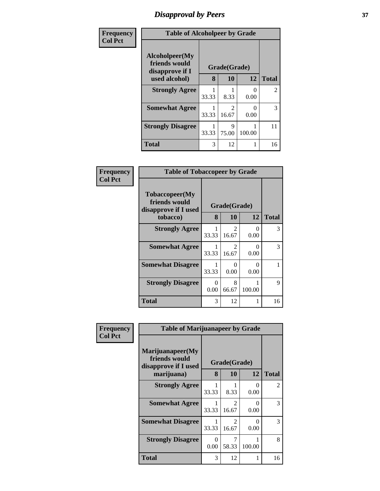## *Disapproval by Peers* **37**

| Frequency      | <b>Table of Alcoholpeer by Grade</b>                                                                        |       |                         |                  |                |  |  |
|----------------|-------------------------------------------------------------------------------------------------------------|-------|-------------------------|------------------|----------------|--|--|
| <b>Col Pct</b> | Alcoholpeer(My<br>friends would<br>Grade(Grade)<br>disapprove if I<br>8<br>12<br><b>10</b><br>used alcohol) |       |                         |                  | <b>Total</b>   |  |  |
|                |                                                                                                             |       |                         |                  |                |  |  |
|                | <b>Strongly Agree</b>                                                                                       | 33.33 | 8.33                    | $\Omega$<br>0.00 | $\overline{2}$ |  |  |
|                | <b>Somewhat Agree</b>                                                                                       | 33.33 | $\mathfrak{D}$<br>16.67 | $\Omega$<br>0.00 | 3              |  |  |
|                | <b>Strongly Disagree</b>                                                                                    | 33.33 | 9<br>75.00              | 100.00           | 11             |  |  |
|                | <b>Total</b>                                                                                                | 3     | 12                      | 1                | 16             |  |  |

| Frequency      |                                                         | <b>Table of Tobaccopeer by Grade</b> |                                      |                  |              |  |  |
|----------------|---------------------------------------------------------|--------------------------------------|--------------------------------------|------------------|--------------|--|--|
| <b>Col Pct</b> | Tobaccopeer(My<br>friends would<br>disapprove if I used | Grade(Grade)<br>8                    |                                      |                  |              |  |  |
|                | tobacco)                                                |                                      | 10                                   | 12               | <b>Total</b> |  |  |
|                | <b>Strongly Agree</b>                                   | 33.33                                | $\mathcal{D}_{\mathcal{L}}$<br>16.67 | $\Omega$<br>0.00 | 3            |  |  |
|                | <b>Somewhat Agree</b>                                   | 33.33                                | $\mathcal{L}$<br>16.67               | $\Omega$<br>0.00 | 3            |  |  |
|                | <b>Somewhat Disagree</b>                                | 33.33                                | $\Omega$<br>0.00                     | 0<br>0.00        |              |  |  |
|                | <b>Strongly Disagree</b>                                | 0<br>0.00                            | 8<br>66.67                           | 100.00           | 9            |  |  |
|                | Total                                                   | 3                                    | 12                                   |                  | 16           |  |  |

| Frequency<br><b>Col Pct</b> | <b>Table of Marijuanapeer by Grade</b>                                                             |           |                                      |           |              |  |  |
|-----------------------------|----------------------------------------------------------------------------------------------------|-----------|--------------------------------------|-----------|--------------|--|--|
|                             | Marijuanapeer(My<br>friends would<br>Grade(Grade)<br>disapprove if I used<br>8<br>marijuana)<br>10 |           |                                      |           | <b>Total</b> |  |  |
|                             |                                                                                                    |           |                                      | 12        |              |  |  |
|                             | <b>Strongly Agree</b>                                                                              | 33.33     | 8.33                                 | 0<br>0.00 | 2            |  |  |
|                             | <b>Somewhat Agree</b>                                                                              | 33.33     | $\mathcal{D}$<br>16.67               | ∩<br>0.00 | 3            |  |  |
|                             | <b>Somewhat Disagree</b>                                                                           | 33.33     | $\mathcal{D}_{\mathcal{L}}$<br>16.67 | 0<br>0.00 | 3            |  |  |
|                             | <b>Strongly Disagree</b>                                                                           | 0<br>0.00 | 58.33                                | 100.00    | 8            |  |  |
|                             | <b>Total</b>                                                                                       | 3         | 12                                   | 1         | 16           |  |  |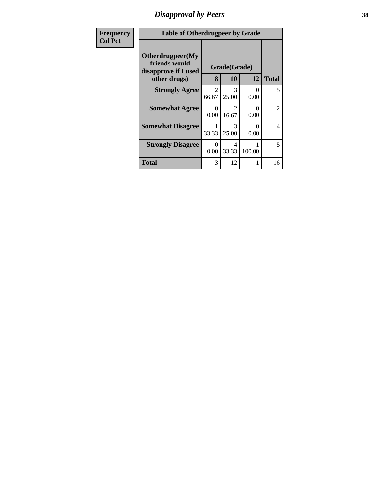## *Disapproval by Peers* **38**

| Frequency      | <b>Table of Otherdrugpeer by Grade</b>                                    |                         |                        |                  |                |  |  |  |
|----------------|---------------------------------------------------------------------------|-------------------------|------------------------|------------------|----------------|--|--|--|
| <b>Col Pct</b> | Otherdrugpeer(My<br>friends would<br>Grade(Grade)<br>disapprove if I used |                         |                        |                  |                |  |  |  |
|                | other drugs)                                                              |                         | <b>10</b>              | 12               | <b>Total</b>   |  |  |  |
|                | <b>Strongly Agree</b>                                                     | $\mathfrak{D}$<br>66.67 | $\mathcal{F}$<br>25.00 | $\Omega$<br>0.00 | 5              |  |  |  |
|                | <b>Somewhat Agree</b>                                                     | $\Omega$<br>0.00        | 2<br>16.67             | 0<br>0.00        | $\overline{2}$ |  |  |  |
|                | <b>Somewhat Disagree</b>                                                  | 33.33                   | $\mathcal{F}$<br>25.00 | 0<br>0.00        | $\overline{4}$ |  |  |  |
|                | <b>Strongly Disagree</b>                                                  | 0<br>0.00               | 4<br>33.33             | 100.00           | 5              |  |  |  |
|                | Total                                                                     | 3                       | 12                     |                  | 16             |  |  |  |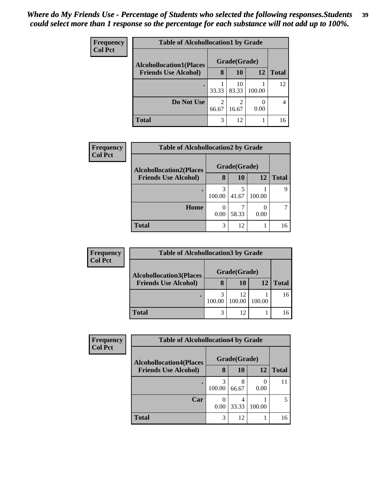| <b>Frequency</b> | <b>Table of Alcohollocation1 by Grade</b> |                         |              |        |              |  |  |  |
|------------------|-------------------------------------------|-------------------------|--------------|--------|--------------|--|--|--|
| <b>Col Pct</b>   | <b>Alcohollocation1(Places</b>            |                         | Grade(Grade) |        |              |  |  |  |
|                  | <b>Friends Use Alcohol)</b>               | 8                       | 10           | 12     | <b>Total</b> |  |  |  |
|                  |                                           | 33.33                   | 10<br>83.33  | 100.00 | 12           |  |  |  |
|                  | Do Not Use                                | $\overline{2}$<br>66.67 | 2<br>16.67   | 0.00   | 4            |  |  |  |
|                  | <b>Total</b>                              | 3                       | 12           |        | 16           |  |  |  |

| Frequency      | <b>Table of Alcohollocation2 by Grade</b> |              |       |        |              |  |
|----------------|-------------------------------------------|--------------|-------|--------|--------------|--|
| <b>Col Pct</b> | <b>Alcohollocation2(Places</b>            | Grade(Grade) |       |        |              |  |
|                | <b>Friends Use Alcohol)</b>               | 8            | 10    | 12     | <b>Total</b> |  |
|                |                                           | 100.00       | 41.67 | 100.00 | Q            |  |
|                | Home                                      | 0.00         | 58.33 | 0.00   |              |  |
|                | Total                                     | 3            | 12    |        | 16           |  |

| <b>Frequency</b> | <b>Table of Alcohollocation3 by Grade</b>                     |              |              |        |              |  |  |  |
|------------------|---------------------------------------------------------------|--------------|--------------|--------|--------------|--|--|--|
| <b>Col Pct</b>   | <b>Alcohollocation3(Places</b><br><b>Friends Use Alcohol)</b> | Grade(Grade) |              |        |              |  |  |  |
|                  |                                                               |              | 10           | 12     | <b>Total</b> |  |  |  |
|                  |                                                               | 100.00       | 12<br>100.00 | 100.00 | 16           |  |  |  |
|                  | Total                                                         | 3            | 12           |        |              |  |  |  |

| <b>Frequency</b> | <b>Table of Alcohollocation4 by Grade</b> |              |            |        |       |  |  |
|------------------|-------------------------------------------|--------------|------------|--------|-------|--|--|
| <b>Col Pct</b>   | <b>Alcohollocation4(Places</b>            | Grade(Grade) |            |        |       |  |  |
|                  | <b>Friends Use Alcohol)</b>               | 8            | 10         | 12     | Total |  |  |
|                  |                                           | 100.00       | 8<br>66.67 | 0.00   | 11    |  |  |
|                  | Car                                       | 0.00         | 33.33      | 100.00 |       |  |  |
|                  | Total                                     | 3            | 12         |        | 16    |  |  |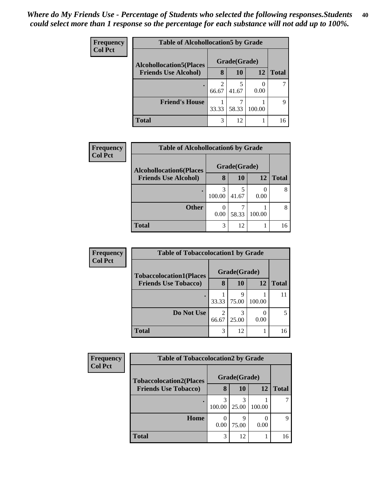| <b>Frequency</b><br><b>Col Pct</b> | <b>Table of Alcohollocation5 by Grade</b> |              |       |        |              |  |  |
|------------------------------------|-------------------------------------------|--------------|-------|--------|--------------|--|--|
|                                    | <b>Alcohollocation5</b> (Places           | Grade(Grade) |       |        |              |  |  |
|                                    | <b>Friends Use Alcohol)</b>               | 8            | 10    | 12     | <b>Total</b> |  |  |
|                                    |                                           | 66.67        | 41.67 | 0.00   |              |  |  |
|                                    | <b>Friend's House</b>                     | 33.33        | 58.33 | 100.00 | Q            |  |  |
|                                    | <b>Total</b>                              | 3            | 12    |        | 16           |  |  |

| <b>Frequency</b> | <b>Table of Alcohollocation6 by Grade</b> |              |       |        |              |  |
|------------------|-------------------------------------------|--------------|-------|--------|--------------|--|
| <b>Col Pct</b>   | <b>Alcohollocation6(Places</b>            | Grade(Grade) |       |        |              |  |
|                  | <b>Friends Use Alcohol)</b>               | 8            | 10    | 12     | <b>Total</b> |  |
|                  |                                           | 100.00       | 41.67 | 0.00   | 8            |  |
|                  | <b>Other</b>                              | 0.00         | 58.33 | 100.00 | 8            |  |
|                  | <b>Total</b>                              | 3            | 12    |        | 16           |  |

| <b>Frequency</b> | <b>Table of Tobaccolocation1 by Grade</b> |              |            |        |              |
|------------------|-------------------------------------------|--------------|------------|--------|--------------|
| <b>Col Pct</b>   | <b>Tobaccolocation1(Places</b>            | Grade(Grade) |            |        |              |
|                  | <b>Friends Use Tobacco)</b>               | 8            | 10         | 12     | <b>Total</b> |
|                  |                                           | 33.33        | q<br>75.00 | 100.00 |              |
|                  | Do Not Use                                | 2<br>66.67   | 25.00      | 0.00   |              |
|                  | <b>Total</b>                              | 3            | 12         |        | 16           |

| <b>Frequency</b> | <b>Table of Tobaccolocation2 by Grade</b> |              |            |        |              |  |  |
|------------------|-------------------------------------------|--------------|------------|--------|--------------|--|--|
| <b>Col Pct</b>   | <b>Tobaccolocation2(Places</b>            | Grade(Grade) |            |        |              |  |  |
|                  | <b>Friends Use Tobacco)</b>               | 8            | 10         | 12     | <b>Total</b> |  |  |
|                  |                                           | 100.00       | 25.00      | 100.00 |              |  |  |
|                  | Home                                      | 0.00         | Q<br>75.00 | 0.00   | Q            |  |  |
|                  | <b>Total</b>                              | 3            | 12         |        | 16           |  |  |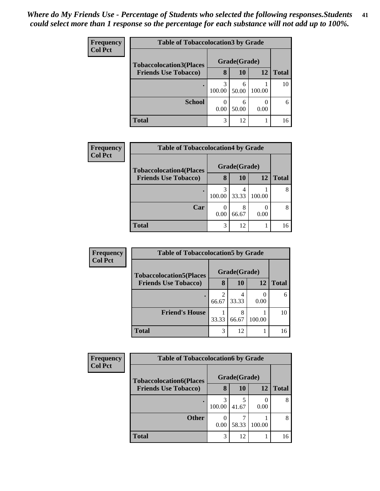| <b>Frequency</b> |                                | <b>Table of Tobaccolocation 3 by Grade</b> |            |        |              |  |  |
|------------------|--------------------------------|--------------------------------------------|------------|--------|--------------|--|--|
| <b>Col Pct</b>   | <b>Tobaccolocation3(Places</b> | Grade(Grade)                               |            |        |              |  |  |
|                  | <b>Friends Use Tobacco)</b>    | 8                                          | 10         | 12     | <b>Total</b> |  |  |
|                  |                                | 3<br>100.00                                | 6<br>50.00 | 100.00 | 10           |  |  |
|                  | <b>School</b>                  | 0.00                                       | 6<br>50.00 | 0.00   | 6            |  |  |
|                  | Total                          | 3                                          | 12         |        | 16           |  |  |

| <b>Frequency</b> | <b>Table of Tobaccolocation4 by Grade</b> |              |            |        |              |  |  |  |
|------------------|-------------------------------------------|--------------|------------|--------|--------------|--|--|--|
| <b>Col Pct</b>   | <b>Tobaccolocation4(Places</b>            | Grade(Grade) |            |        |              |  |  |  |
|                  | <b>Friends Use Tobacco)</b>               | 8            | 10         | 12     | <b>Total</b> |  |  |  |
|                  |                                           | 100.00       | 33.33      | 100.00 |              |  |  |  |
|                  | Car                                       | 0.00         | 8<br>66.67 | 0.00   |              |  |  |  |
|                  | <b>Total</b>                              | 3            | 12         |        | 16           |  |  |  |

| <b>Frequency</b> | <b>Table of Tobaccolocation5 by Grade</b> |       |              |        |              |  |
|------------------|-------------------------------------------|-------|--------------|--------|--------------|--|
| <b>Col Pct</b>   | <b>Tobaccolocation5(Places</b>            |       | Grade(Grade) |        |              |  |
|                  | <b>Friends Use Tobacco)</b>               | 8     | 10           | 12     | <b>Total</b> |  |
|                  |                                           | 66.67 | 33.33        | 0.00   | 6            |  |
|                  | <b>Friend's House</b>                     | 33.33 | 66.67        | 100.00 | 10           |  |
|                  | <b>Total</b>                              | 3     | 12           |        | 16           |  |

| <b>Frequency</b><br><b>Col Pct</b> | <b>Table of Tobaccolocation6 by Grade</b> |              |       |        |              |  |  |
|------------------------------------|-------------------------------------------|--------------|-------|--------|--------------|--|--|
|                                    | <b>Tobaccolocation6(Places</b>            | Grade(Grade) |       |        |              |  |  |
|                                    | <b>Friends Use Tobacco)</b>               | 8            | 10    | 12     | <b>Total</b> |  |  |
|                                    |                                           | 100.00       | 41.67 | 0.00   |              |  |  |
|                                    | <b>Other</b>                              | 0.00         | 58.33 | 100.00 | 8            |  |  |
|                                    | <b>Total</b>                              | 3            | 12    |        | 16           |  |  |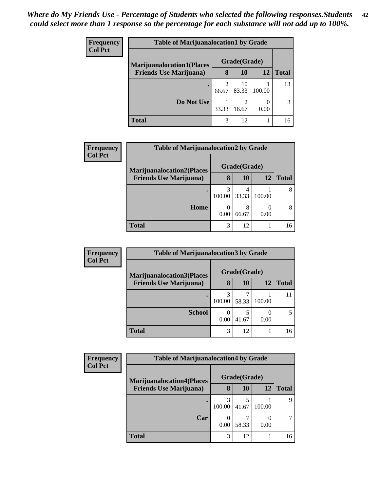| <b>Frequency</b> | <b>Table of Marijuanalocation1 by Grade</b> |       |              |        |       |  |  |  |
|------------------|---------------------------------------------|-------|--------------|--------|-------|--|--|--|
| <b>Col Pct</b>   | <b>Marijuanalocation1(Places</b>            |       | Grade(Grade) |        |       |  |  |  |
|                  | <b>Friends Use Marijuana</b> )              | 8     | 10           | 12     | Total |  |  |  |
|                  |                                             | 66.67 | 10<br>83.33  | 100.00 | 13    |  |  |  |
|                  | Do Not Use                                  | 33.33 | 2<br>16.67   | 0.00   |       |  |  |  |
|                  | <b>Total</b>                                | 3     | 12           |        | 16    |  |  |  |

| Frequency      | <b>Table of Marijuanalocation2 by Grade</b> |              |            |        |              |  |  |  |
|----------------|---------------------------------------------|--------------|------------|--------|--------------|--|--|--|
| <b>Col Pct</b> | <b>Marijuanalocation2(Places)</b>           | Grade(Grade) |            |        |              |  |  |  |
|                | <b>Friends Use Marijuana</b> )              | 8            | 10         | 12     | <b>Total</b> |  |  |  |
|                |                                             | 100.00       | 4<br>33.33 | 100.00 |              |  |  |  |
|                | Home                                        | 0.00         | 8<br>66.67 | 0.00   | 8            |  |  |  |
|                | <b>Total</b>                                | 3            | 12         |        | 16           |  |  |  |

| Frequency      | <b>Table of Marijuanalocation3 by Grade</b> |              |       |        |              |  |  |  |  |
|----------------|---------------------------------------------|--------------|-------|--------|--------------|--|--|--|--|
| <b>Col Pct</b> | <b>Marijuanalocation3(Places</b>            | Grade(Grade) |       |        |              |  |  |  |  |
|                | <b>Friends Use Marijuana</b> )              | 8            | 10    | 12     | <b>Total</b> |  |  |  |  |
|                |                                             | 3<br>100.00  | 58.33 | 100.00 |              |  |  |  |  |
|                | <b>School</b>                               | 0.00         | 41.67 | 0.00   |              |  |  |  |  |
|                | <b>Total</b>                                | 3            | 12    |        | 16           |  |  |  |  |

| Frequency<br><b>Col Pct</b> | <b>Table of Marijuanalocation4 by Grade</b> |              |           |        |              |  |  |
|-----------------------------|---------------------------------------------|--------------|-----------|--------|--------------|--|--|
|                             | <b>Marijuanalocation4(Places</b>            | Grade(Grade) |           |        |              |  |  |
|                             | <b>Friends Use Marijuana</b> )              | 8            | <b>10</b> | 12     | <b>Total</b> |  |  |
|                             |                                             | 3<br>100.00  | 41.67     | 100.00 | q            |  |  |
|                             | Car                                         | 0.00         | 58.33     | 0.00   |              |  |  |
|                             | <b>Total</b>                                | 3            | 12        |        | 16           |  |  |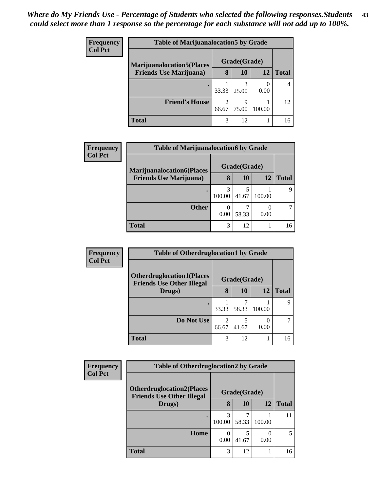| <b>Frequency</b> | <b>Table of Marijuanalocation5 by Grade</b> |       |              |        |       |  |
|------------------|---------------------------------------------|-------|--------------|--------|-------|--|
| <b>Col Pct</b>   | <b>Marijuanalocation5</b> (Places           |       | Grade(Grade) |        |       |  |
|                  | <b>Friends Use Marijuana</b> )              | 8     | 10           | 12     | Total |  |
|                  | ٠                                           | 33.33 | 25.00        | 0.00   |       |  |
|                  | <b>Friend's House</b>                       | 66.67 | Q<br>75.00   | 100.00 | 12    |  |
|                  | Total                                       | 3     | 12           |        | 16    |  |

| Frequency      | <b>Table of Marijuanalocation6 by Grade</b>                        |              |       |           |              |  |
|----------------|--------------------------------------------------------------------|--------------|-------|-----------|--------------|--|
| <b>Col Pct</b> | <b>Marijuanalocation6(Places</b><br><b>Friends Use Marijuana</b> ) | Grade(Grade) |       |           |              |  |
|                |                                                                    | 8            | 10    | <b>12</b> | <b>Total</b> |  |
|                |                                                                    | 3<br>100.00  | 41.67 | 100.00    | Q            |  |
|                | <b>Other</b>                                                       | 0<br>0.00    | 58.33 | 0.00      |              |  |
|                | <b>Total</b>                                                       | 3            | 12    |           | 16           |  |

| Frequency      | <b>Table of Otherdruglocation1 by Grade</b>                          |                         |              |        |              |  |
|----------------|----------------------------------------------------------------------|-------------------------|--------------|--------|--------------|--|
| <b>Col Pct</b> | <b>Otherdruglocation1(Places</b><br><b>Friends Use Other Illegal</b> |                         | Grade(Grade) |        |              |  |
|                | Drugs)                                                               | 8                       | <b>10</b>    | 12     | <b>Total</b> |  |
|                |                                                                      | 33.33                   | 58.33        | 100.00 |              |  |
|                | Do Not Use                                                           | $\overline{c}$<br>66.67 | 41.67        | 0.00   |              |  |
|                | <b>Total</b>                                                         | 3                       | 12           |        | 16           |  |

| Frequency      | <b>Table of Otherdruglocation2 by Grade</b>                           |              |       |        |              |  |
|----------------|-----------------------------------------------------------------------|--------------|-------|--------|--------------|--|
| <b>Col Pct</b> | <b>Otherdruglocation2(Places)</b><br><b>Friends Use Other Illegal</b> | Grade(Grade) |       |        |              |  |
|                | Drugs)                                                                | 8            | 10    | 12     | <b>Total</b> |  |
|                | ٠                                                                     | 3<br>100.00  | 58.33 | 100.00 | 11           |  |
|                | Home                                                                  | 0<br>0.00    | 41.67 | 0.00   | 5            |  |
|                | <b>Total</b>                                                          | 3            | 12    |        | 16           |  |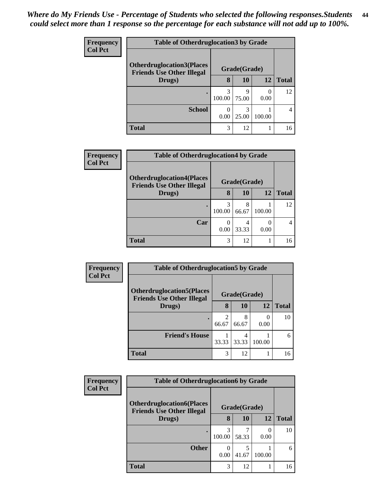| <b>Frequency</b> | <b>Table of Otherdruglocation 3 by Grade</b>                          |              |            |        |              |
|------------------|-----------------------------------------------------------------------|--------------|------------|--------|--------------|
| <b>Col Pct</b>   | <b>Otherdruglocation3(Places)</b><br><b>Friends Use Other Illegal</b> | Grade(Grade) |            |        |              |
|                  | Drugs)                                                                | 8            | 10         | 12     | <b>Total</b> |
|                  |                                                                       | 3<br>100.00  | q<br>75.00 | 0.00   | 12           |
|                  | <b>School</b>                                                         | 0.00         | 3<br>25.00 | 100.00 | 4            |
|                  | <b>Total</b>                                                          | 3            | 12         |        | 16           |

| Frequency      | <b>Table of Otherdruglocation4 by Grade</b>                          |              |            |        |              |  |
|----------------|----------------------------------------------------------------------|--------------|------------|--------|--------------|--|
| <b>Col Pct</b> | <b>Otherdruglocation4(Places</b><br><b>Friends Use Other Illegal</b> | Grade(Grade) |            |        |              |  |
|                | Drugs)                                                               | 8            | 10         | 12     | <b>Total</b> |  |
|                |                                                                      | 3<br>100.00  | 8<br>66.67 | 100.00 | 12           |  |
|                | Car                                                                  | 0<br>0.00    | 4<br>33.33 | 0.00   |              |  |
|                | <b>Total</b>                                                         | 3            | 12         |        | 16           |  |

| Frequency<br><b>Col Pct</b> | <b>Table of Otherdruglocation5 by Grade</b>                          |            |              |        |              |
|-----------------------------|----------------------------------------------------------------------|------------|--------------|--------|--------------|
|                             | <b>Otherdruglocation5(Places</b><br><b>Friends Use Other Illegal</b> |            | Grade(Grade) |        |              |
|                             | Drugs)                                                               | 8          | <b>10</b>    | 12     | <b>Total</b> |
|                             |                                                                      | 2<br>66.67 | 8<br>66.67   | 0.00   | 10           |
|                             | <b>Friend's House</b>                                                | 33.33      | 33.33        | 100.00 | 6            |
|                             | <b>Total</b>                                                         | 3          | 12           |        | 16           |

| <b>Frequency</b> | <b>Table of Otherdruglocation6 by Grade</b>                                          |             |            |                      |              |
|------------------|--------------------------------------------------------------------------------------|-------------|------------|----------------------|--------------|
| <b>Col Pct</b>   | <b>Otherdruglocation6(Places</b><br>Grade(Grade)<br><b>Friends Use Other Illegal</b> |             |            |                      |              |
|                  | Drugs)                                                                               | 8           | 10         | 12                   | <b>Total</b> |
|                  |                                                                                      | 3<br>100.00 | 58.33      | $\mathbf{0}$<br>0.00 | 10           |
|                  | <b>Other</b>                                                                         | 0.00        | 5<br>41.67 | 100.00               | 6            |
|                  | <b>Total</b>                                                                         | 3           | 12         |                      | 16           |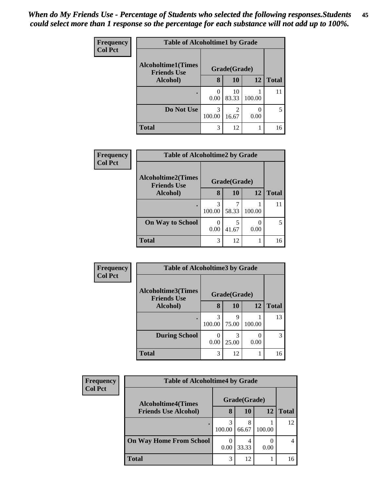| <b>Frequency</b> |                                                 | <b>Table of Alcoholtime1 by Grade</b> |              |        |              |  |  |
|------------------|-------------------------------------------------|---------------------------------------|--------------|--------|--------------|--|--|
| <b>Col Pct</b>   | <b>Alcoholtime1(Times</b><br><b>Friends Use</b> |                                       | Grade(Grade) |        |              |  |  |
|                  | Alcohol)                                        | 8                                     | 10           | 12     | <b>Total</b> |  |  |
|                  | ٠                                               | $\mathcal{O}$<br>0.00                 | 10<br>83.33  | 100.00 | 11           |  |  |
|                  | Do Not Use                                      | 3<br>100.00                           | 2<br>16.67   | 0.00   | 5            |  |  |
|                  | <b>Total</b>                                    | 3                                     | 12           |        | 16           |  |  |

| Frequency      | <b>Table of Alcoholtime2 by Grade</b>           |             |              |        |              |  |  |
|----------------|-------------------------------------------------|-------------|--------------|--------|--------------|--|--|
| <b>Col Pct</b> | <b>Alcoholtime2(Times</b><br><b>Friends Use</b> |             | Grade(Grade) |        |              |  |  |
|                | <b>Alcohol</b> )                                | 8           | 10           | 12     | <b>Total</b> |  |  |
|                |                                                 | 3<br>100.00 | 58.33        | 100.00 |              |  |  |
|                | <b>On Way to School</b>                         | 0<br>0.00   | 5<br>41.67   | 0.00   |              |  |  |
|                | <b>Total</b>                                    | 3           | 12           |        | 16           |  |  |

| Frequency      | <b>Table of Alcoholtime3 by Grade</b>           |                  |            |        |              |  |
|----------------|-------------------------------------------------|------------------|------------|--------|--------------|--|
| <b>Col Pct</b> | <b>Alcoholtime3(Times</b><br><b>Friends Use</b> | Grade(Grade)     |            |        |              |  |
|                | Alcohol)                                        | 8                | 10         | 12     | <b>Total</b> |  |
|                |                                                 | 3<br>100.00      | q<br>75.00 | 100.00 | 13           |  |
|                | <b>During School</b>                            | $\Omega$<br>0.00 | 3<br>25.00 | 0.00   | 3            |  |
|                | <b>Total</b>                                    | 3                | 12         |        | 16           |  |

| Frequency<br><b>Col Pct</b> | <b>Table of Alcoholtime4 by Grade</b> |              |            |              |    |  |
|-----------------------------|---------------------------------------|--------------|------------|--------------|----|--|
|                             | <b>Alcoholtime4(Times</b>             | Grade(Grade) |            |              |    |  |
| <b>Friends Use Alcohol)</b> | 8                                     | 10           | 12         | <b>Total</b> |    |  |
|                             |                                       | 100.00       | 8<br>66.67 | 100.00       | 12 |  |
|                             | <b>On Way Home From School</b>        | 0.00         | 33.33      | 0.00         |    |  |
|                             | Total                                 | 3            | 12         |              | 16 |  |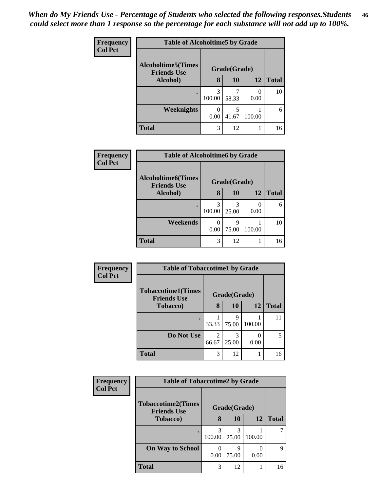| Frequency      | <b>Table of Alcoholtime5 by Grade</b>           |             |              |        |              |  |
|----------------|-------------------------------------------------|-------------|--------------|--------|--------------|--|
| <b>Col Pct</b> | <b>Alcoholtime5(Times</b><br><b>Friends Use</b> |             | Grade(Grade) |        |              |  |
|                | Alcohol)                                        | 8           | 10           | 12     | <b>Total</b> |  |
|                |                                                 | 3<br>100.00 | 58.33        | 0.00   | 10           |  |
|                | <b>Weeknights</b>                               | 0.00        | 5<br>41.67   | 100.00 | 6            |  |
|                | <b>Total</b>                                    | 3           | 12           |        | 16           |  |

| <b>Table of Alcoholtime6 by Grade</b>                           |              |
|-----------------------------------------------------------------|--------------|
| Frequency<br><b>Col Pct</b>                                     |              |
| <b>Alcoholtime6(Times</b><br>Grade(Grade)<br><b>Friends Use</b> |              |
| <b>10</b><br>12<br>8<br>Alcohol)                                | <b>Total</b> |
| 3<br>3<br>100.00<br>25.00<br>0.00                               | 6            |
| Weekends<br>0<br>9<br>100.00<br>75.00<br>0.00                   | 10           |
| <b>Total</b><br>3<br>12                                         | 16           |

| <b>Frequency</b> | <b>Table of Tobaccotime1 by Grade</b>           |                         |              |           |              |  |
|------------------|-------------------------------------------------|-------------------------|--------------|-----------|--------------|--|
| <b>Col Pct</b>   | <b>Tobaccotime1(Times</b><br><b>Friends Use</b> |                         | Grade(Grade) |           |              |  |
|                  | <b>Tobacco</b> )                                | 8                       | 10           | <b>12</b> | <b>Total</b> |  |
|                  |                                                 | 33.33                   | Q<br>75.00   | 100.00    |              |  |
|                  | Do Not Use                                      | $\mathfrak{D}$<br>66.67 | 3<br>25.00   | 0.00      |              |  |
|                  | <b>Total</b>                                    | 3                       | 12           |           |              |  |

| <b>Frequency</b> | <b>Table of Tobaccotime2 by Grade</b>           |             |              |        |              |  |
|------------------|-------------------------------------------------|-------------|--------------|--------|--------------|--|
| <b>Col Pct</b>   | <b>Tobaccotime2(Times</b><br><b>Friends Use</b> |             | Grade(Grade) |        |              |  |
|                  | <b>Tobacco</b> )                                | 8           | 10           | 12     | <b>Total</b> |  |
|                  |                                                 | 3<br>100.00 | 25.00        | 100.00 |              |  |
|                  | <b>On Way to School</b>                         | 0.00        | q<br>75.00   | 0.00   | 9            |  |
|                  | <b>Total</b>                                    | 3           | 12           |        | 16           |  |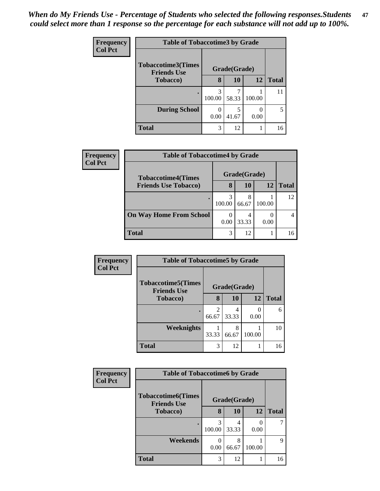| <b>Frequency</b> |                                                 | <b>Table of Tobaccotime3 by Grade</b> |              |           |              |  |  |
|------------------|-------------------------------------------------|---------------------------------------|--------------|-----------|--------------|--|--|
| <b>Col Pct</b>   | <b>Tobaccotime3(Times</b><br><b>Friends Use</b> |                                       | Grade(Grade) |           |              |  |  |
|                  | <b>Tobacco</b> )                                | 8                                     | 10           | 12        | <b>Total</b> |  |  |
|                  | ٠                                               | 3<br>100.00                           | 7<br>58.33   | 100.00    | 11           |  |  |
|                  | <b>During School</b>                            | ∩<br>0.00                             | 5<br>41.67   | 0<br>0.00 | 5            |  |  |
|                  | <b>Total</b>                                    | 3                                     | 12           |           | 16           |  |  |

| Frequency      | <b>Table of Tobaccotime4 by Grade</b> |        |              |        |              |
|----------------|---------------------------------------|--------|--------------|--------|--------------|
| <b>Col Pct</b> | <b>Tobaccotime4(Times</b>             |        | Grade(Grade) |        |              |
|                | <b>Friends Use Tobacco)</b>           | 8      | 10           | 12     | <b>Total</b> |
|                |                                       | 100.00 | 8<br>66.67   | 100.00 | 12           |
|                | <b>On Way Home From School</b>        | 0.00   | 4<br>33.33   | 0.00   |              |
|                | <b>Total</b>                          | 3      | 12           |        | 16           |

| <b>Frequency</b> | <b>Table of Tobaccotime5 by Grade</b>           |       |              |        |              |
|------------------|-------------------------------------------------|-------|--------------|--------|--------------|
| <b>Col Pct</b>   | <b>Tobaccotime5(Times</b><br><b>Friends Use</b> |       | Grade(Grade) |        |              |
|                  | <b>Tobacco</b> )                                | 8     | 10           | 12     | <b>Total</b> |
|                  |                                                 | 66.67 | 4<br>33.33   | 0.00   | 6            |
|                  | Weeknights                                      | 33.33 | 8<br>66.67   | 100.00 | 10           |
|                  | <b>Total</b>                                    | 3     | 12           |        | 16           |

| <b>Frequency</b> | <b>Table of Tobaccotime6 by Grade</b>           |             |              |        |              |
|------------------|-------------------------------------------------|-------------|--------------|--------|--------------|
| <b>Col Pct</b>   | <b>Tobaccotime6(Times</b><br><b>Friends Use</b> |             | Grade(Grade) |        |              |
|                  | Tobacco)                                        | 8           | 10           | 12     | <b>Total</b> |
|                  |                                                 | 3<br>100.00 | 4<br>33.33   | 0.00   |              |
|                  | Weekends                                        | 0.00        | 8<br>66.67   | 100.00 | 9            |
|                  | <b>Total</b>                                    | 3           | 12           |        | 16           |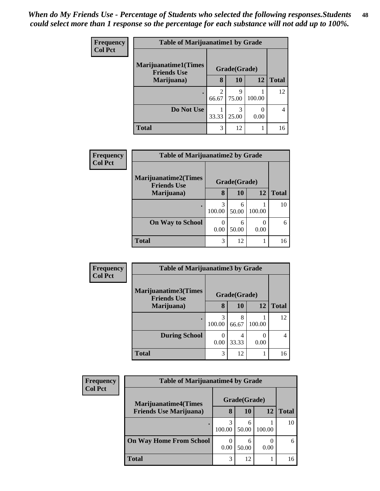| <b>Frequency</b> | <b>Table of Marijuanatime1 by Grade</b>           |                        |              |        |              |
|------------------|---------------------------------------------------|------------------------|--------------|--------|--------------|
| <b>Col Pct</b>   | <b>Marijuanatime1(Times</b><br><b>Friends Use</b> |                        | Grade(Grade) |        |              |
|                  | Marijuana)                                        | 8                      | 10           | 12     | <b>Total</b> |
|                  |                                                   | $\mathcal{D}$<br>66.67 | q<br>75.00   | 100.00 | 12           |
|                  | Do Not Use                                        | 33.33                  | 3<br>25.00   | 0.00   | 4            |
|                  | <b>Total</b>                                      | 3                      | 12           |        | 16           |

| Frequency<br><b>Col Pct</b> | <b>Table of Marijuanatime2 by Grade</b>    |             |              |        |              |
|-----------------------------|--------------------------------------------|-------------|--------------|--------|--------------|
|                             | Marijuanatime2(Times<br><b>Friends Use</b> |             | Grade(Grade) |        |              |
|                             | Marijuana)                                 | 8           | 10           | 12     | <b>Total</b> |
|                             |                                            | 3<br>100.00 | 6<br>50.00   | 100.00 | 10           |
|                             | <b>On Way to School</b>                    | 0.00        | 6<br>50.00   | 0.00   | 6            |
|                             | <b>Total</b>                               | 3           | 12           |        | 16           |

| <b>Frequency</b> | <b>Table of Marijuanatime3 by Grade</b>    |             |              |        |              |
|------------------|--------------------------------------------|-------------|--------------|--------|--------------|
| <b>Col Pct</b>   | Marijuanatime3(Times<br><b>Friends Use</b> |             | Grade(Grade) |        |              |
|                  | Marijuana)                                 | 8           | 10           | 12     | <b>Total</b> |
|                  |                                            | 3<br>100.00 | 8<br>66.67   | 100.00 | 12           |
|                  | <b>During School</b>                       | 0.00        | 4<br>33.33   | 0.00   | 4            |
|                  | <b>Total</b>                               | 3           | 12           |        | 16           |

| Frequency                      | <b>Table of Marijuanatime4 by Grade</b> |        |              |              |    |  |
|--------------------------------|-----------------------------------------|--------|--------------|--------------|----|--|
| <b>Col Pct</b>                 | <b>Marijuanatime4(Times</b>             |        | Grade(Grade) |              |    |  |
| <b>Friends Use Marijuana</b> ) | 8                                       | 10     | 12           | <b>Total</b> |    |  |
|                                |                                         | 100.00 | 6<br>50.00   | 100.00       | 10 |  |
|                                | <b>On Way Home From School</b>          | 0.00   | 6<br>50.00   | 0.00         | 6  |  |
|                                | <b>Total</b>                            | 3      | 12           |              | 16 |  |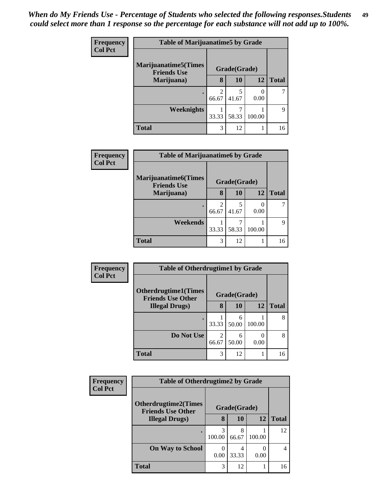| Frequency      | <b>Table of Marijuanatime5 by Grade</b>            |                                      |              |        |              |  |
|----------------|----------------------------------------------------|--------------------------------------|--------------|--------|--------------|--|
| <b>Col Pct</b> | <b>Marijuanatime5</b> (Times<br><b>Friends Use</b> |                                      | Grade(Grade) |        |              |  |
|                | Marijuana)                                         | 8                                    | 10           | 12     | <b>Total</b> |  |
|                |                                                    | $\mathcal{D}_{\mathcal{L}}$<br>66.67 | 5<br>41.67   | 0.00   |              |  |
|                | Weeknights                                         | 33.33                                | 58.33        | 100.00 | 9            |  |
|                | <b>Total</b>                                       | 3                                    | 12           |        | 16           |  |

| Frequency      | <b>Table of Marijuanatime6 by Grade</b>           |       |              |        |              |  |  |  |
|----------------|---------------------------------------------------|-------|--------------|--------|--------------|--|--|--|
| <b>Col Pct</b> | <b>Marijuanatime6(Times</b><br><b>Friends Use</b> |       | Grade(Grade) |        |              |  |  |  |
|                | Marijuana)                                        | 8     | <b>10</b>    | 12     | <b>Total</b> |  |  |  |
|                |                                                   | 66.67 | 5<br>41.67   | 0.00   |              |  |  |  |
|                | Weekends                                          | 33.33 | 58.33        | 100.00 | Q            |  |  |  |
|                | <b>Total</b>                                      | 3     | 12           |        | 16           |  |  |  |

| Frequency      | <b>Table of Otherdrugtime1 by Grade</b>                  |            |              |        |              |
|----------------|----------------------------------------------------------|------------|--------------|--------|--------------|
| <b>Col Pct</b> | <b>Otherdrugtime1</b> (Times<br><b>Friends Use Other</b> |            | Grade(Grade) |        |              |
|                | <b>Illegal Drugs</b> )                                   | 8          | 10           | 12     | <b>Total</b> |
|                |                                                          | 33.33      | 6<br>50.00   | 100.00 | 8            |
|                | Do Not Use                                               | 2<br>66.67 | 6<br>50.00   | 0.00   | 8            |
|                | <b>Total</b>                                             | 3          | 12           |        | 16           |

| Frequency      | <b>Table of Otherdrugtime2 by Grade</b>                 |             |              |        |              |  |
|----------------|---------------------------------------------------------|-------------|--------------|--------|--------------|--|
| <b>Col Pct</b> | <b>Otherdrugtime2(Times</b><br><b>Friends Use Other</b> |             | Grade(Grade) |        |              |  |
|                | <b>Illegal Drugs</b> )                                  | 8           | 10           | 12     | <b>Total</b> |  |
|                |                                                         | 3<br>100.00 | 8<br>66.67   | 100.00 | 12           |  |
|                | <b>On Way to School</b>                                 | 0.00        | 4<br>33.33   | 0.00   | 4            |  |
|                | <b>Total</b>                                            | 3           | 12           |        | 16           |  |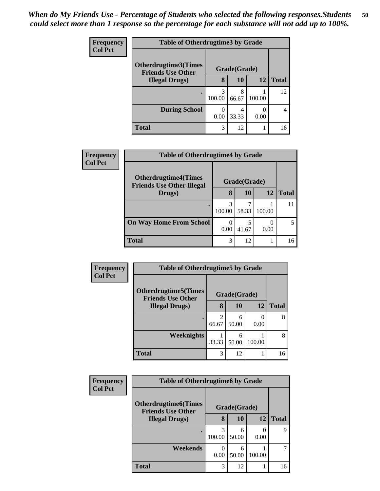| <b>Frequency</b> | <b>Table of Otherdrugtime3 by Grade</b>            |              |            |        |              |  |
|------------------|----------------------------------------------------|--------------|------------|--------|--------------|--|
| <b>Col Pct</b>   | Otherdrugtime3(Times                               | Grade(Grade) |            |        |              |  |
|                  | <b>Friends Use Other</b><br><b>Illegal Drugs</b> ) |              | <b>10</b>  | 12     | <b>Total</b> |  |
|                  |                                                    | 3<br>100.00  | 8<br>66.67 | 100.00 | 12           |  |
|                  | <b>During School</b>                               | 0.00         | 4<br>33.33 | 0.00   | 4            |  |
|                  | <b>Total</b>                                       | 3            | 12         |        | 16           |  |

| Frequency      |                                                                 | <b>Table of Otherdrugtime4 by Grade</b> |              |        |              |  |  |
|----------------|-----------------------------------------------------------------|-----------------------------------------|--------------|--------|--------------|--|--|
| <b>Col Pct</b> | <b>Otherdrugtime4(Times</b><br><b>Friends Use Other Illegal</b> |                                         | Grade(Grade) |        |              |  |  |
|                | Drugs)                                                          | 8                                       | 10           | 12     | <b>Total</b> |  |  |
|                |                                                                 | 3<br>100.00                             | 58.33        | 100.00 |              |  |  |
|                | <b>On Way Home From School</b>                                  | 0.00                                    | 41.67        | 0.00   | 5            |  |  |
|                | <b>Total</b>                                                    | 3                                       | 12           |        | 16           |  |  |

| Frequency<br><b>Col Pct</b> | <b>Table of Otherdrugtime5 by Grade</b>                  |                         |              |        |              |  |
|-----------------------------|----------------------------------------------------------|-------------------------|--------------|--------|--------------|--|
|                             | <b>Otherdrugtime5</b> (Times<br><b>Friends Use Other</b> |                         | Grade(Grade) |        |              |  |
|                             | <b>Illegal Drugs</b> )                                   | 8                       | 10           | 12     | <b>Total</b> |  |
|                             |                                                          | $\overline{c}$<br>66.67 | 6<br>50.00   | 0.00   | 8            |  |
|                             | Weeknights                                               | 33.33                   | 6<br>50.00   | 100.00 | 8            |  |
|                             | <b>Total</b>                                             | 3                       | 12           |        | 16           |  |

| Frequency      | <b>Table of Otherdrugtime6 by Grade</b>                  |             |              |        |              |  |
|----------------|----------------------------------------------------------|-------------|--------------|--------|--------------|--|
| <b>Col Pct</b> | <b>Otherdrugtime6</b> (Times<br><b>Friends Use Other</b> |             | Grade(Grade) |        |              |  |
|                | <b>Illegal Drugs</b> )                                   | 8           | <b>10</b>    | 12     | <b>Total</b> |  |
|                |                                                          | 3<br>100.00 | 6<br>50.00   | 0.00   | 9            |  |
|                | Weekends                                                 | 0.00        | 6<br>50.00   | 100.00 |              |  |
|                | Total                                                    | 3           | 12           |        | 16           |  |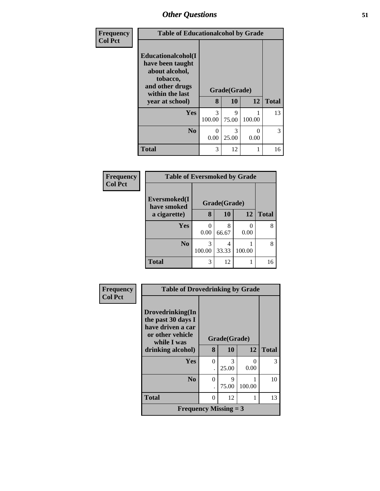| Frequency      | <b>Table of Educationalcohol by Grade</b>                                                                                     |             |                           |           |              |  |  |
|----------------|-------------------------------------------------------------------------------------------------------------------------------|-------------|---------------------------|-----------|--------------|--|--|
| <b>Col Pct</b> | Educationalcohol(I<br>have been taught<br>about alcohol,<br>tobacco,<br>and other drugs<br>within the last<br>year at school) | 8           | Grade(Grade)<br><b>10</b> | 12        | <b>Total</b> |  |  |
|                |                                                                                                                               |             |                           |           |              |  |  |
|                | <b>Yes</b>                                                                                                                    | 3<br>100.00 | $\mathbf Q$<br>75.00      | 100.00    | 13           |  |  |
|                | N <sub>0</sub>                                                                                                                | 0<br>0.00   | 3<br>25.00                | 0<br>0.00 | 3            |  |  |
|                | <b>Total</b>                                                                                                                  | 3           | 12                        | 1         | 16           |  |  |

| Frequency      |                             | <b>Table of Eversmoked by Grade</b> |              |        |              |  |  |  |  |
|----------------|-----------------------------|-------------------------------------|--------------|--------|--------------|--|--|--|--|
| <b>Col Pct</b> | Eversmoked(I<br>have smoked |                                     | Grade(Grade) |        |              |  |  |  |  |
|                | a cigarette)                | 8                                   | <b>10</b>    | 12     | <b>Total</b> |  |  |  |  |
|                | Yes                         | 0.00                                | 8<br>66.67   | 0.00   | 8            |  |  |  |  |
|                | N <sub>0</sub>              | 3<br>100.00                         | 4<br>33.33   | 100.00 | 8            |  |  |  |  |
|                | <b>Total</b>                | 3                                   | 12           |        | 16           |  |  |  |  |

| Frequency      | <b>Table of Drovedrinking by Grade</b>                                                         |              |            |           |              |
|----------------|------------------------------------------------------------------------------------------------|--------------|------------|-----------|--------------|
| <b>Col Pct</b> | Drovedrinking(In<br>the past 30 days I<br>have driven a car<br>or other vehicle<br>while I was | Grade(Grade) |            |           |              |
|                | drinking alcohol)                                                                              | 8            | 10         | 12        | <b>Total</b> |
|                | Yes                                                                                            | $\theta$     | 3<br>25.00 | 0<br>0.00 | 3            |
|                | N <sub>0</sub>                                                                                 | $\theta$     | 9<br>75.00 | 100.00    | 10           |
|                | <b>Total</b>                                                                                   | $\theta$     | 12         | 1         | 13           |
|                | <b>Frequency Missing = 3</b>                                                                   |              |            |           |              |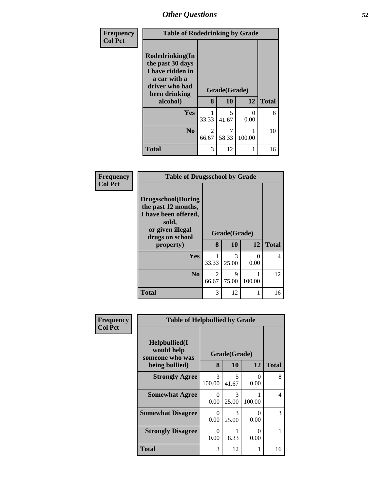| Frequency      | <b>Table of Rodedrinking by Grade</b>                                                                                  |            |                    |                           |              |  |  |
|----------------|------------------------------------------------------------------------------------------------------------------------|------------|--------------------|---------------------------|--------------|--|--|
| <b>Col Pct</b> | Rodedrinking(In<br>the past 30 days<br>I have ridden in<br>a car with a<br>driver who had<br>been drinking<br>alcohol) | 8          | Grade(Grade)<br>10 | 12                        | <b>Total</b> |  |  |
|                |                                                                                                                        |            |                    |                           |              |  |  |
|                | <b>Yes</b>                                                                                                             | 33.33      | 5<br>41.67         | $\mathbf{\Omega}$<br>0.00 | 6            |  |  |
|                | No.                                                                                                                    | 2<br>66.67 | 7<br>58.33         | 100.00                    | 10           |  |  |
|                | <b>Total</b>                                                                                                           | 3          | 12                 |                           | 16           |  |  |

| <b>Frequency</b> | <b>Table of Drugsschool by Grade</b>                                                                                                   |                         |                    |                           |              |  |  |  |
|------------------|----------------------------------------------------------------------------------------------------------------------------------------|-------------------------|--------------------|---------------------------|--------------|--|--|--|
| <b>Col Pct</b>   | <b>Drugsschool</b> (During<br>the past 12 months,<br>I have been offered,<br>sold,<br>or given illegal<br>drugs on school<br>property) | 8                       | Grade(Grade)<br>10 | 12                        | <b>Total</b> |  |  |  |
|                  | Yes                                                                                                                                    | 33.33                   | 3<br>25.00         | $\mathbf{\Omega}$<br>0.00 | 4            |  |  |  |
|                  | N <sub>0</sub>                                                                                                                         | $\overline{2}$<br>66.67 | 9<br>75.00         | 100.00                    | 12           |  |  |  |
|                  | <b>Total</b>                                                                                                                           | 3                       | 12                 |                           | 16           |  |  |  |

| Frequency      |                                                                        | <b>Table of Helpbullied by Grade</b> |                           |                  |               |  |  |
|----------------|------------------------------------------------------------------------|--------------------------------------|---------------------------|------------------|---------------|--|--|
| <b>Col Pct</b> | $Helpb$ ullied $(I$<br>would help<br>someone who was<br>being bullied) | 8                                    | Grade(Grade)<br><b>10</b> | 12               | <b>Total</b>  |  |  |
|                | <b>Strongly Agree</b>                                                  | 3<br>100.00                          | 5<br>41.67                | 0<br>0.00        | 8             |  |  |
|                | <b>Somewhat Agree</b>                                                  | 0<br>0.00                            | 3<br>25.00                | 100.00           | 4             |  |  |
|                | <b>Somewhat Disagree</b>                                               | $\Omega$<br>0.00                     | 3<br>25.00                | 0<br>0.00        | $\mathcal{F}$ |  |  |
|                | <b>Strongly Disagree</b>                                               | $\theta$<br>0.00                     | 8.33                      | $\Omega$<br>0.00 |               |  |  |
|                | Total                                                                  | 3                                    | 12                        |                  | 16            |  |  |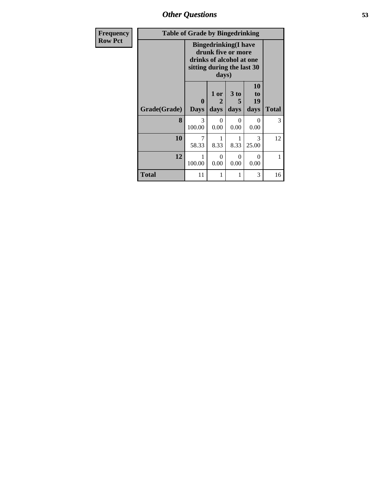*Other Questions* **53**

| <b>Frequency</b> | <b>Table of Grade by Bingedrinking</b> |                            |                  |                                                                               |                        |              |  |  |
|------------------|----------------------------------------|----------------------------|------------------|-------------------------------------------------------------------------------|------------------------|--------------|--|--|
| <b>Row Pct</b>   |                                        | sitting during the last 30 | days)            | <b>Bingedrinking(I have</b><br>drunk five or more<br>drinks of alcohol at one |                        |              |  |  |
|                  | Grade(Grade)                           | 0<br><b>Days</b>           | 1 or<br>days     | 3 to<br>5<br>days                                                             | 10<br>to<br>19<br>days | <b>Total</b> |  |  |
|                  | 8                                      | 3<br>100.00                | $\Omega$<br>0.00 | $\Omega$<br>0.00                                                              | $\Omega$<br>0.00       | 3            |  |  |
|                  | 10                                     | 7<br>58.33                 | 8.33             | 1<br>8.33                                                                     | 3<br>25.00             | 12           |  |  |
|                  | 12                                     | 1<br>100.00                | $\Omega$<br>0.00 | $\Omega$<br>0.00                                                              | $\Omega$<br>0.00       | 1            |  |  |
|                  | <b>Total</b>                           | 11                         | 1                | 1                                                                             | 3                      | 16           |  |  |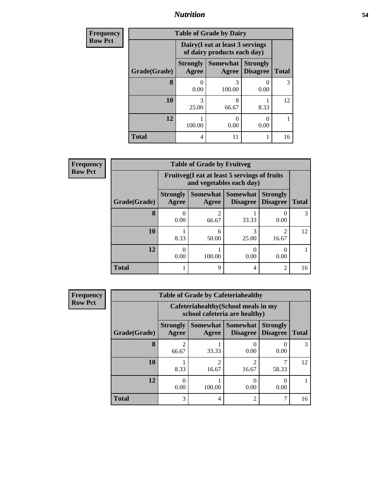### *Nutrition* **54**

| Frequency      | <b>Table of Grade by Dairy</b> |                          |                                                                 |                                    |              |  |  |  |  |
|----------------|--------------------------------|--------------------------|-----------------------------------------------------------------|------------------------------------|--------------|--|--|--|--|
| <b>Row Pct</b> |                                |                          | Dairy (I eat at least 3 servings<br>of dairy products each day) |                                    |              |  |  |  |  |
|                | Grade(Grade)                   | <b>Strongly</b><br>Agree | <b>Somewhat</b><br>Agree                                        | <b>Strongly</b><br><b>Disagree</b> | <b>Total</b> |  |  |  |  |
|                | 8                              | 0.00                     | 3<br>100.00                                                     | 0.00                               | 3            |  |  |  |  |
|                | 10                             | 3<br>25.00               | 8<br>66.67                                                      | 8.33                               | 12           |  |  |  |  |
|                | 12                             | 100.00                   | 0<br>0.00                                                       | 0.00                               |              |  |  |  |  |
|                | <b>Total</b>                   | 4                        | 11                                                              |                                    | 16           |  |  |  |  |

| <b>Frequency</b> |
|------------------|
| <b>Row Pct</b>   |

| V | <b>Table of Grade by Fruitveg</b> |                                                                          |            |                                      |                                    |              |  |
|---|-----------------------------------|--------------------------------------------------------------------------|------------|--------------------------------------|------------------------------------|--------------|--|
|   |                                   | Fruitveg(I eat at least 5 servings of fruits<br>and vegetables each day) |            |                                      |                                    |              |  |
|   | Grade(Grade)                      | <b>Strongly</b><br>Agree                                                 | Agree      | Somewhat Somewhat<br><b>Disagree</b> | <b>Strongly</b><br><b>Disagree</b> | <b>Total</b> |  |
|   | 8                                 | 0.00                                                                     | 2<br>66.67 | 33.33                                | 0.00                               |              |  |
|   | 10                                | 8.33                                                                     | 6<br>50.00 | 25.00                                | 16.67                              | 12           |  |
|   | 12                                | 0.00                                                                     | 100.00     | 0.00                                 | 0.00                               |              |  |
|   | <b>Total</b>                      |                                                                          | 9          | 4                                    | $\overline{2}$                     | 16           |  |

| <b>Frequency</b> |
|------------------|
| <b>Row Pct</b>   |

| <b>Table of Grade by Cafeteriahealthy</b> |                          |                                                                       |                                               |                                    |              |  |  |  |
|-------------------------------------------|--------------------------|-----------------------------------------------------------------------|-----------------------------------------------|------------------------------------|--------------|--|--|--|
|                                           |                          | Cafeteriahealthy (School meals in my<br>school cafeteria are healthy) |                                               |                                    |              |  |  |  |
| Grade(Grade)                              | <b>Strongly</b><br>Agree | Agree                                                                 | <b>Somewhat   Somewhat</b><br><b>Disagree</b> | <b>Strongly</b><br><b>Disagree</b> | <b>Total</b> |  |  |  |
| 8                                         | 2<br>66.67               | 33.33                                                                 | 0.00                                          | 0.00                               | 3            |  |  |  |
| 10                                        | 8.33                     | 16.67                                                                 | $\mathfrak{D}$<br>16.67                       | 58.33                              | 12           |  |  |  |
| 12                                        | 0.00                     | 100.00                                                                | 0<br>0.00                                     | 0.00                               |              |  |  |  |
| <b>Total</b>                              | 3                        | 4                                                                     | $\mathfrak{D}$                                | 7                                  | 16           |  |  |  |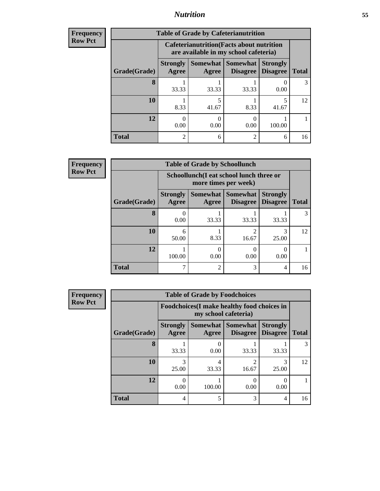### *Nutrition* **55**

| <b>Frequency</b> |
|------------------|
|                  |
| l Row Pct        |

| <b>Table of Grade by Cafeterianutrition</b> |                          |                                                                                           |                      |                                    |              |  |  |
|---------------------------------------------|--------------------------|-------------------------------------------------------------------------------------------|----------------------|------------------------------------|--------------|--|--|
|                                             |                          | <b>Cafeterianutrition</b> (Facts about nutrition<br>are available in my school cafeteria) |                      |                                    |              |  |  |
| Grade(Grade)                                | <b>Strongly</b><br>Agree | Somewhat  <br>Agree                                                                       | Somewhat<br>Disagree | <b>Strongly</b><br><b>Disagree</b> | <b>Total</b> |  |  |
| 8                                           | 33.33                    | 33.33                                                                                     | 33.33                | 0.00                               | 3            |  |  |
| 10                                          | 8.33                     | 41.67                                                                                     | 8.33                 | 41.67                              | 12           |  |  |
| 12                                          | 0.00                     | 0.00                                                                                      | 0.00                 | 100.00                             |              |  |  |
| <b>Total</b>                                | $\mathfrak{D}$           | 6                                                                                         | $\mathfrak{D}$       | 6                                  | 16           |  |  |

**Frequency Row Pct**

| $\overline{V}$ | <b>Table of Grade by Schoollunch</b> |                          |                                                                 |                                      |                                    |              |  |  |
|----------------|--------------------------------------|--------------------------|-----------------------------------------------------------------|--------------------------------------|------------------------------------|--------------|--|--|
|                |                                      |                          | Schoollunch(I eat school lunch three or<br>more times per week) |                                      |                                    |              |  |  |
|                | Grade(Grade)                         | <b>Strongly</b><br>Agree | Agree                                                           | Somewhat Somewhat<br><b>Disagree</b> | <b>Strongly</b><br><b>Disagree</b> | <b>Total</b> |  |  |
|                | 8                                    | 0.00                     | 33.33                                                           | 33.33                                | 33.33                              | 3            |  |  |
|                | 10                                   | 6<br>50.00               | 8.33                                                            | 2<br>16.67                           | 25.00                              | 12           |  |  |
|                | 12                                   | 100.00                   | 0.00                                                            | 0<br>0.00                            | 0.00                               |              |  |  |
|                | <b>Total</b>                         |                          | 2                                                               | 3                                    | 4                                  | 16           |  |  |

**Frequency Row Pct**

| <b>Table of Grade by Foodchoices</b> |                          |                                                                            |                                      |                                    |              |  |  |  |
|--------------------------------------|--------------------------|----------------------------------------------------------------------------|--------------------------------------|------------------------------------|--------------|--|--|--|
|                                      |                          | <b>Foodchoices</b> (I make healthy food choices in<br>my school cafeteria) |                                      |                                    |              |  |  |  |
| Grade(Grade)                         | <b>Strongly</b><br>Agree | Agree                                                                      | Somewhat Somewhat<br><b>Disagree</b> | <b>Strongly</b><br><b>Disagree</b> | <b>Total</b> |  |  |  |
| 8                                    | 33.33                    | 0.00                                                                       | 33.33                                | 33.33                              | 3            |  |  |  |
| 10                                   | 25.00                    | 4<br>33.33                                                                 | 2<br>16.67                           | 3<br>25.00                         | 12           |  |  |  |
| 12                                   | 0.00                     | 100.00                                                                     | 0.00                                 | 0.00                               |              |  |  |  |
| <b>Total</b>                         | 4                        | 5                                                                          | 3                                    | 4                                  | 16           |  |  |  |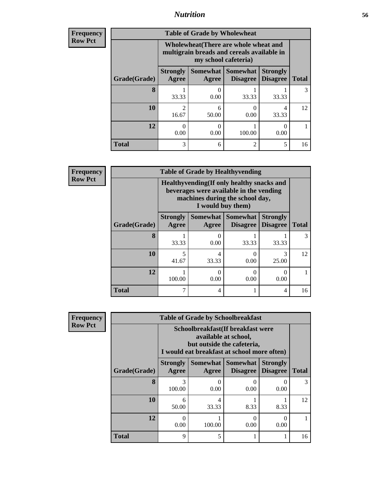### *Nutrition* **56**

| <b>Frequency</b> |
|------------------|
| <b>Row Pct</b>   |

| <b>Table of Grade by Wholewheat</b> |                                                                                                             |            |                                      |                                    |              |  |  |
|-------------------------------------|-------------------------------------------------------------------------------------------------------------|------------|--------------------------------------|------------------------------------|--------------|--|--|
|                                     | Wholewheat (There are whole wheat and<br>multigrain breads and cereals available in<br>my school cafeteria) |            |                                      |                                    |              |  |  |
| Grade(Grade)                        | <b>Strongly</b><br>Agree                                                                                    | Agree      | Somewhat Somewhat<br><b>Disagree</b> | <b>Strongly</b><br><b>Disagree</b> | <b>Total</b> |  |  |
| 8                                   | 33.33                                                                                                       | 0.00       | 33.33                                | 33.33                              | 3            |  |  |
| 10                                  | $\mathfrak{D}$<br>16.67                                                                                     | 6<br>50.00 | 0.00                                 | 4<br>33.33                         | 12           |  |  |
| 12                                  | 0<br>0.00                                                                                                   | 0.00       | 100.00                               | 0.00                               |              |  |  |
| <b>Total</b>                        | 3                                                                                                           | 6          | 2                                    | 5                                  | 16           |  |  |

**Frequency Row Pct**

| <b>Table of Grade by Healthyvending</b> |                                                                                                                                               |            |                                               |                                    |              |  |
|-----------------------------------------|-----------------------------------------------------------------------------------------------------------------------------------------------|------------|-----------------------------------------------|------------------------------------|--------------|--|
|                                         | Healthyvending (If only healthy snacks and<br>beverages were available in the vending<br>machines during the school day,<br>I would buy them) |            |                                               |                                    |              |  |
| Grade(Grade)                            | <b>Strongly</b><br>Agree                                                                                                                      | Agree      | <b>Somewhat   Somewhat</b><br><b>Disagree</b> | <b>Strongly</b><br><b>Disagree</b> | <b>Total</b> |  |
| 8                                       | 33.33                                                                                                                                         | 0<br>0.00  | 33.33                                         | 33.33                              | 3            |  |
| 10                                      | 41.67                                                                                                                                         | 4<br>33.33 | 0.00                                          | 3<br>25.00                         | 12           |  |
| 12                                      | 100.00                                                                                                                                        | 0<br>0.00  | $\Omega$<br>0.00                              | $\mathcal{O}$<br>0.00              |              |  |
| <b>Total</b>                            |                                                                                                                                               | 4          |                                               | 4                                  | 16           |  |

**Frequency Row Pct**

| <b>Table of Grade by Schoolbreakfast</b> |                                                                                                                                         |            |           |      |    |  |  |
|------------------------------------------|-----------------------------------------------------------------------------------------------------------------------------------------|------------|-----------|------|----|--|--|
|                                          | Schoolbreakfast (If breakfast were<br>available at school,<br>but outside the cafeteria,<br>I would eat breakfast at school more often) |            |           |      |    |  |  |
| Grade(Grade)                             | Somewhat   Somewhat  <br><b>Strongly</b><br><b>Strongly</b><br><b>Disagree</b><br>Agree<br><b>Disagree</b><br><b>Total</b><br>Agree     |            |           |      |    |  |  |
| 8                                        | 3<br>100.00                                                                                                                             | 0.00       | 0.00      | 0.00 | 3  |  |  |
| 10                                       | 6<br>50.00                                                                                                                              | 4<br>33.33 | 8.33      | 8.33 | 12 |  |  |
| 12                                       | 0<br>0.00                                                                                                                               | 100.00     | 0<br>0.00 | 0.00 |    |  |  |
| <b>Total</b>                             | 9                                                                                                                                       | 5          |           |      | 16 |  |  |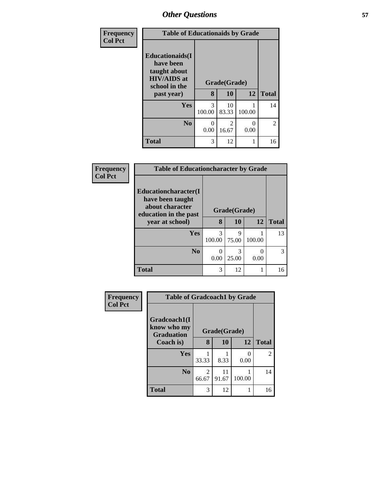| Frequency      | <b>Table of Educationaids by Grade</b>                                                      |                          |                         |                  |                |
|----------------|---------------------------------------------------------------------------------------------|--------------------------|-------------------------|------------------|----------------|
| <b>Col Pct</b> | <b>Educationaids</b> (I<br>have been<br>taught about<br><b>HIV/AIDS</b> at<br>school in the |                          | Grade(Grade)            |                  |                |
|                | past year)                                                                                  | 8                        | 10                      | 12               | <b>Total</b>   |
|                | <b>Yes</b>                                                                                  | 3<br>100.00              | 10<br>83.33             | 100.00           | 14             |
|                | N <sub>0</sub>                                                                              | $\left( \right)$<br>0.00 | $\overline{2}$<br>16.67 | $\Omega$<br>0.00 | $\overline{2}$ |
|                | <b>Total</b>                                                                                | 3                        | 12                      | 1                | 16             |

| Frequency      | <b>Table of Educationcharacter by Grade</b>                         |             |              |        |              |  |  |  |
|----------------|---------------------------------------------------------------------|-------------|--------------|--------|--------------|--|--|--|
| <b>Col Pct</b> | <b>Educationcharacter</b> (I<br>have been taught<br>about character |             | Grade(Grade) |        |              |  |  |  |
|                | education in the past<br>year at school)                            | 8           | 10           | 12     | <b>Total</b> |  |  |  |
|                | Yes                                                                 | 3<br>100.00 | 9<br>75.00   | 100.00 | 13           |  |  |  |
|                | N <sub>0</sub>                                                      | ∩<br>0.00   | 3<br>25.00   | 0.00   | 3            |  |  |  |
|                | <b>Total</b>                                                        | 3           | 12           |        | 16           |  |  |  |

| Frequency      | <b>Table of Gradcoach1 by Grade</b>              |            |              |        |                |
|----------------|--------------------------------------------------|------------|--------------|--------|----------------|
| <b>Col Pct</b> | Gradcoach1(I<br>know who my<br><b>Graduation</b> |            | Grade(Grade) |        |                |
|                | Coach is)                                        | 8          | 10           | 12     | <b>Total</b>   |
|                | Yes                                              | 33.33      | 8.33         | 0.00   | $\mathfrak{D}$ |
|                | N <sub>0</sub>                                   | 2<br>66.67 | 11<br>91.67  | 100.00 | 14             |
|                | <b>Total</b>                                     | 3          | 12           |        | 16             |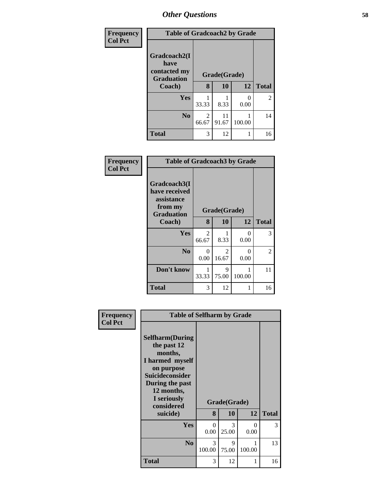| Frequency<br><b>Col Pct</b> | <b>Table of Gradcoach2 by Grade</b>                       |            |              |           |              |
|-----------------------------|-----------------------------------------------------------|------------|--------------|-----------|--------------|
|                             | Gradcoach2(I<br>have<br>contacted my<br><b>Graduation</b> |            | Grade(Grade) |           |              |
|                             | Coach)                                                    | 8          | 10           | 12        | <b>Total</b> |
|                             | Yes                                                       | 33.33      | 8.33         | 0<br>0.00 | 2            |
|                             | N <sub>0</sub>                                            | 2<br>66.67 | 11<br>91.67  | 100.00    | 14           |
|                             | <b>Total</b>                                              | 3          | 12           |           | 16           |

| Frequency<br><b>Col Pct</b> | <b>Table of Gradcoach3 by Grade</b>                                         |            |              |           |                |
|-----------------------------|-----------------------------------------------------------------------------|------------|--------------|-----------|----------------|
|                             | Gradcoach3(I<br>have received<br>assistance<br>from my<br><b>Graduation</b> |            | Grade(Grade) |           |                |
|                             | Coach)                                                                      | 8          | 10           | 12        | <b>Total</b>   |
|                             | Yes                                                                         | 2<br>66.67 | 8.33         | 0<br>0.00 | 3              |
|                             | N <sub>0</sub>                                                              | 0<br>0.00  | 2<br>16.67   | 0<br>0.00 | $\overline{c}$ |
|                             | Don't know                                                                  | 1<br>33.33 | 9<br>75.00   | 100.00    | 11             |
|                             | <b>Total</b>                                                                | 3          | 12           |           | 16             |

| Frequency      |                                                                                                                                                                                        | <b>Table of Selfharm by Grade</b> |                    |             |              |
|----------------|----------------------------------------------------------------------------------------------------------------------------------------------------------------------------------------|-----------------------------------|--------------------|-------------|--------------|
| <b>Col Pct</b> | <b>Selfharm</b> (During<br>the past 12<br>months,<br>I harmed myself<br>on purpose<br><b>Suicideconsider</b><br>During the past<br>12 months,<br>I seriously<br>considered<br>suicide) | 8                                 | Grade(Grade)<br>10 | 12          | <b>Total</b> |
|                | Yes                                                                                                                                                                                    | $\Omega$                          | 3                  | 0           | 3            |
|                |                                                                                                                                                                                        | 0.00                              | 25.00              | 0.00        |              |
|                | N <sub>0</sub>                                                                                                                                                                         | 3<br>100.00                       | 9<br>75.00         | 1<br>100.00 | 13           |
|                | <b>Total</b>                                                                                                                                                                           | 3                                 | 12                 | 1           | 16           |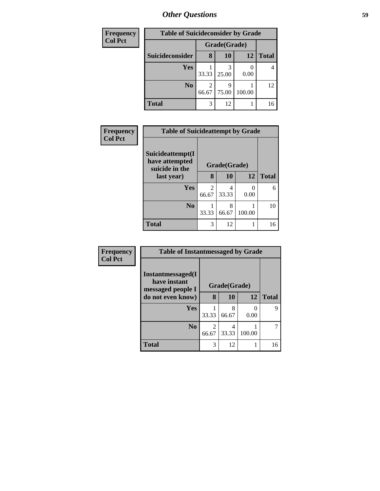| Frequency      | <b>Table of Suicideconsider by Grade</b> |              |           |        |              |
|----------------|------------------------------------------|--------------|-----------|--------|--------------|
| <b>Col Pct</b> |                                          | Grade(Grade) |           |        |              |
|                | Suicideconsider                          | 8            | <b>10</b> | 12     | <b>Total</b> |
|                | Yes                                      | 33.33        | 25.00     | 0.00   | 4            |
|                | N <sub>0</sub>                           | 66.67        | 75.00     | 100.00 | 12           |
|                | <b>Total</b>                             | 3            | 12        |        | 16           |

| Frequency      | <b>Table of Suicideattempt by Grade</b>              |            |              |           |              |
|----------------|------------------------------------------------------|------------|--------------|-----------|--------------|
| <b>Col Pct</b> | Suicideattempt(I<br>have attempted<br>suicide in the |            | Grade(Grade) |           |              |
|                | last year)                                           | 8          | 10           | 12        | <b>Total</b> |
|                | Yes                                                  | 2<br>66.67 | 4<br>33.33   | 0<br>0.00 | 6            |
|                | N <sub>0</sub>                                       | 33.33      | 8<br>66.67   | 100.00    | 10           |
|                | <b>Total</b>                                         | 3          | 12           |           | 16           |

| Frequency      | <b>Table of Instantmessaged by Grade</b>               |                         |              |        |              |  |  |
|----------------|--------------------------------------------------------|-------------------------|--------------|--------|--------------|--|--|
| <b>Col Pct</b> | Instantmessaged(I<br>have instant<br>messaged people I |                         | Grade(Grade) |        |              |  |  |
|                | do not even know)                                      | 8                       | 10           | 12     | <b>Total</b> |  |  |
|                | Yes                                                    | 33.33                   | 8<br>66.67   | 0.00   | 9            |  |  |
|                | N <sub>0</sub>                                         | $\overline{2}$<br>66.67 | 4<br>33.33   | 100.00 |              |  |  |
|                | <b>Total</b>                                           | 3                       | 12           |        | 16           |  |  |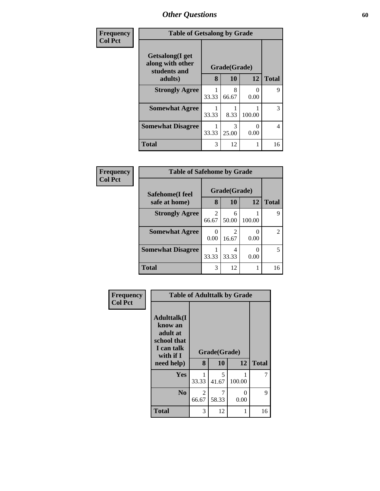| Frequency      | <b>Table of Getsalong by Grade</b>                  |       |              |           |              |
|----------------|-----------------------------------------------------|-------|--------------|-----------|--------------|
| <b>Col Pct</b> | Getsalong(I get<br>along with other<br>students and |       | Grade(Grade) |           |              |
|                | adults)                                             | 8     | 10           | 12        | <b>Total</b> |
|                | <b>Strongly Agree</b>                               | 33.33 | 8<br>66.67   | 0<br>0.00 | 9            |
|                | <b>Somewhat Agree</b>                               | 33.33 | 8.33         | 100.00    | 3            |
|                | <b>Somewhat Disagree</b>                            | 33.33 | 3<br>25.00   | 0<br>0.00 | 4            |
|                | <b>Total</b>                                        | 3     | 12           | 1         | 16           |

| Frequency      | <b>Table of Safehome by Grade</b>       |                         |                    |        |                |  |
|----------------|-----------------------------------------|-------------------------|--------------------|--------|----------------|--|
| <b>Col Pct</b> | <b>Safehome(I feel</b><br>safe at home) | 8                       | Grade(Grade)<br>10 | 12     | <b>Total</b>   |  |
|                | <b>Strongly Agree</b>                   | $\mathfrak{D}$<br>66.67 | 6<br>50.00         | 100.00 | 9              |  |
|                | <b>Somewhat Agree</b>                   | 0.00                    | 2<br>16.67         | 0.00   | $\mathfrak{D}$ |  |
|                | <b>Somewhat Disagree</b>                | 33.33                   | 33.33              | 0.00   | 5              |  |
|                | <b>Total</b>                            | 3                       | 12                 |        | 16             |  |

| Frequency      | <b>Table of Adulttalk by Grade</b>                                                  |            |              |                           |              |  |  |  |
|----------------|-------------------------------------------------------------------------------------|------------|--------------|---------------------------|--------------|--|--|--|
| <b>Col Pct</b> | <b>Adulttalk(I</b><br>know an<br>adult at<br>school that<br>I can talk<br>with if I |            | Grade(Grade) |                           |              |  |  |  |
|                | need help)                                                                          | 8          | 10           | 12                        | <b>Total</b> |  |  |  |
|                | <b>Yes</b>                                                                          | 33.33      | 5<br>41.67   | 100.00                    |              |  |  |  |
|                | N <sub>0</sub>                                                                      | 2<br>66.67 | 7<br>58.33   | $\mathbf{\Omega}$<br>0.00 | 9            |  |  |  |
|                |                                                                                     |            |              |                           |              |  |  |  |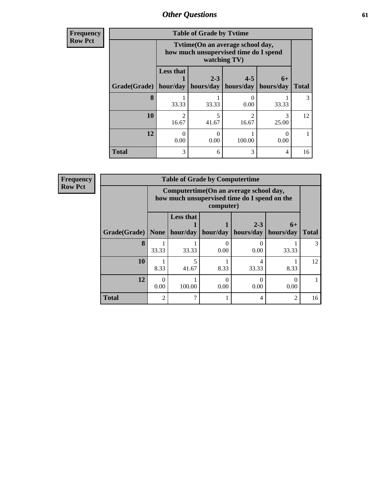**Frequency Row Pct**

| <b>Table of Grade by Tytime</b> |                                                                                           |                      |                         |                   |              |  |
|---------------------------------|-------------------------------------------------------------------------------------------|----------------------|-------------------------|-------------------|--------------|--|
|                                 | Tvtime(On an average school day,<br>how much unsupervised time do I spend<br>watching TV) |                      |                         |                   |              |  |
| Grade(Grade)   hour/day         | <b>Less that</b>                                                                          | $2 - 3$<br>hours/day | $4 - 5$<br>hours/day    | $6+$<br>hours/day | <b>Total</b> |  |
| 8                               | 33.33                                                                                     | 33.33                | $\theta$<br>0.00        | 33.33             | 3            |  |
| 10                              | $\mathcal{D}$<br>16.67                                                                    | 5<br>41.67           | $\mathfrak{D}$<br>16.67 | 3<br>25.00        | 12           |  |
| 12                              | 0.00                                                                                      | 0<br>0.00            | 100.00                  | 0.00              |              |  |
| <b>Total</b>                    | 3                                                                                         | 6                    | 3                       | 4                 | 16           |  |

| <b>Frequency</b> |              | <b>Table of Grade by Computertime</b> |                                                                                                      |                                           |                      |                     |              |  |
|------------------|--------------|---------------------------------------|------------------------------------------------------------------------------------------------------|-------------------------------------------|----------------------|---------------------|--------------|--|
| <b>Row Pct</b>   |              |                                       | Computertime (On an average school day,<br>how much unsupervised time do I spend on the<br>computer) |                                           |                      |                     |              |  |
|                  | Grade(Grade) | <b>None</b>                           | <b>Less that</b>                                                                                     | $\vert$ hour/day $\vert$ hour/day $\vert$ | $2 - 3$<br>hours/day | $6+$<br>  hours/day | <b>Total</b> |  |
|                  | 8            | 33.33                                 | 33.33                                                                                                | 0.00                                      | 0.00                 | 33.33               | 3            |  |
|                  | 10           | 8.33                                  | 5<br>41.67                                                                                           | 8.33                                      | 33.33                | 8.33                | 12           |  |
|                  | 12           | 0.00                                  | 100.00                                                                                               | 0.00                                      | 0.00                 | 0.00                |              |  |
|                  | <b>Total</b> | $\mathfrak{D}$                        | ⇁                                                                                                    |                                           | $\overline{4}$       | 2                   | 16           |  |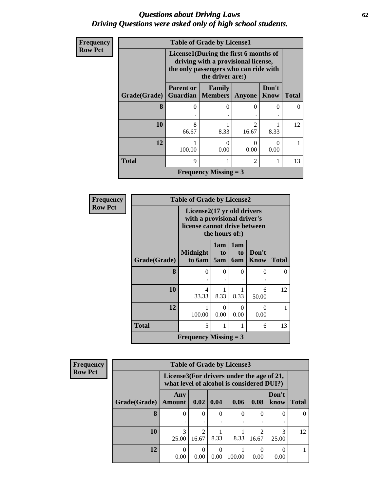#### *Questions about Driving Laws* **62** *Driving Questions were asked only of high school students.*

| <b>Frequency</b> |              | <b>Table of Grade by License1</b> |                                                                                                                                           |                         |               |              |  |  |
|------------------|--------------|-----------------------------------|-------------------------------------------------------------------------------------------------------------------------------------------|-------------------------|---------------|--------------|--|--|
| <b>Row Pct</b>   |              |                                   | License1(During the first 6 months of<br>driving with a provisional license,<br>the only passengers who can ride with<br>the driver are:) |                         |               |              |  |  |
|                  | Grade(Grade) | <b>Parent or</b>                  | Family<br><b>Guardian</b>   Members                                                                                                       | <b>Anyone</b>           | Don't<br>Know | <b>Total</b> |  |  |
|                  | 8            | 0                                 |                                                                                                                                           | 0                       | 0             | 0            |  |  |
|                  | 10           | 8<br>66.67                        | 8.33                                                                                                                                      | $\mathfrak{D}$<br>16.67 | 8.33          | 12           |  |  |
|                  | 12           | 100.00                            | $\cup$<br>0.00                                                                                                                            | 0<br>0.00               | 0<br>0.00     |              |  |  |
|                  | <b>Total</b> | 9                                 |                                                                                                                                           | $\overline{2}$          | 1             | 13           |  |  |
|                  |              |                                   | <b>Frequency Missing = 3</b>                                                                                                              |                         |               |              |  |  |

| Frequency      |              | <b>Table of Grade by License2</b>                                                                           |                  |                                     |               |              |
|----------------|--------------|-------------------------------------------------------------------------------------------------------------|------------------|-------------------------------------|---------------|--------------|
| <b>Row Pct</b> |              | License2(17 yr old drivers<br>with a provisional driver's<br>license cannot drive between<br>the hours of:) |                  |                                     |               |              |
|                | Grade(Grade) | <b>Midnight</b><br>to 6am                                                                                   | 1am<br>to<br>5am | 1am<br>t <sub>0</sub><br><b>6am</b> | Don't<br>Know | <b>Total</b> |
|                | 8            | 0                                                                                                           | $\Omega$         | 0                                   | 0             | 0            |
|                | 10           | 4<br>33.33                                                                                                  | 8.33             | 8.33                                | 6<br>50.00    | 12           |
|                | 12           | 100.00                                                                                                      | 0<br>0.00        | 0<br>0.00                           | 0<br>0.00     |              |
|                | <b>Total</b> | 5                                                                                                           | 1                | 1                                   | 6             | 13           |
|                |              | <b>Frequency Missing = 3</b>                                                                                |                  |                                     |               |              |

| Frequency      |              |                      |                                                                                        |                  | <b>Table of Grade by License3</b> |            |               |              |
|----------------|--------------|----------------------|----------------------------------------------------------------------------------------|------------------|-----------------------------------|------------|---------------|--------------|
| <b>Row Pct</b> |              |                      | License3(For drivers under the age of 21,<br>what level of alcohol is considered DUI?) |                  |                                   |            |               |              |
|                | Grade(Grade) | Any<br><b>Amount</b> | 0.02                                                                                   | 0.04             | 0.06                              | 0.08       | Don't<br>know | <b>Total</b> |
|                | 8            | $\theta$             | $\Omega$                                                                               | $\Omega$         | 0                                 |            | $\theta$      |              |
|                | 10           | 3<br>25.00           | $\mathfrak{D}$<br>16.67                                                                | 8.33             | 8.33                              | σ<br>16.67 | 3<br>25.00    | 12           |
|                | 12           | $\theta$<br>0.00     | $\Omega$<br>0.00                                                                       | $\Omega$<br>0.00 | 100.00                            | 0.00       | 0<br>0.00     |              |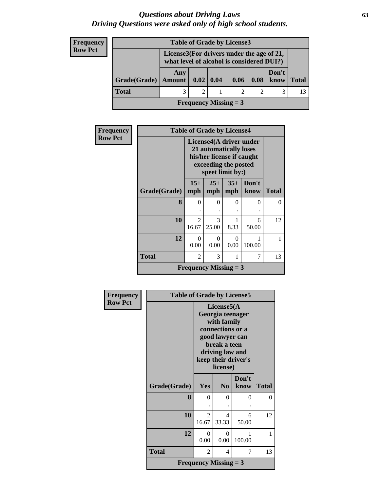#### *Questions about Driving Laws* **63** *Driving Questions were asked only of high school students.*

#### **Frequency Row Pct**

| <b>Table of Grade by License3</b> |               |                                                                                        |  |                |      |               |              |
|-----------------------------------|---------------|----------------------------------------------------------------------------------------|--|----------------|------|---------------|--------------|
|                                   |               | License3(For drivers under the age of 21,<br>what level of alcohol is considered DUI?) |  |                |      |               |              |
| Grade(Grade)                      | Any<br>Amount | $0.02 \mid 0.04$                                                                       |  | 0.06           | 0.08 | Don't<br>know | <b>Total</b> |
| <b>Total</b>                      | 3             | 2                                                                                      |  | $\overline{c}$ |      |               |              |
| <b>Frequency Missing = 3</b>      |               |                                                                                        |  |                |      |               |              |

| <b>Frequency</b> |              |                         | <b>Table of Grade by License4</b>                                                               |                  |                         |              |
|------------------|--------------|-------------------------|-------------------------------------------------------------------------------------------------|------------------|-------------------------|--------------|
| <b>Row Pct</b>   |              |                         | 21 automatically loses<br>his/her license if caught<br>exceeding the posted<br>speet limit by:) |                  | License4(A driver under |              |
|                  | Grade(Grade) | $15+$<br>mph            | $25+$<br>mph                                                                                    | $35+$<br>mph     | Don't<br>know           | <b>Total</b> |
|                  | 8            | 0                       | 0                                                                                               | 0                | 0                       | $\Omega$     |
|                  | 10           | $\mathfrak{D}$<br>16.67 | 3<br>25.00                                                                                      | 8.33             | 6<br>50.00              | 12           |
|                  | 12           | 0<br>0.00               | 0<br>0.00                                                                                       | $\Omega$<br>0.00 | 100.00                  | 1            |
|                  | <b>Total</b> | 2                       | 3                                                                                               | 1                | 7                       | 13           |
|                  |              |                         | <b>Frequency Missing = 3</b>                                                                    |                  |                         |              |

| Frequency      | <b>Table of Grade by License5</b> |                              |                                                                                                                                      |                     |              |  |  |  |  |
|----------------|-----------------------------------|------------------------------|--------------------------------------------------------------------------------------------------------------------------------------|---------------------|--------------|--|--|--|--|
| <b>Row Pct</b> |                                   |                              | License5(A)<br>Georgia teenager<br>with family<br>connections or a<br>good lawyer can<br>break a teen<br>driving law and<br>license) | keep their driver's |              |  |  |  |  |
|                | Grade(Grade)                      | Yes                          | N <sub>0</sub>                                                                                                                       | Don't<br>know       | <b>Total</b> |  |  |  |  |
|                | 8                                 | 0                            | 0                                                                                                                                    | 0                   | 0            |  |  |  |  |
|                | 10                                | $\mathfrak{D}$<br>16.67      | 4<br>33.33                                                                                                                           | 6<br>50.00          | 12           |  |  |  |  |
|                | 12                                | 0<br>0.00                    | $\Omega$<br>0.00                                                                                                                     | 1<br>100.00         | 1            |  |  |  |  |
|                | <b>Total</b>                      | $\overline{c}$               | 4                                                                                                                                    | 7                   | 13           |  |  |  |  |
|                |                                   | <b>Frequency Missing = 3</b> |                                                                                                                                      |                     |              |  |  |  |  |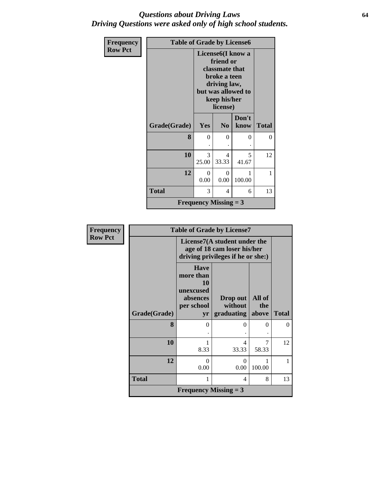#### *Questions about Driving Laws* **64** *Driving Questions were asked only of high school students.*

| Frequency      | <b>Table of Grade by License6</b> |                              |                                                                                                                           |                    |              |
|----------------|-----------------------------------|------------------------------|---------------------------------------------------------------------------------------------------------------------------|--------------------|--------------|
| <b>Row Pct</b> |                                   |                              | License <sub>6</sub> (I know a<br>friend or<br>classmate that<br>broke a teen<br>driving law,<br>keep his/her<br>license) | but was allowed to |              |
|                | Grade(Grade)                      | Yes                          | N <sub>0</sub>                                                                                                            | Don't<br>know      | <b>Total</b> |
|                | 8                                 | $\theta$                     | 0                                                                                                                         | 0                  | $\theta$     |
|                | 10                                | 3<br>25.00                   | $\overline{\mathcal{A}}$<br>33.33                                                                                         | 5<br>41.67         | 12           |
|                | 12                                | $\Omega$<br>0.00             | 0<br>0.00                                                                                                                 | 1<br>100.00        | 1            |
|                | <b>Total</b>                      | 3                            | 4                                                                                                                         | 6                  | 13           |
|                |                                   | <b>Frequency Missing = 3</b> |                                                                                                                           |                    |              |

| <b>Frequency</b> |              |                                                                             | <b>Table of Grade by License7</b>                                                                |                        |              |  |  |  |  |
|------------------|--------------|-----------------------------------------------------------------------------|--------------------------------------------------------------------------------------------------|------------------------|--------------|--|--|--|--|
| <b>Row Pct</b>   |              |                                                                             | License7(A student under the<br>age of 18 cam loser his/her<br>driving privileges if he or she:) |                        |              |  |  |  |  |
|                  | Grade(Grade) | <b>Have</b><br>more than<br>10<br>unexcused<br>absences<br>per school<br>yr | Drop out<br>without<br>graduating                                                                | All of<br>the<br>above | <b>Total</b> |  |  |  |  |
|                  | 8            | 0                                                                           | $\theta$                                                                                         | 0                      | 0            |  |  |  |  |
|                  | <b>10</b>    | 8.33                                                                        | 4<br>33.33                                                                                       | 7<br>58.33             | 12           |  |  |  |  |
|                  | 12           | 0<br>0.00                                                                   | 0<br>0.00                                                                                        | 100.00                 |              |  |  |  |  |
|                  | <b>Total</b> | 8<br>1<br>4                                                                 |                                                                                                  |                        |              |  |  |  |  |
|                  |              | <b>Frequency Missing = 3</b>                                                |                                                                                                  |                        |              |  |  |  |  |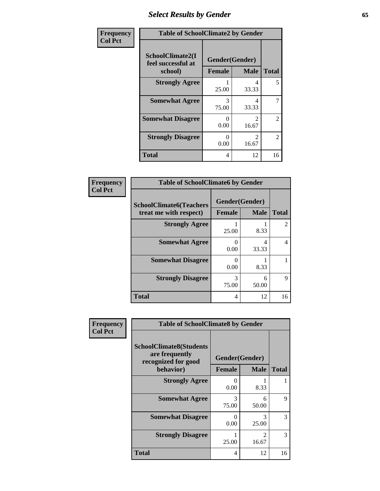# *Select Results by Gender* **65**

| Frequency      | <b>Table of SchoolClimate2 by Gender</b>          |                                 |                                      |                |  |  |
|----------------|---------------------------------------------------|---------------------------------|--------------------------------------|----------------|--|--|
| <b>Col Pct</b> | SchoolClimate2(I<br>feel successful at<br>school) | Gender(Gender)<br><b>Female</b> | <b>Male</b>                          | <b>Total</b>   |  |  |
|                | <b>Strongly Agree</b>                             | 25.00                           | 4<br>33.33                           | 5              |  |  |
|                | <b>Somewhat Agree</b>                             | 3<br>75.00                      | 4<br>33.33                           | 7              |  |  |
|                | <b>Somewhat Disagree</b>                          | $\mathbf{0}$<br>0.00            | $\mathcal{D}_{\mathcal{L}}$<br>16.67 | $\overline{2}$ |  |  |
|                | <b>Strongly Disagree</b>                          | $\mathbf{0}$<br>0.00            | $\mathcal{L}$<br>16.67               | $\overline{2}$ |  |  |
|                | <b>Total</b>                                      | 4                               | 12                                   | 16             |  |  |

| <b>Frequency</b> | <b>Table of SchoolClimate6 by Gender</b> |            |                |              |
|------------------|------------------------------------------|------------|----------------|--------------|
| <b>Col Pct</b>   | <b>SchoolClimate6(Teachers</b>           |            | Gender(Gender) |              |
|                  | treat me with respect)                   | Female     | <b>Male</b>    | <b>Total</b> |
|                  | <b>Strongly Agree</b>                    | 25.00      | 8.33           |              |
|                  | <b>Somewhat Agree</b>                    | 0.00       | 4<br>33.33     | 4            |
|                  | <b>Somewhat Disagree</b>                 | 0<br>0.00  | 8.33           |              |
|                  | <b>Strongly Disagree</b>                 | 3<br>75.00 | 6<br>50.00     | Q            |
|                  | <b>Total</b>                             | 4          | 12             | 16           |

| <b>Frequency</b> |                                                                                      | <b>Table of SchoolClimate8 by Gender</b>       |                         |              |  |  |  |
|------------------|--------------------------------------------------------------------------------------|------------------------------------------------|-------------------------|--------------|--|--|--|
| <b>Col Pct</b>   | <b>SchoolClimate8(Students</b><br>are frequently<br>recognized for good<br>behavior) | Gender(Gender)<br><b>Female</b><br><b>Male</b> |                         | <b>Total</b> |  |  |  |
|                  | <b>Strongly Agree</b>                                                                | 0.00                                           | 8.33                    | L            |  |  |  |
|                  | <b>Somewhat Agree</b>                                                                | 3<br>75.00                                     | 6<br>50.00              | 9            |  |  |  |
|                  | <b>Somewhat Disagree</b>                                                             | ∩<br>0.00                                      | 3<br>25.00              | 3            |  |  |  |
|                  | <b>Strongly Disagree</b>                                                             | 25.00                                          | $\mathfrak{D}$<br>16.67 | 3            |  |  |  |
|                  | Total                                                                                | 4                                              | 12                      | 16           |  |  |  |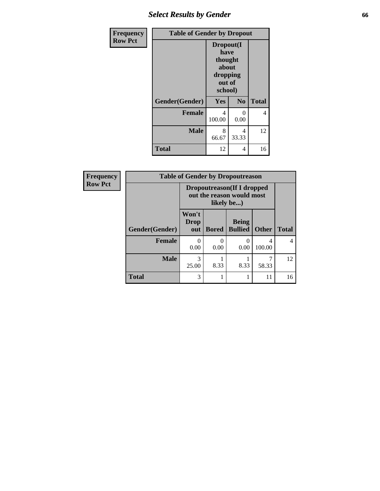## *Select Results by Gender* **66**

| Frequency      | <b>Table of Gender by Dropout</b> |                                                                        |                |              |
|----------------|-----------------------------------|------------------------------------------------------------------------|----------------|--------------|
| <b>Row Pct</b> |                                   | Dropout(I<br>have<br>thought<br>about<br>dropping<br>out of<br>school) |                |              |
|                | Gender(Gender)                    | Yes                                                                    | N <sub>0</sub> | <b>Total</b> |
|                | <b>Female</b>                     | 4<br>100.00                                                            | 0<br>0.00      | 4            |
|                | <b>Male</b>                       | 8<br>66.67                                                             | 4<br>33.33     | 12           |
|                | <b>Total</b>                      | 12                                                                     | 4              | 16           |

| <b>Frequency</b> |                | <b>Table of Gender by Dropoutreason</b> |                                                                       |                                |              |              |  |
|------------------|----------------|-----------------------------------------|-----------------------------------------------------------------------|--------------------------------|--------------|--------------|--|
| <b>Row Pct</b>   |                |                                         | Dropoutreason(If I dropped<br>out the reason would most<br>likely be) |                                |              |              |  |
|                  | Gender(Gender) | Won't<br><b>Drop</b><br>out             | <b>Bored</b>                                                          | <b>Being</b><br><b>Bullied</b> | <b>Other</b> | <b>Total</b> |  |
|                  | <b>Female</b>  | 0<br>0.00                               | 0<br>0.00                                                             | ∩<br>0.00                      | 4<br>100.00  | 4            |  |
|                  | <b>Male</b>    | 3<br>25.00                              | 8.33                                                                  | 8.33                           | 58.33        | 12           |  |
|                  | <b>Total</b>   | 3                                       |                                                                       |                                | 11           | 16           |  |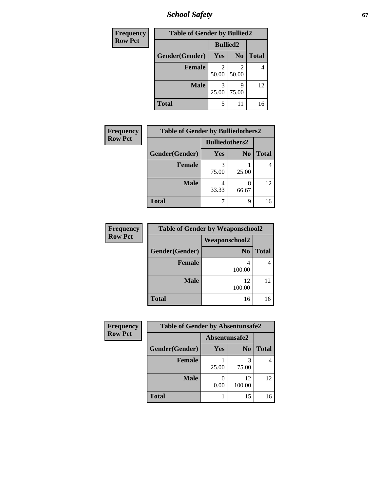*School Safety* **67**

| Frequency      |                | <b>Table of Gender by Bullied2</b> |                |              |
|----------------|----------------|------------------------------------|----------------|--------------|
| <b>Row Pct</b> |                | <b>Bullied2</b>                    |                |              |
|                | Gender(Gender) | Yes                                | N <sub>0</sub> | <b>Total</b> |
|                | <b>Female</b>  | 50.00                              | 2<br>50.00     |              |
|                | <b>Male</b>    | 25.00                              | q<br>75.00     | 12           |
|                | <b>Total</b>   | 5                                  | 11             | 16           |

| Frequency      | <b>Table of Gender by Bulliedothers2</b> |                       |                |              |
|----------------|------------------------------------------|-----------------------|----------------|--------------|
| <b>Row Pct</b> |                                          | <b>Bulliedothers2</b> |                |              |
|                | Gender(Gender)                           | <b>Yes</b>            | N <sub>0</sub> | <b>Total</b> |
|                | <b>Female</b>                            | 3<br>75.00            | 25.00          |              |
|                | <b>Male</b>                              | 4<br>33.33            | 8<br>66.67     | 12           |
|                | Total                                    |                       | 9              | 16           |

| Frequency      | <b>Table of Gender by Weaponschool2</b> |                      |              |  |
|----------------|-----------------------------------------|----------------------|--------------|--|
| <b>Row Pct</b> |                                         | <b>Weaponschool2</b> |              |  |
|                | Gender(Gender)                          | N <sub>0</sub>       | <b>Total</b> |  |
|                | <b>Female</b>                           | 100.00               |              |  |
|                | <b>Male</b>                             | 12<br>100.00         | 12           |  |
|                | <b>Total</b>                            | 16                   |              |  |

| Frequency      | <b>Table of Gender by Absentunsafe2</b> |               |                |              |
|----------------|-----------------------------------------|---------------|----------------|--------------|
| <b>Row Pct</b> |                                         | Absentunsafe2 |                |              |
|                | Gender(Gender)                          | Yes           | N <sub>0</sub> | <b>Total</b> |
|                | Female                                  | 25.00         | 75.00          | 4            |
|                | <b>Male</b>                             | 0.00          | 12<br>100.00   | 12           |
|                | <b>Total</b>                            |               | 15             | 16           |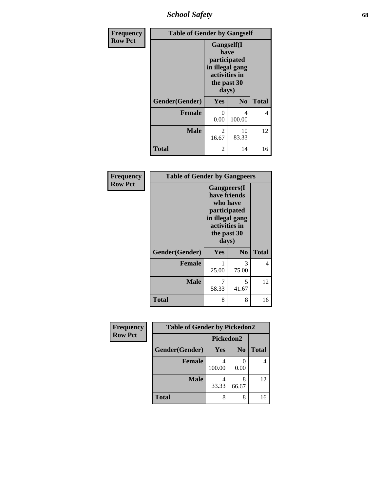*School Safety* **68**

| Frequency      | <b>Table of Gender by Gangself</b> |                                                                                                |                |              |
|----------------|------------------------------------|------------------------------------------------------------------------------------------------|----------------|--------------|
| <b>Row Pct</b> |                                    | Gangself(I<br>have<br>participated<br>in illegal gang<br>activities in<br>the past 30<br>days) |                |              |
|                | Gender(Gender)                     | Yes                                                                                            | N <sub>0</sub> | <b>Total</b> |
|                | <b>Female</b>                      | 0<br>0.00                                                                                      | 4<br>100.00    | 4            |
|                | <b>Male</b>                        | $\overline{2}$<br>16.67                                                                        | 10<br>83.33    | 12           |
|                | <b>Total</b>                       | 2                                                                                              | 14             | 16           |

| Frequency      | <b>Table of Gender by Gangpeers</b> |                                                                                                                             |                |              |
|----------------|-------------------------------------|-----------------------------------------------------------------------------------------------------------------------------|----------------|--------------|
| <b>Row Pct</b> |                                     | <b>Gangpeers</b> (I<br>have friends<br>who have<br>participated<br>in illegal gang<br>activities in<br>the past 30<br>days) |                |              |
|                | Gender(Gender)                      | Yes                                                                                                                         | N <sub>0</sub> | <b>Total</b> |
|                | <b>Female</b>                       | 25.00                                                                                                                       | 3<br>75.00     | 4            |
|                | <b>Male</b>                         | 7<br>58.33                                                                                                                  | 5<br>41.67     | 12           |
|                | <b>Total</b>                        | 8                                                                                                                           | 8              | 16           |

| Frequency      | <b>Table of Gender by Pickedon2</b> |           |                |              |
|----------------|-------------------------------------|-----------|----------------|--------------|
| <b>Row Pct</b> |                                     | Pickedon2 |                |              |
|                | Gender(Gender)                      | Yes       | N <sub>0</sub> | <b>Total</b> |
|                | <b>Female</b>                       | 100.00    | 0.00           |              |
|                | <b>Male</b>                         | 33.33     | 8<br>66.67     | 12           |
|                | Total                               | 8         | 8              | 16           |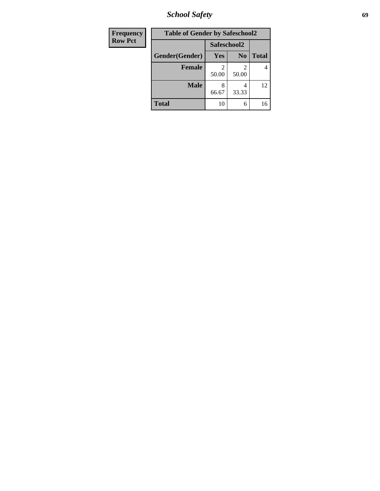*School Safety* **69**

| <b>Frequency</b> | <b>Table of Gender by Safeschool2</b> |             |                |              |
|------------------|---------------------------------------|-------------|----------------|--------------|
| <b>Row Pct</b>   |                                       | Safeschool2 |                |              |
|                  | Gender(Gender)                        | <b>Yes</b>  | N <sub>0</sub> | <b>Total</b> |
|                  | <b>Female</b>                         | 50.00       | 2<br>50.00     | 4            |
|                  | <b>Male</b>                           | 66.67       | 4<br>33.33     | 12           |
|                  | <b>Total</b>                          | 10          | 6              | 16           |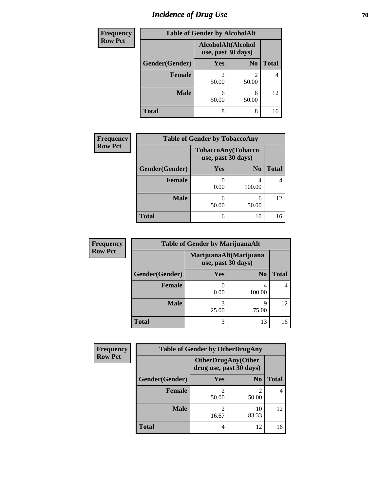# *Incidence of Drug Use* **70**

| Frequency      | <b>Table of Gender by AlcoholAlt</b> |                                          |                         |              |  |
|----------------|--------------------------------------|------------------------------------------|-------------------------|--------------|--|
| <b>Row Pct</b> |                                      | AlcoholAlt(Alcohol<br>use, past 30 days) |                         |              |  |
|                | Gender(Gender)                       | Yes                                      | N <sub>0</sub>          | <b>Total</b> |  |
|                | <b>Female</b>                        | 2<br>50.00                               | $\mathfrak{D}$<br>50.00 | 4            |  |
|                | <b>Male</b>                          | 6<br>50.00                               | 6<br>50.00              | 12           |  |
|                | <b>Total</b>                         | 8                                        | 8                       | 16           |  |

| <b>Frequency</b> | <b>Table of Gender by TobaccoAny</b> |                                          |                |              |
|------------------|--------------------------------------|------------------------------------------|----------------|--------------|
| <b>Row Pct</b>   |                                      | TobaccoAny(Tobacco<br>use, past 30 days) |                |              |
|                  | Gender(Gender)                       | Yes                                      | N <sub>0</sub> | <b>Total</b> |
|                  | Female                               | 0.00                                     | 100.00         |              |
|                  | <b>Male</b>                          | 6<br>50.00                               | 6<br>50.00     | 12           |
|                  | <b>Total</b>                         | 6                                        | 10             | 16           |

| <b>Frequency</b> | <b>Table of Gender by MarijuanaAlt</b> |                                              |                |       |
|------------------|----------------------------------------|----------------------------------------------|----------------|-------|
| <b>Row Pct</b>   |                                        | MarijuanaAlt(Marijuana<br>use, past 30 days) |                |       |
|                  | Gender(Gender)                         | Yes                                          | N <sub>0</sub> | Total |
|                  | Female                                 | 0.00                                         | 4<br>100.00    |       |
|                  | <b>Male</b>                            | 3<br>25.00                                   | q<br>75.00     | 12    |
|                  | <b>Total</b>                           | 3                                            | 13             | 16    |

| <b>Frequency</b> | <b>Table of Gender by OtherDrugAny</b> |                                                       |                |              |
|------------------|----------------------------------------|-------------------------------------------------------|----------------|--------------|
| <b>Row Pct</b>   |                                        | <b>OtherDrugAny</b> (Other<br>drug use, past 30 days) |                |              |
|                  | Gender(Gender)                         | <b>Yes</b>                                            | N <sub>0</sub> | <b>Total</b> |
|                  | <b>Female</b>                          | 2<br>50.00                                            | 2<br>50.00     | 4            |
|                  | <b>Male</b>                            | 2<br>16.67                                            | 10<br>83.33    | 12           |
|                  | <b>Total</b>                           | 4                                                     | 12             | 16           |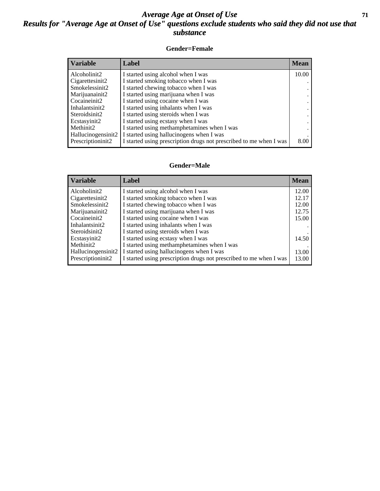#### *Average Age at Onset of Use* **71** *Results for "Average Age at Onset of Use" questions exclude students who said they did not use that substance*

#### **Gender=Female**

| <b>Variable</b>    | Label                                                              | <b>Mean</b> |
|--------------------|--------------------------------------------------------------------|-------------|
| Alcoholinit2       | I started using alcohol when I was                                 | 10.00       |
| Cigarettesinit2    | I started smoking tobacco when I was                               |             |
| Smokelessinit2     | I started chewing tobacco when I was                               |             |
| Marijuanainit2     | I started using marijuana when I was                               |             |
| Cocaineinit2       | I started using cocaine when I was                                 |             |
| Inhalantsinit2     | I started using inhalants when I was                               |             |
| Steroidsinit2      | I started using steroids when I was                                |             |
| Ecstasyinit2       | I started using ecstasy when I was                                 |             |
| Methinit2          | I started using methamphetamines when I was                        |             |
| Hallucinogensinit2 | I started using hallucinogens when I was                           |             |
| Prescription in t2 | I started using prescription drugs not prescribed to me when I was | 8.00        |

#### **Gender=Male**

| <b>Variable</b>    | Label                                                              | <b>Mean</b> |
|--------------------|--------------------------------------------------------------------|-------------|
| Alcoholinit2       | I started using alcohol when I was                                 | 12.00       |
| Cigarettesinit2    | I started smoking tobacco when I was                               | 12.17       |
| Smokelessinit2     | I started chewing tobacco when I was                               | 12.00       |
| Marijuanainit2     | I started using marijuana when I was                               | 12.75       |
| Cocaineinit2       | I started using cocaine when I was                                 | 15.00       |
| Inhalantsinit2     | I started using inhalants when I was                               |             |
| Steroidsinit2      | I started using steroids when I was                                |             |
| Ecstasyinit2       | I started using ecstasy when I was                                 | 14.50       |
| Methinit2          | I started using methamphetamines when I was                        |             |
| Hallucinogensinit2 | I started using hallucinogens when I was                           | 13.00       |
| Prescriptioninit2  | I started using prescription drugs not prescribed to me when I was | 13.00       |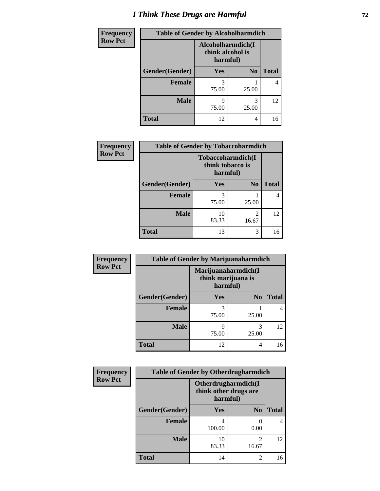# *I Think These Drugs are Harmful* **72**

| Frequency      | <b>Table of Gender by Alcoholharmdich</b> |                                                   |                |              |
|----------------|-------------------------------------------|---------------------------------------------------|----------------|--------------|
| <b>Row Pct</b> |                                           | Alcoholharmdich(I<br>think alcohol is<br>harmful) |                |              |
|                | Gender(Gender)                            | <b>Yes</b>                                        | N <sub>0</sub> | <b>Total</b> |
|                | <b>Female</b>                             | 3<br>75.00                                        | 25.00          |              |
|                | <b>Male</b>                               | 9<br>75.00                                        | 3<br>25.00     | 12           |
|                | <b>Total</b>                              | 12                                                | 4              | 16           |

| Frequency      | <b>Table of Gender by Tobaccoharmdich</b> |                                                   |                                      |              |
|----------------|-------------------------------------------|---------------------------------------------------|--------------------------------------|--------------|
| <b>Row Pct</b> |                                           | Tobaccoharmdich(I<br>think tobacco is<br>harmful) |                                      |              |
|                | Gender(Gender)                            | Yes                                               | N <sub>0</sub>                       | <b>Total</b> |
|                | <b>Female</b>                             | 3<br>75.00                                        | 25.00                                | 4            |
|                | <b>Male</b>                               | 10<br>83.33                                       | $\mathcal{D}_{\mathcal{L}}$<br>16.67 | 12           |
|                | <b>Total</b>                              | 13                                                | 3                                    | 16           |

| Frequency      | <b>Table of Gender by Marijuanaharmdich</b> |                                                       |                |              |
|----------------|---------------------------------------------|-------------------------------------------------------|----------------|--------------|
| <b>Row Pct</b> |                                             | Marijuanaharmdich(I<br>think marijuana is<br>harmful) |                |              |
|                | Gender(Gender)                              | <b>Yes</b>                                            | N <sub>0</sub> | <b>Total</b> |
|                | <b>Female</b>                               | 3<br>75.00                                            | 25.00          |              |
|                | <b>Male</b>                                 | q<br>75.00                                            | 3<br>25.00     | 12           |
|                | <b>Total</b>                                | 12                                                    | 4              | 16           |

| Frequency      | <b>Table of Gender by Otherdrugharmdich</b> |                                                          |                         |              |
|----------------|---------------------------------------------|----------------------------------------------------------|-------------------------|--------------|
| <b>Row Pct</b> |                                             | Otherdrugharmdich(I<br>think other drugs are<br>harmful) |                         |              |
|                | Gender(Gender)                              | Yes                                                      | N <sub>0</sub>          | <b>Total</b> |
|                | <b>Female</b>                               | 4<br>100.00                                              | 0.00                    | 4            |
|                | <b>Male</b>                                 | 10<br>83.33                                              | $\overline{c}$<br>16.67 | 12           |
|                | <b>Total</b>                                | 14                                                       | 2                       | 16           |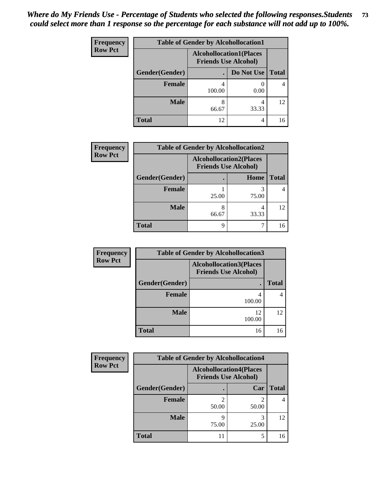| <b>Frequency</b> | <b>Table of Gender by Alcohollocation1</b> |                                                               |            |              |
|------------------|--------------------------------------------|---------------------------------------------------------------|------------|--------------|
| <b>Row Pct</b>   |                                            | <b>Alcohollocation1(Places</b><br><b>Friends Use Alcohol)</b> |            |              |
|                  | Gender(Gender)                             |                                                               | Do Not Use | <b>Total</b> |
|                  | <b>Female</b>                              | 100.00                                                        | 0.00       |              |
|                  | <b>Male</b>                                | 8<br>66.67                                                    | 33.33      | 12           |
|                  | <b>Total</b>                               | 12                                                            | 4          | 16           |

| <b>Frequency</b> | <b>Table of Gender by Alcohollocation2</b> |                                                               |       |              |
|------------------|--------------------------------------------|---------------------------------------------------------------|-------|--------------|
| <b>Row Pct</b>   |                                            | <b>Alcohollocation2(Places</b><br><b>Friends Use Alcohol)</b> |       |              |
|                  | Gender(Gender)                             |                                                               | Home  | <b>Total</b> |
|                  | Female                                     | 25.00                                                         | 75.00 |              |
|                  | <b>Male</b>                                | 8<br>66.67                                                    | 33.33 | 12           |
|                  | <b>Total</b>                               | 9                                                             |       | 16           |

| <b>Frequency</b> | <b>Table of Gender by Alcohollocation3</b> |                                                               |              |  |
|------------------|--------------------------------------------|---------------------------------------------------------------|--------------|--|
| <b>Row Pct</b>   |                                            | <b>Alcohollocation3(Places</b><br><b>Friends Use Alcohol)</b> |              |  |
|                  | Gender(Gender)                             |                                                               | <b>Total</b> |  |
|                  | <b>Female</b>                              | 100.00                                                        |              |  |
|                  | <b>Male</b>                                | 12<br>100.00                                                  | 12           |  |
|                  | <b>Total</b>                               | 16                                                            | 16           |  |

| <b>Frequency</b> | <b>Table of Gender by Alcohollocation4</b> |                                                               |            |              |
|------------------|--------------------------------------------|---------------------------------------------------------------|------------|--------------|
| <b>Row Pct</b>   |                                            | <b>Alcohollocation4(Places</b><br><b>Friends Use Alcohol)</b> |            |              |
|                  | Gender(Gender)                             |                                                               | Car        | <b>Total</b> |
|                  | <b>Female</b>                              | 50.00                                                         | 50.00      |              |
|                  | <b>Male</b>                                | g<br>75.00                                                    | 3<br>25.00 | 12           |
|                  | <b>Total</b>                               |                                                               | 5          |              |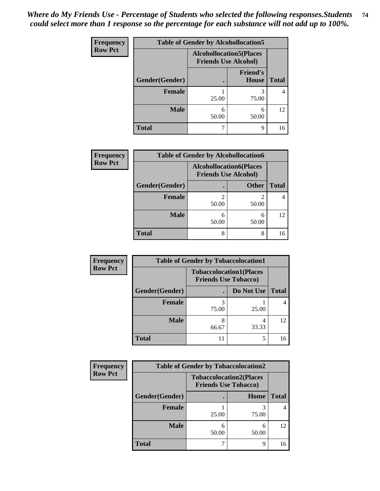| <b>Frequency</b> | <b>Table of Gender by Alcohollocation5</b> |                                                               |                          |              |
|------------------|--------------------------------------------|---------------------------------------------------------------|--------------------------|--------------|
| <b>Row Pct</b>   |                                            | <b>Alcohollocation5(Places</b><br><b>Friends Use Alcohol)</b> |                          |              |
|                  | Gender(Gender)                             |                                                               | <b>Friend's</b><br>House | <b>Total</b> |
|                  | <b>Female</b>                              | 25.00                                                         | 3<br>75.00               | 4            |
|                  | <b>Male</b>                                | 6<br>50.00                                                    | 6<br>50.00               | 12           |
|                  | <b>Total</b>                               |                                                               | 9                        | 16           |

| <b>Frequency</b> | <b>Table of Gender by Alcohollocation6</b> |                                                               |              |              |  |
|------------------|--------------------------------------------|---------------------------------------------------------------|--------------|--------------|--|
| <b>Row Pct</b>   |                                            | <b>Alcohollocation6(Places</b><br><b>Friends Use Alcohol)</b> |              |              |  |
|                  | Gender(Gender)                             |                                                               | <b>Other</b> | <b>Total</b> |  |
|                  | <b>Female</b>                              | 50.00                                                         | 50.00        |              |  |
|                  | <b>Male</b>                                | 6<br>50.00                                                    | 6<br>50.00   | 12           |  |
|                  | <b>Total</b>                               | 8                                                             | 8            | 16           |  |

| Frequency      | <b>Table of Gender by Tobaccolocation1</b> |                                                               |            |              |
|----------------|--------------------------------------------|---------------------------------------------------------------|------------|--------------|
| <b>Row Pct</b> |                                            | <b>Tobaccolocation1(Places</b><br><b>Friends Use Tobacco)</b> |            |              |
|                | Gender(Gender)                             |                                                               | Do Not Use | <b>Total</b> |
|                | Female                                     | 75.00                                                         | 25.00      |              |
|                | <b>Male</b>                                | 66.67                                                         | 33.33      | 12           |
|                | <b>Total</b>                               | 11                                                            | 5          |              |

| <b>Frequency</b> | <b>Table of Gender by Tobaccolocation2</b> |                                                               |            |              |  |
|------------------|--------------------------------------------|---------------------------------------------------------------|------------|--------------|--|
| <b>Row Pct</b>   |                                            | <b>Tobaccolocation2(Places</b><br><b>Friends Use Tobacco)</b> |            |              |  |
|                  | Gender(Gender)                             |                                                               | Home       | <b>Total</b> |  |
|                  | Female                                     | 25.00                                                         | 75.00      |              |  |
|                  | <b>Male</b>                                | 50.00                                                         | 6<br>50.00 | 12           |  |
|                  | <b>Total</b>                               |                                                               | Q          | 16           |  |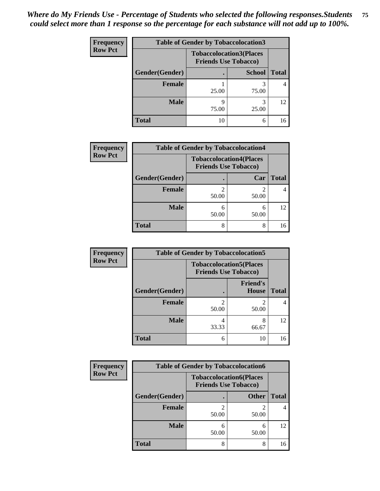| <b>Frequency</b> | <b>Table of Gender by Tobaccolocation3</b> |                             |                                |              |
|------------------|--------------------------------------------|-----------------------------|--------------------------------|--------------|
| <b>Row Pct</b>   |                                            | <b>Friends Use Tobacco)</b> | <b>Tobaccolocation3(Places</b> |              |
|                  | Gender(Gender)                             |                             | <b>School</b>                  | <b>Total</b> |
|                  | Female                                     | 25.00                       | 75.00                          |              |
|                  | <b>Male</b>                                | q<br>75.00                  | 3<br>25.00                     | 12           |
|                  | <b>Total</b>                               | 10                          | 6                              | 16           |

| <b>Frequency</b> | <b>Table of Gender by Tobaccolocation4</b> |                             |                                |              |
|------------------|--------------------------------------------|-----------------------------|--------------------------------|--------------|
| <b>Row Pct</b>   |                                            | <b>Friends Use Tobacco)</b> | <b>Tobaccolocation4(Places</b> |              |
|                  | Gender(Gender)                             |                             | Car                            | <b>Total</b> |
|                  | Female                                     | 50.00                       | 50.00                          |              |
|                  | <b>Male</b>                                | 6<br>50.00                  | 6<br>50.00                     | 12           |
|                  | <b>Total</b>                               | 8                           | 8                              | 16           |

| <b>Frequency</b> | <b>Table of Gender by Tobaccolocation5</b> |                                                               |                                 |              |
|------------------|--------------------------------------------|---------------------------------------------------------------|---------------------------------|--------------|
| <b>Row Pct</b>   |                                            | <b>Tobaccolocation5(Places</b><br><b>Friends Use Tobacco)</b> |                                 |              |
|                  | Gender(Gender)                             |                                                               | <b>Friend's</b><br><b>House</b> | <b>Total</b> |
|                  | Female                                     | 50.00                                                         | 2<br>50.00                      | 4            |
|                  | <b>Male</b>                                | 33.33                                                         | 8<br>66.67                      | 12           |
|                  | <b>Total</b>                               | 6                                                             | 10                              | 16           |

| <b>Frequency</b> |                | <b>Table of Gender by Tobaccolocation6</b>                    |              |              |
|------------------|----------------|---------------------------------------------------------------|--------------|--------------|
| <b>Row Pct</b>   |                | <b>Tobaccolocation6(Places</b><br><b>Friends Use Tobacco)</b> |              |              |
|                  | Gender(Gender) |                                                               | <b>Other</b> | <b>Total</b> |
|                  | Female         | 50.00                                                         | 50.00        | 4            |
|                  | <b>Male</b>    | 50.00                                                         | 50.00        | 12           |
|                  | <b>Total</b>   | 8                                                             | 8            | 16           |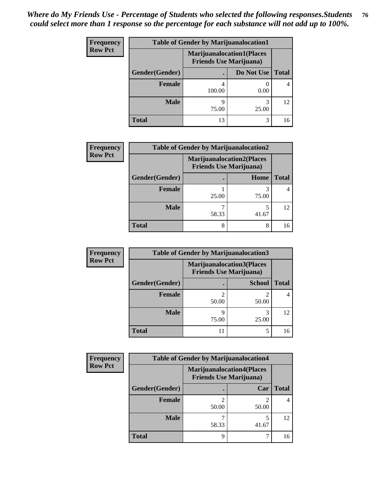| <b>Frequency</b> | <b>Table of Gender by Marijuanalocation1</b> |                                                                    |            |              |
|------------------|----------------------------------------------|--------------------------------------------------------------------|------------|--------------|
| <b>Row Pct</b>   |                                              | <b>Marijuanalocation1(Places</b><br><b>Friends Use Marijuana</b> ) |            |              |
|                  | Gender(Gender)                               |                                                                    | Do Not Use | <b>Total</b> |
|                  | <b>Female</b>                                | 100.00                                                             | 0.00       |              |
|                  | <b>Male</b>                                  | Q<br>75.00                                                         | 3<br>25.00 | 12           |
|                  | <b>Total</b>                                 | 13                                                                 | 3          | 16           |

| <b>Frequency</b> | <b>Table of Gender by Marijuanalocation2</b> |                                                                    |       |       |  |
|------------------|----------------------------------------------|--------------------------------------------------------------------|-------|-------|--|
| <b>Row Pct</b>   |                                              | <b>Marijuanalocation2(Places</b><br><b>Friends Use Marijuana</b> ) |       |       |  |
|                  | Gender(Gender)                               |                                                                    | Home  | Total |  |
|                  | Female                                       | 25.00                                                              | 75.00 |       |  |
|                  | <b>Male</b>                                  | 58.33                                                              | 41.67 | 12    |  |
|                  | <b>Total</b>                                 | 8                                                                  | 8     | 16    |  |

| Frequency      | <b>Table of Gender by Marijuanalocation3</b> |                                |                                   |              |  |
|----------------|----------------------------------------------|--------------------------------|-----------------------------------|--------------|--|
| <b>Row Pct</b> |                                              | <b>Friends Use Marijuana</b> ) | <b>Marijuanalocation3(Places)</b> |              |  |
|                | Gender(Gender)                               |                                | <b>School</b>                     | <b>Total</b> |  |
|                | Female                                       | ↑<br>50.00                     | 50.00                             |              |  |
|                | <b>Male</b>                                  | q<br>75.00                     | 25.00                             | 12           |  |
|                | <b>Total</b>                                 | 11                             | 5                                 | 16           |  |

| <b>Frequency</b> | <b>Table of Gender by Marijuanalocation4</b> |                                |                                   |              |  |
|------------------|----------------------------------------------|--------------------------------|-----------------------------------|--------------|--|
| <b>Row Pct</b>   |                                              | <b>Friends Use Marijuana</b> ) | <b>Marijuanalocation4(Places)</b> |              |  |
|                  | Gender(Gender)                               |                                | Car                               | <b>Total</b> |  |
|                  | <b>Female</b>                                | 50.00                          | 50.00                             |              |  |
|                  | <b>Male</b>                                  | 58.33                          | 41.67                             | 12           |  |
|                  | <b>Total</b>                                 | Q                              |                                   | 16           |  |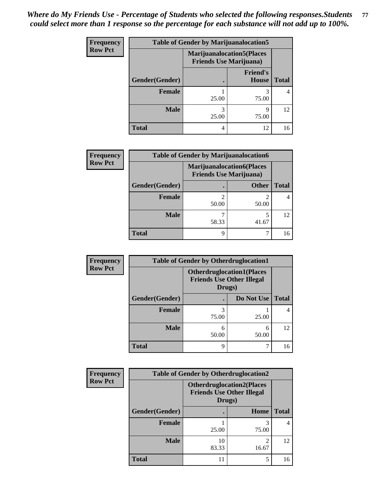| <b>Frequency</b> | <b>Table of Gender by Marijuanalocation5</b> |                                                                    |                          |              |
|------------------|----------------------------------------------|--------------------------------------------------------------------|--------------------------|--------------|
| <b>Row Pct</b>   |                                              | <b>Marijuanalocation5(Places</b><br><b>Friends Use Marijuana</b> ) |                          |              |
|                  | Gender(Gender)                               |                                                                    | <b>Friend's</b><br>House | <b>Total</b> |
|                  | Female                                       | 25.00                                                              | 75.00                    | 4            |
|                  | <b>Male</b>                                  | 25.00                                                              | q<br>75.00               | 12           |
|                  | <b>Total</b>                                 | 4                                                                  | 12                       | 16           |

| <b>Frequency</b> | <b>Table of Gender by Marijuanalocation6</b> |                                                                    |              |              |
|------------------|----------------------------------------------|--------------------------------------------------------------------|--------------|--------------|
| <b>Row Pct</b>   |                                              | <b>Marijuanalocation6(Places</b><br><b>Friends Use Marijuana</b> ) |              |              |
|                  | Gender(Gender)                               |                                                                    | <b>Other</b> | <b>Total</b> |
|                  | <b>Female</b>                                | 50.00                                                              | 50.00        | 4            |
|                  | <b>Male</b>                                  | 58.33                                                              | 5<br>41.67   | 12           |
|                  | <b>Total</b>                                 | Q                                                                  |              | 16           |

| <b>Frequency</b> | <b>Table of Gender by Otherdruglocation1</b> |                                                                                |            |              |
|------------------|----------------------------------------------|--------------------------------------------------------------------------------|------------|--------------|
| <b>Row Pct</b>   |                                              | <b>Otherdruglocation1(Places</b><br><b>Friends Use Other Illegal</b><br>Drugs) |            |              |
|                  | Gender(Gender)                               |                                                                                | Do Not Use | <b>Total</b> |
|                  | Female                                       | 3<br>75.00                                                                     | 25.00      |              |
|                  | <b>Male</b>                                  | 6<br>50.00                                                                     | 6<br>50.00 | 12           |
|                  | <b>Total</b>                                 | 9                                                                              |            | 16           |

| <b>Frequency</b> | <b>Table of Gender by Otherdruglocation2</b> |                                            |                                   |              |
|------------------|----------------------------------------------|--------------------------------------------|-----------------------------------|--------------|
| <b>Row Pct</b>   |                                              | <b>Friends Use Other Illegal</b><br>Drugs) | <b>Otherdruglocation2(Places)</b> |              |
|                  | Gender(Gender)                               |                                            | Home                              | <b>Total</b> |
|                  | Female                                       | 25.00                                      | 75.00                             | 4            |
|                  | <b>Male</b>                                  | 10<br>83.33                                | $\mathfrak{D}$<br>16.67           | 12           |
|                  | <b>Total</b>                                 | 11                                         | 5                                 | 16           |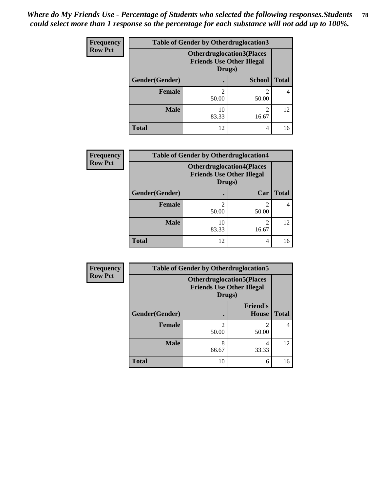| Frequency      | <b>Table of Gender by Otherdruglocation3</b> |                                                                                |               |              |
|----------------|----------------------------------------------|--------------------------------------------------------------------------------|---------------|--------------|
| <b>Row Pct</b> |                                              | <b>Otherdruglocation3(Places</b><br><b>Friends Use Other Illegal</b><br>Drugs) |               |              |
|                | Gender(Gender)                               |                                                                                | <b>School</b> | <b>Total</b> |
|                | Female                                       | 50.00                                                                          | 50.00         |              |
|                | <b>Male</b>                                  | 10<br>83.33                                                                    | ↑<br>16.67    | 12           |
|                | <b>Total</b>                                 | 12                                                                             | 4             | 16           |

| <b>Frequency</b> | <b>Table of Gender by Otherdruglocation4</b> |                                                                                |                         |              |
|------------------|----------------------------------------------|--------------------------------------------------------------------------------|-------------------------|--------------|
| <b>Row Pct</b>   |                                              | <b>Otherdruglocation4(Places</b><br><b>Friends Use Other Illegal</b><br>Drugs) |                         |              |
|                  | Gender(Gender)                               |                                                                                | Car                     | <b>Total</b> |
|                  | <b>Female</b>                                | 50.00                                                                          | $\mathfrak{D}$<br>50.00 | 4            |
|                  | <b>Male</b>                                  | 10<br>83.33                                                                    | 2<br>16.67              | 12           |
|                  | <b>Total</b>                                 | 12                                                                             | 4                       | 16           |

| Frequency      | <b>Table of Gender by Otherdruglocation5</b> |                                                                                |                                 |              |
|----------------|----------------------------------------------|--------------------------------------------------------------------------------|---------------------------------|--------------|
| <b>Row Pct</b> |                                              | <b>Otherdruglocation5(Places</b><br><b>Friends Use Other Illegal</b><br>Drugs) |                                 |              |
|                | Gender(Gender)                               |                                                                                | <b>Friend's</b><br><b>House</b> | <b>Total</b> |
|                | <b>Female</b>                                | $\mathfrak{D}$<br>50.00                                                        | っ<br>50.00                      | 4            |
|                | <b>Male</b>                                  | 8<br>66.67                                                                     | 4<br>33.33                      | 12           |
|                | <b>Total</b>                                 | 10                                                                             | 6                               | 16           |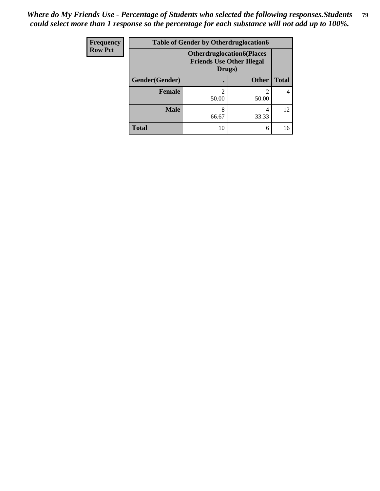| <b>Frequency</b> | <b>Table of Gender by Otherdruglocation6</b> |                                                                                |              |              |
|------------------|----------------------------------------------|--------------------------------------------------------------------------------|--------------|--------------|
| <b>Row Pct</b>   |                                              | <b>Otherdruglocation6(Places</b><br><b>Friends Use Other Illegal</b><br>Drugs) |              |              |
|                  | Gender(Gender)                               |                                                                                | <b>Other</b> | <b>Total</b> |
|                  | Female                                       | 50.00                                                                          | 50.00        |              |
|                  | <b>Male</b>                                  | 8<br>66.67                                                                     | 4<br>33.33   | 12           |
|                  | <b>Total</b>                                 | 10                                                                             | 6            | 16           |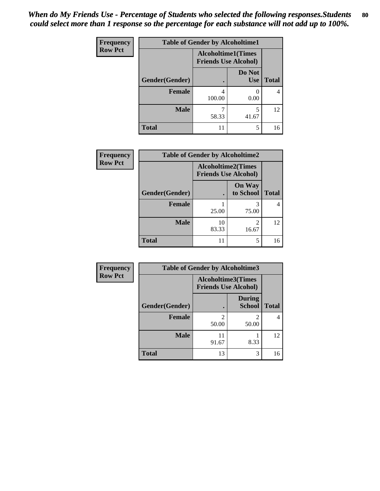| <b>Frequency</b> | <b>Table of Gender by Alcoholtime1</b> |                                                          |                      |              |
|------------------|----------------------------------------|----------------------------------------------------------|----------------------|--------------|
| <b>Row Pct</b>   |                                        | <b>Alcoholtime1(Times</b><br><b>Friends Use Alcohol)</b> |                      |              |
|                  | Gender(Gender)                         | $\bullet$                                                | Do Not<br><b>Use</b> | <b>Total</b> |
|                  | <b>Female</b>                          | 4<br>100.00                                              | 0.00                 | 4            |
|                  | <b>Male</b>                            | 58.33                                                    | 5<br>41.67           | 12           |
|                  | <b>Total</b>                           | 11                                                       | 5                    | 16           |

| <b>Frequency</b> | <b>Table of Gender by Alcoholtime2</b> |                                                          |                            |              |
|------------------|----------------------------------------|----------------------------------------------------------|----------------------------|--------------|
| <b>Row Pct</b>   |                                        | <b>Alcoholtime2(Times</b><br><b>Friends Use Alcohol)</b> |                            |              |
|                  | Gender(Gender)                         |                                                          | <b>On Way</b><br>to School | <b>Total</b> |
|                  | <b>Female</b>                          | 25.00                                                    | 3<br>75.00                 | 4            |
|                  | <b>Male</b>                            | 10<br>83.33                                              | 2<br>16.67                 | 12           |
|                  | <b>Total</b>                           | 11                                                       | 5                          | 16           |

| Frequency      | <b>Table of Gender by Alcoholtime3</b> |                                                          |                                |              |
|----------------|----------------------------------------|----------------------------------------------------------|--------------------------------|--------------|
| <b>Row Pct</b> |                                        | <b>Alcoholtime3(Times</b><br><b>Friends Use Alcohol)</b> |                                |              |
|                | Gender(Gender)                         |                                                          | <b>During</b><br><b>School</b> | <b>Total</b> |
|                | Female                                 | 2<br>50.00                                               | 2<br>50.00                     | 4            |
|                | <b>Male</b>                            | 11<br>91.67                                              | 8.33                           | 12           |
|                | <b>Total</b>                           | 13                                                       | 3                              | 16           |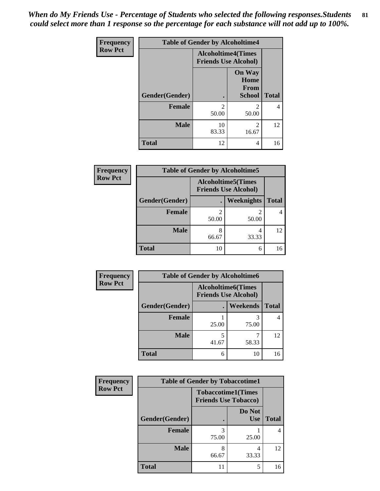*When do My Friends Use - Percentage of Students who selected the following responses.Students could select more than 1 response so the percentage for each substance will not add up to 100%.* **81**

| <b>Frequency</b> | <b>Table of Gender by Alcoholtime4</b> |                                                          |                                                       |              |
|------------------|----------------------------------------|----------------------------------------------------------|-------------------------------------------------------|--------------|
| <b>Row Pct</b>   |                                        | <b>Alcoholtime4(Times</b><br><b>Friends Use Alcohol)</b> |                                                       |              |
|                  | <b>Gender</b> (Gender)                 | $\bullet$                                                | <b>On Way</b><br>Home<br><b>From</b><br><b>School</b> | <b>Total</b> |
|                  | <b>Female</b>                          | $\mathfrak{D}$<br>50.00                                  | $\mathfrak{D}$<br>50.00                               | 4            |
|                  | <b>Male</b>                            | 10<br>83.33                                              | 2<br>16.67                                            | 12           |
|                  | <b>Total</b>                           | 12                                                       | 4                                                     | 16           |

| <b>Frequency</b> | <b>Table of Gender by Alcoholtime5</b> |                                                           |            |              |
|------------------|----------------------------------------|-----------------------------------------------------------|------------|--------------|
| <b>Row Pct</b>   |                                        | <b>Alcoholtime5</b> (Times<br><b>Friends Use Alcohol)</b> |            |              |
|                  | Gender(Gender)                         |                                                           | Weeknights | <b>Total</b> |
|                  | <b>Female</b>                          | 2<br>50.00                                                | 2<br>50.00 | 4            |
|                  | <b>Male</b>                            | 8<br>66.67                                                | 4<br>33.33 | 12           |
|                  | <b>Total</b>                           | 10                                                        | 6          | 16           |

| Frequency      | <b>Table of Gender by Alcoholtime6</b> |            |                                                          |              |  |
|----------------|----------------------------------------|------------|----------------------------------------------------------|--------------|--|
| <b>Row Pct</b> |                                        |            | <b>Alcoholtime6(Times</b><br><b>Friends Use Alcohol)</b> |              |  |
|                | Gender(Gender)                         |            | Weekends                                                 | <b>Total</b> |  |
|                | Female                                 | 25.00      | 75.00                                                    | 4            |  |
|                | <b>Male</b>                            | 5<br>41.67 | 58.33                                                    | 12           |  |
|                | <b>Total</b>                           | 6          | 10                                                       | 16           |  |

| Frequency      | <b>Table of Gender by Tobaccotime1</b> |                                                          |                      |              |
|----------------|----------------------------------------|----------------------------------------------------------|----------------------|--------------|
| <b>Row Pct</b> |                                        | <b>Tobaccotime1(Times</b><br><b>Friends Use Tobacco)</b> |                      |              |
|                | Gender(Gender)                         |                                                          | Do Not<br><b>Use</b> | <b>Total</b> |
|                | <b>Female</b>                          | 3<br>75.00                                               | 25.00                | 4            |
|                | <b>Male</b>                            | 8<br>66.67                                               | 4<br>33.33           | 12           |
|                | <b>Total</b>                           |                                                          | 5                    | 16           |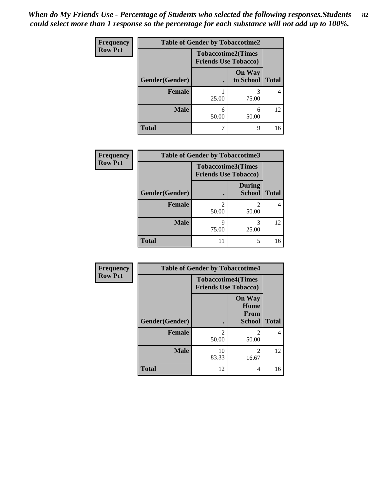| Frequency      | <b>Table of Gender by Tobaccotime2</b> |                                                          |                            |              |
|----------------|----------------------------------------|----------------------------------------------------------|----------------------------|--------------|
| <b>Row Pct</b> |                                        | <b>Tobaccotime2(Times</b><br><b>Friends Use Tobacco)</b> |                            |              |
|                | Gender(Gender)                         |                                                          | <b>On Way</b><br>to School | <b>Total</b> |
|                | <b>Female</b>                          | 25.00                                                    | 3<br>75.00                 | 4            |
|                | <b>Male</b>                            | 6<br>50.00                                               | 6<br>50.00                 | 12           |
|                | <b>Total</b>                           |                                                          | 9                          | 16           |

| <b>Frequency</b> | <b>Table of Gender by Tobaccotime3</b> |                                                          |                                |              |
|------------------|----------------------------------------|----------------------------------------------------------|--------------------------------|--------------|
| <b>Row Pct</b>   |                                        | <b>Tobaccotime3(Times</b><br><b>Friends Use Tobacco)</b> |                                |              |
|                  | Gender(Gender)                         |                                                          | <b>During</b><br><b>School</b> | <b>Total</b> |
|                  | <b>Female</b>                          | 2<br>50.00                                               | 2<br>50.00                     |              |
|                  | <b>Male</b>                            | 9<br>75.00                                               | 3<br>25.00                     | 12           |
|                  | <b>Total</b>                           | 11                                                       | 5                              | 16           |

| Frequency      | <b>Table of Gender by Tobaccotime4</b> |                                                          |                                                |              |
|----------------|----------------------------------------|----------------------------------------------------------|------------------------------------------------|--------------|
| <b>Row Pct</b> |                                        | <b>Tobaccotime4(Times</b><br><b>Friends Use Tobacco)</b> |                                                |              |
|                | Gender(Gender)                         |                                                          | <b>On Way</b><br>Home<br>From<br><b>School</b> | <b>Total</b> |
|                | <b>Female</b>                          | $\mathfrak{D}$<br>50.00                                  | $\mathfrak{D}$<br>50.00                        | 4            |
|                | <b>Male</b>                            | 10<br>83.33                                              | $\mathfrak{D}$<br>16.67                        | 12           |
|                | <b>Total</b>                           | 12                                                       | 4                                              | 16           |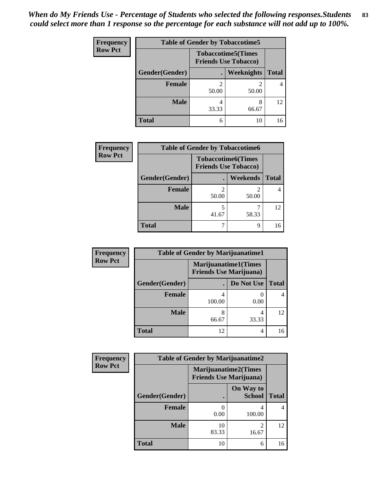| <b>Frequency</b> | <b>Table of Gender by Tobaccotime5</b> |       |                                                           |              |  |
|------------------|----------------------------------------|-------|-----------------------------------------------------------|--------------|--|
| <b>Row Pct</b>   |                                        |       | <b>Tobaccotime5</b> (Times<br><b>Friends Use Tobacco)</b> |              |  |
|                  | Gender(Gender)                         |       | Weeknights                                                | <b>Total</b> |  |
|                  | <b>Female</b>                          | 50.00 | 2<br>50.00                                                | 4            |  |
|                  | <b>Male</b>                            | 33.33 | 8<br>66.67                                                | 12           |  |
|                  | <b>Total</b>                           | 6     | 10                                                        | 16           |  |

| Frequency      |                | <b>Table of Gender by Tobaccotime6</b>                   |                 |              |  |
|----------------|----------------|----------------------------------------------------------|-----------------|--------------|--|
| <b>Row Pct</b> |                | <b>Tobaccotime6(Times</b><br><b>Friends Use Tobacco)</b> |                 |              |  |
|                | Gender(Gender) |                                                          | <b>Weekends</b> | <b>Total</b> |  |
|                | Female         | 2<br>50.00                                               | 2<br>50.00      |              |  |
|                | <b>Male</b>    | 41.67                                                    | 58.33           | 12           |  |
|                | <b>Total</b>   |                                                          | 9               |              |  |

| Frequency      | <b>Table of Gender by Marijuanatime1</b> |                                                               |            |                |
|----------------|------------------------------------------|---------------------------------------------------------------|------------|----------------|
| <b>Row Pct</b> |                                          | <b>Marijuanatime1(Times</b><br><b>Friends Use Marijuana</b> ) |            |                |
|                | Gender(Gender)                           |                                                               | Do Not Use | <b>Total</b>   |
|                | <b>Female</b>                            | 100.00                                                        | 0.00       | $\overline{4}$ |
|                | <b>Male</b>                              | 66.67                                                         | 4<br>33.33 | 12             |
|                | <b>Total</b>                             | 12                                                            | 4          | 16             |

| <b>Frequency</b> | <b>Table of Gender by Marijuanatime2</b> |                                                               |                            |              |
|------------------|------------------------------------------|---------------------------------------------------------------|----------------------------|--------------|
| <b>Row Pct</b>   |                                          | <b>Marijuanatime2(Times</b><br><b>Friends Use Marijuana</b> ) |                            |              |
|                  | Gender(Gender)                           |                                                               | On Way to<br><b>School</b> | <b>Total</b> |
|                  | <b>Female</b>                            | 0.00                                                          | 4<br>100.00                | 4            |
|                  | <b>Male</b>                              | 10<br>83.33                                                   | $\mathfrak{D}$<br>16.67    | 12           |
|                  | <b>Total</b>                             | 10                                                            | 6                          | 16           |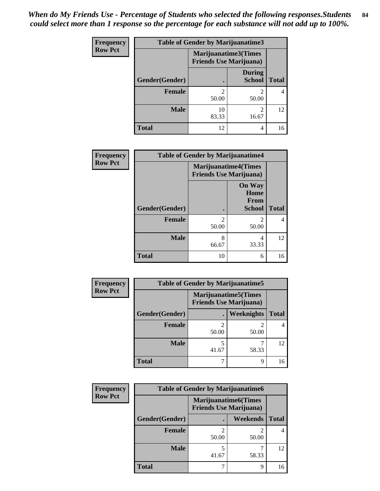| Frequency      | Table of Gender by Marijuanatime3 |                                                        |                                |              |
|----------------|-----------------------------------|--------------------------------------------------------|--------------------------------|--------------|
| <b>Row Pct</b> |                                   | Marijuanatime3(Times<br><b>Friends Use Marijuana</b> ) |                                |              |
|                | Gender(Gender)                    |                                                        | <b>During</b><br><b>School</b> | <b>Total</b> |
|                | <b>Female</b>                     | 50.00                                                  | $\mathfrak{D}$<br>50.00        | 4            |
|                | <b>Male</b>                       | 10<br>83.33                                            | $\mathfrak{D}$<br>16.67        | 12           |
|                | <b>Total</b>                      | 12                                                     | 4                              | 16           |

| Frequency      | <b>Table of Gender by Marijuanatime4</b> |                             |                                                |              |
|----------------|------------------------------------------|-----------------------------|------------------------------------------------|--------------|
| <b>Row Pct</b> |                                          | <b>Marijuanatime4(Times</b> | <b>Friends Use Marijuana</b> )                 |              |
|                | Gender(Gender)                           |                             | <b>On Way</b><br>Home<br>From<br><b>School</b> | <b>Total</b> |
|                | <b>Female</b>                            | $\mathfrak{D}$<br>50.00     | 2<br>50.00                                     | 4            |
|                | <b>Male</b>                              | 8<br>66.67                  | 4<br>33.33                                     | 12           |
|                | <b>Total</b>                             | 10                          | 6                                              | 16           |

| <b>Frequency</b> | <b>Table of Gender by Marijuanatime5</b> |                                                                |            |              |
|------------------|------------------------------------------|----------------------------------------------------------------|------------|--------------|
| <b>Row Pct</b>   |                                          | <b>Marijuanatime5</b> (Times<br><b>Friends Use Marijuana</b> ) |            |              |
|                  | Gender(Gender)                           |                                                                | Weeknights | <b>Total</b> |
|                  | <b>Female</b>                            | 50.00                                                          | 50.00      |              |
|                  | <b>Male</b>                              | 41.67                                                          | 58.33      | 12           |
|                  | <b>Total</b>                             |                                                                | 9          | 16           |

| Frequency      | <b>Table of Gender by Marijuanatime6</b> |       |                                                               |              |  |
|----------------|------------------------------------------|-------|---------------------------------------------------------------|--------------|--|
| <b>Row Pct</b> |                                          |       | <b>Marijuanatime6(Times</b><br><b>Friends Use Marijuana</b> ) |              |  |
|                | Gender(Gender)                           |       | <b>Weekends</b>                                               | <b>Total</b> |  |
|                | <b>Female</b>                            | 50.00 | 2<br>50.00                                                    |              |  |
|                | <b>Male</b>                              | 41.67 | 58.33                                                         | 12           |  |
|                | <b>Total</b>                             |       | 9                                                             | 16           |  |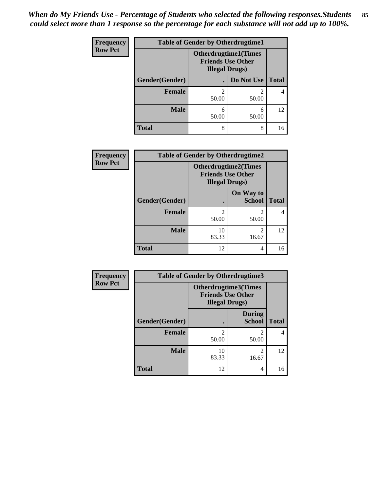| <b>Frequency</b> | <b>Table of Gender by Otherdrugtime1</b> |                                                                                  |                         |              |
|------------------|------------------------------------------|----------------------------------------------------------------------------------|-------------------------|--------------|
| <b>Row Pct</b>   |                                          | <b>Otherdrugtime1(Times</b><br><b>Friends Use Other</b><br><b>Illegal Drugs)</b> |                         |              |
|                  | Gender(Gender)                           |                                                                                  | Do Not Use              | <b>Total</b> |
|                  | <b>Female</b>                            | 50.00                                                                            | $\mathfrak{D}$<br>50.00 |              |
|                  | <b>Male</b>                              | 6<br>50.00                                                                       | 6<br>50.00              | 12           |
|                  | <b>Total</b>                             | 8                                                                                | 8                       | 16           |

| Frequency      | <b>Table of Gender by Otherdrugtime2</b> |                                                                                   |                            |              |
|----------------|------------------------------------------|-----------------------------------------------------------------------------------|----------------------------|--------------|
| <b>Row Pct</b> |                                          | <b>Otherdrugtime2(Times</b><br><b>Friends Use Other</b><br><b>Illegal Drugs</b> ) |                            |              |
|                | Gender(Gender)                           |                                                                                   | On Way to<br><b>School</b> | <b>Total</b> |
|                | <b>Female</b>                            | 2<br>50.00                                                                        | $\mathfrak{D}$<br>50.00    |              |
|                | <b>Male</b>                              | 10<br>83.33                                                                       | $\mathfrak{D}$<br>16.67    | 12           |
|                | <b>Total</b>                             | 12                                                                                | 4                          | 16           |

| Frequency      |                | <b>Table of Gender by Otherdrugtime3</b>                                   |                                |              |
|----------------|----------------|----------------------------------------------------------------------------|--------------------------------|--------------|
| <b>Row Pct</b> |                | Otherdrugtime3(Times<br><b>Friends Use Other</b><br><b>Illegal Drugs</b> ) |                                |              |
|                | Gender(Gender) |                                                                            | <b>During</b><br><b>School</b> | <b>Total</b> |
|                | <b>Female</b>  | 2<br>50.00                                                                 | 2<br>50.00                     | 4            |
|                | <b>Male</b>    | 10<br>83.33                                                                | 2<br>16.67                     | 12           |
|                | <b>Total</b>   | 12                                                                         | 4                              | 16           |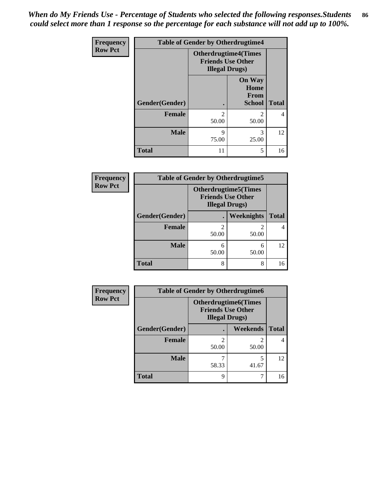| <b>Frequency</b> | <b>Table of Gender by Otherdrugtime4</b> |                                                    |                                                       |              |
|------------------|------------------------------------------|----------------------------------------------------|-------------------------------------------------------|--------------|
| <b>Row Pct</b>   |                                          | <b>Friends Use Other</b><br><b>Illegal Drugs</b> ) | <b>Otherdrugtime4(Times</b>                           |              |
|                  | Gender(Gender)                           |                                                    | <b>On Way</b><br>Home<br><b>From</b><br><b>School</b> | <b>Total</b> |
|                  | Female                                   | $\mathfrak{D}$<br>50.00                            | っ<br>50.00                                            | 4            |
|                  | <b>Male</b>                              | 9<br>75.00                                         | 3<br>25.00                                            | 12           |
|                  | <b>Total</b>                             | 11                                                 | 5                                                     | 16           |

| Frequency      | <b>Table of Gender by Otherdrugtime5</b> |            |                                                                                    |              |
|----------------|------------------------------------------|------------|------------------------------------------------------------------------------------|--------------|
| <b>Row Pct</b> |                                          |            | <b>Otherdrugtime5</b> (Times<br><b>Friends Use Other</b><br><b>Illegal Drugs</b> ) |              |
|                | Gender(Gender)                           |            | Weeknights                                                                         | <b>Total</b> |
|                | <b>Female</b>                            | ∍<br>50.00 | 50.00                                                                              |              |
|                | <b>Male</b>                              | 6<br>50.00 | 6<br>50.00                                                                         | 12           |
|                | <b>Total</b>                             | 8          | 8                                                                                  | 16           |

| Frequency      | <b>Table of Gender by Otherdrugtime6</b> |                                                                                   |                         |              |  |
|----------------|------------------------------------------|-----------------------------------------------------------------------------------|-------------------------|--------------|--|
| <b>Row Pct</b> |                                          | <b>Otherdrugtime6(Times</b><br><b>Friends Use Other</b><br><b>Illegal Drugs</b> ) |                         |              |  |
|                | Gender(Gender)                           |                                                                                   | Weekends                | <b>Total</b> |  |
|                | <b>Female</b>                            | 50.00                                                                             | $\mathfrak{D}$<br>50.00 | 4            |  |
|                | <b>Male</b>                              | 58.33                                                                             | 5<br>41.67              | 12           |  |
|                | <b>Total</b>                             | Q                                                                                 | 7                       | 16           |  |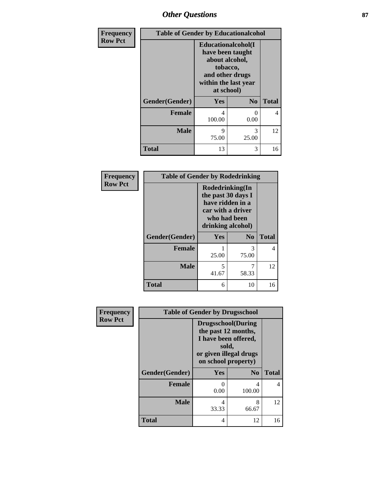## *Other Questions* **87**

| Frequency      | <b>Table of Gender by Educationalcohol</b> |                                                                                                                                       |                |              |
|----------------|--------------------------------------------|---------------------------------------------------------------------------------------------------------------------------------------|----------------|--------------|
| <b>Row Pct</b> |                                            | <b>Educationalcohol</b> (I<br>have been taught<br>about alcohol,<br>tobacco,<br>and other drugs<br>within the last year<br>at school) |                |              |
|                | Gender(Gender)                             | Yes                                                                                                                                   | N <sub>0</sub> | <b>Total</b> |
|                | <b>Female</b>                              | 4<br>100.00                                                                                                                           | $_{0}$<br>0.00 | 4            |
|                | <b>Male</b>                                | q<br>75.00                                                                                                                            | 3<br>25.00     | 12           |
|                | <b>Total</b>                               | 13                                                                                                                                    | 3              | 16           |

| Frequency      | <b>Table of Gender by Rodedrinking</b> |                                                                                                                     |            |              |
|----------------|----------------------------------------|---------------------------------------------------------------------------------------------------------------------|------------|--------------|
| <b>Row Pct</b> |                                        | Rodedrinking(In<br>the past 30 days I<br>have ridden in a<br>car with a driver<br>who had been<br>drinking alcohol) |            |              |
|                | Gender(Gender)                         | Yes<br>N <sub>0</sub>                                                                                               |            | <b>Total</b> |
|                | <b>Female</b>                          | 25.00                                                                                                               | 3<br>75.00 | 4            |
|                | <b>Male</b>                            | 5<br>41.67                                                                                                          | 7<br>58.33 | 12           |
|                | <b>Total</b>                           | 6                                                                                                                   | 10         | 16           |

| Frequency      | <b>Table of Gender by Drugsschool</b> |                                                                                                                                     |                |              |
|----------------|---------------------------------------|-------------------------------------------------------------------------------------------------------------------------------------|----------------|--------------|
| <b>Row Pct</b> |                                       | <b>Drugsschool</b> (During<br>the past 12 months,<br>I have been offered,<br>sold,<br>or given illegal drugs<br>on school property) |                |              |
|                | Gender(Gender)                        | <b>Yes</b>                                                                                                                          | N <sub>0</sub> | <b>Total</b> |
|                | <b>Female</b>                         | 0<br>0.00                                                                                                                           | 4<br>100.00    | 4            |
|                | <b>Male</b>                           | 4<br>33.33                                                                                                                          | 8<br>66.67     | 12           |
|                | <b>Total</b>                          | 4                                                                                                                                   | 12             | 16           |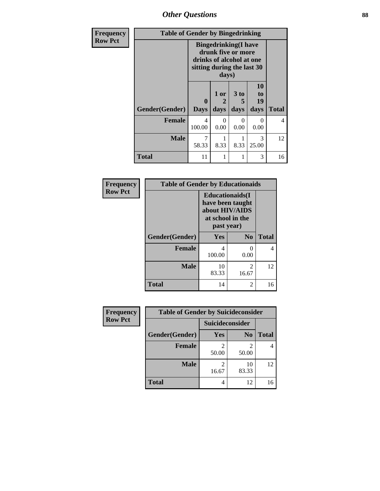*Other Questions* **88**

| <b>Frequency</b> | <b>Table of Gender by Bingedrinking</b> |                                                                                                                       |                   |                   |                        |              |
|------------------|-----------------------------------------|-----------------------------------------------------------------------------------------------------------------------|-------------------|-------------------|------------------------|--------------|
| <b>Row Pct</b>   |                                         | <b>Bingedrinking</b> (I have<br>drunk five or more<br>drinks of alcohol at one<br>sitting during the last 30<br>days) |                   |                   |                        |              |
|                  | Gender(Gender)                          | $\bf{0}$<br><b>Days</b>                                                                                               | 1 or<br>2<br>days | 3 to<br>5<br>days | 10<br>to<br>19<br>days | <b>Total</b> |
|                  | <b>Female</b>                           | 4<br>100.00                                                                                                           | 0<br>0.00         | $\Omega$<br>0.00  | 0<br>0.00              | 4            |
|                  | <b>Male</b>                             | 7<br>58.33                                                                                                            | 8.33              | 8.33              | $\mathcal{R}$<br>25.00 | 12           |
|                  | <b>Total</b>                            | 11                                                                                                                    |                   |                   | 3                      | 16           |

| <b>Frequency</b> | <b>Table of Gender by Educationaids</b> |                                                                                                 |                         |              |
|------------------|-----------------------------------------|-------------------------------------------------------------------------------------------------|-------------------------|--------------|
| <b>Row Pct</b>   |                                         | <b>Educationaids</b> (I<br>have been taught<br>about HIV/AIDS<br>at school in the<br>past year) |                         |              |
|                  | Gender(Gender)                          | <b>Yes</b>                                                                                      | N <sub>0</sub>          | <b>Total</b> |
|                  | <b>Female</b>                           | 4<br>100.00                                                                                     | 0<br>0.00               |              |
|                  | <b>Male</b>                             | 10<br>83.33                                                                                     | $\mathfrak{D}$<br>16.67 | 12           |
|                  | <b>Total</b>                            | 14                                                                                              | $\overline{c}$          | 16           |

| Frequency      | <b>Table of Gender by Suicideconsider</b> |                 |                |              |
|----------------|-------------------------------------------|-----------------|----------------|--------------|
| <b>Row Pct</b> |                                           | Suicideconsider |                |              |
|                | Gender(Gender)                            | Yes             | N <sub>0</sub> | <b>Total</b> |
|                | <b>Female</b>                             | 50.00           | 50.00          |              |
|                | <b>Male</b>                               | 16.67           | 10<br>83.33    | 12           |
|                | <b>Total</b>                              |                 | 12             | 16           |